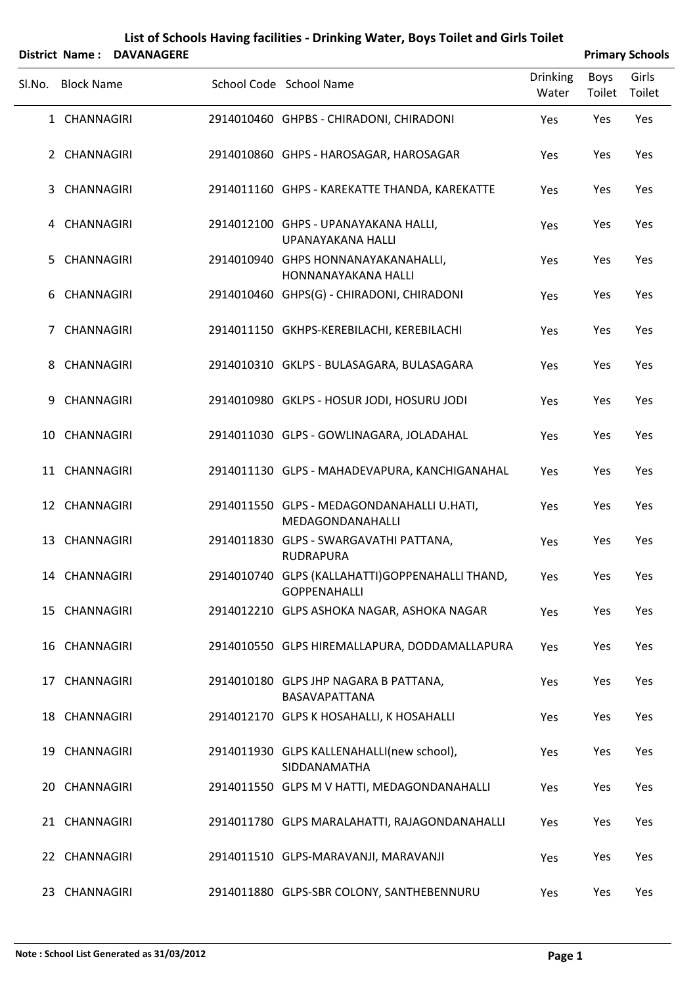| List of Schools Having facilities - Drinking Water, Boys Toilet and Girls Toilet |  |
|----------------------------------------------------------------------------------|--|
|----------------------------------------------------------------------------------|--|

|        |                   | District Name: DAVANAGERE |                                                                        |                          |                | <b>Primary Schools</b> |
|--------|-------------------|---------------------------|------------------------------------------------------------------------|--------------------------|----------------|------------------------|
| SI.No. | <b>Block Name</b> |                           | School Code School Name                                                | <b>Drinking</b><br>Water | Boys<br>Toilet | Girls<br>Toilet        |
|        | 1 CHANNAGIRI      |                           | 2914010460 GHPBS - CHIRADONI, CHIRADONI                                | Yes                      | Yes            | Yes                    |
|        | 2 CHANNAGIRI      |                           | 2914010860 GHPS - HAROSAGAR, HAROSAGAR                                 | Yes                      | Yes            | Yes                    |
|        | 3 CHANNAGIRI      |                           | 2914011160 GHPS - KAREKATTE THANDA, KAREKATTE                          | Yes                      | Yes            | Yes                    |
|        | 4 CHANNAGIRI      |                           | 2914012100 GHPS - UPANAYAKANA HALLI,<br>UPANAYAKANA HALLI              | Yes                      | Yes            | Yes                    |
| 5.     | CHANNAGIRI        |                           | 2914010940 GHPS HONNANAYAKANAHALLI,<br>HONNANAYAKANA HALLI             | Yes                      | Yes            | Yes                    |
|        | 6 CHANNAGIRI      |                           | 2914010460 GHPS(G) - CHIRADONI, CHIRADONI                              | Yes                      | Yes            | Yes                    |
| 7      | CHANNAGIRI        |                           | 2914011150 GKHPS-KEREBILACHI, KEREBILACHI                              | Yes                      | Yes            | Yes                    |
| 8      | CHANNAGIRI        |                           | 2914010310 GKLPS - BULASAGARA, BULASAGARA                              | Yes                      | Yes            | Yes                    |
| 9      | CHANNAGIRI        |                           | 2914010980 GKLPS - HOSUR JODI, HOSURU JODI                             | Yes                      | Yes            | Yes                    |
|        | 10 CHANNAGIRI     |                           | 2914011030 GLPS - GOWLINAGARA, JOLADAHAL                               | Yes                      | Yes            | Yes                    |
|        | 11 CHANNAGIRI     |                           | 2914011130 GLPS - MAHADEVAPURA, KANCHIGANAHAL                          | Yes                      | Yes            | Yes                    |
|        | 12 CHANNAGIRI     |                           | 2914011550 GLPS - MEDAGONDANAHALLI U.HATI,<br>MEDAGONDANAHALLI         | Yes                      | Yes            | Yes                    |
|        | 13 CHANNAGIRI     |                           | 2914011830 GLPS - SWARGAVATHI PATTANA,<br><b>RUDRAPURA</b>             | Yes                      | Yes            | Yes                    |
|        | 14 CHANNAGIRI     |                           | 2914010740 GLPS (KALLAHATTI)GOPPENAHALLI THAND,<br><b>GOPPENAHALLI</b> | Yes                      | Yes            | Yes                    |
|        | 15 CHANNAGIRI     |                           | 2914012210 GLPS ASHOKA NAGAR, ASHOKA NAGAR                             | Yes                      | Yes            | Yes                    |
|        | 16 CHANNAGIRI     |                           | 2914010550 GLPS HIREMALLAPURA, DODDAMALLAPURA                          | Yes                      | Yes            | Yes                    |
|        | 17 CHANNAGIRI     |                           | 2914010180 GLPS JHP NAGARA B PATTANA,<br>BASAVAPATTANA                 | Yes                      | Yes            | Yes                    |
|        | 18 CHANNAGIRI     |                           | 2914012170 GLPS K HOSAHALLI, K HOSAHALLI                               | Yes                      | Yes            | Yes                    |
|        | 19 CHANNAGIRI     |                           | 2914011930 GLPS KALLENAHALLI(new school),<br>SIDDANAMATHA              | Yes                      | Yes            | Yes                    |
|        | 20 CHANNAGIRI     |                           | 2914011550 GLPS M V HATTI, MEDAGONDANAHALLI                            | Yes                      | Yes            | Yes                    |
|        | 21 CHANNAGIRI     |                           | 2914011780 GLPS MARALAHATTI, RAJAGONDANAHALLI                          | Yes                      | Yes            | Yes                    |
|        | 22 CHANNAGIRI     |                           | 2914011510 GLPS-MARAVANJI, MARAVANJI                                   | Yes                      | Yes            | Yes                    |
|        | 23 CHANNAGIRI     |                           | 2914011880 GLPS-SBR COLONY, SANTHEBENNURU                              | Yes                      | Yes            | Yes                    |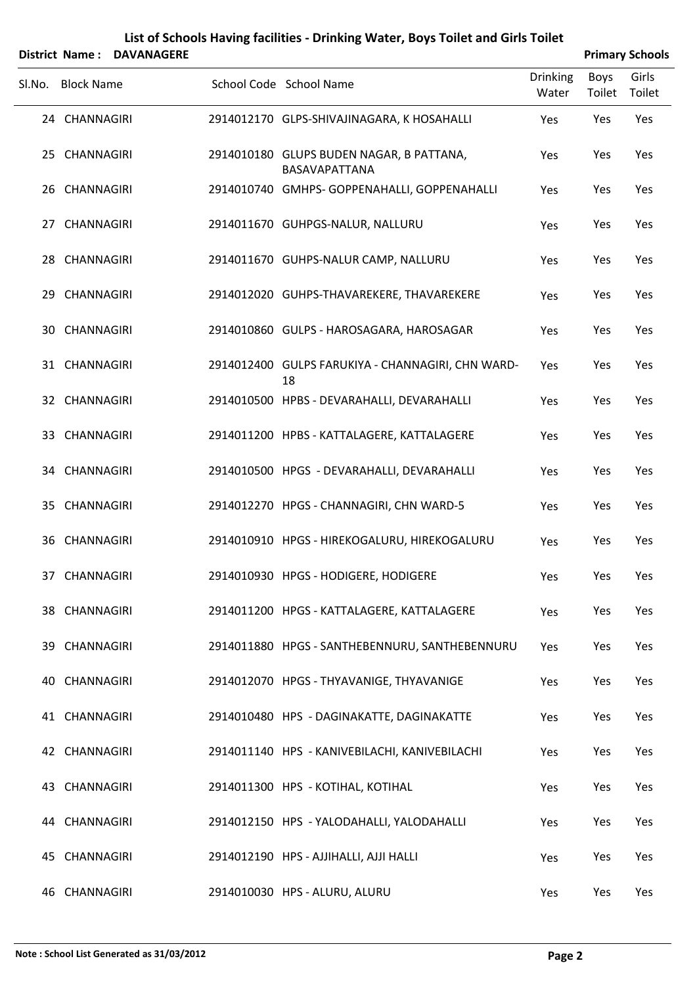|        |                   | District Name: DAVANAGERE |                                                           |                          |                | <b>Primary Schools</b> |
|--------|-------------------|---------------------------|-----------------------------------------------------------|--------------------------|----------------|------------------------|
| SI.No. | <b>Block Name</b> |                           | School Code School Name                                   | <b>Drinking</b><br>Water | Boys<br>Toilet | Girls<br>Toilet        |
|        | 24 CHANNAGIRI     |                           | 2914012170 GLPS-SHIVAJINAGARA, K HOSAHALLI                | Yes                      | Yes            | Yes                    |
|        | 25 CHANNAGIRI     |                           | 2914010180 GLUPS BUDEN NAGAR, B PATTANA,<br>BASAVAPATTANA | Yes                      | Yes            | Yes                    |
|        | 26 CHANNAGIRI     |                           | 2914010740 GMHPS- GOPPENAHALLI, GOPPENAHALLI              | Yes                      | Yes            | Yes                    |
|        | 27 CHANNAGIRI     |                           | 2914011670 GUHPGS-NALUR, NALLURU                          | Yes                      | Yes            | Yes                    |
|        | 28 CHANNAGIRI     |                           | 2914011670 GUHPS-NALUR CAMP, NALLURU                      | Yes                      | Yes            | Yes                    |
|        | 29 CHANNAGIRI     |                           | 2914012020 GUHPS-THAVAREKERE, THAVAREKERE                 | Yes                      | Yes            | Yes                    |
|        | 30 CHANNAGIRI     |                           | 2914010860 GULPS - HAROSAGARA, HAROSAGAR                  | Yes                      | Yes            | Yes                    |
|        | 31 CHANNAGIRI     |                           | 2914012400 GULPS FARUKIYA - CHANNAGIRI, CHN WARD-<br>18   | Yes                      | Yes            | Yes                    |
|        | 32 CHANNAGIRI     |                           | 2914010500 HPBS - DEVARAHALLI, DEVARAHALLI                | Yes                      | Yes            | Yes                    |
|        | 33 CHANNAGIRI     |                           | 2914011200 HPBS - KATTALAGERE, KATTALAGERE                | Yes                      | Yes            | Yes                    |
|        | 34 CHANNAGIRI     |                           | 2914010500 HPGS - DEVARAHALLI, DEVARAHALLI                | Yes                      | Yes            | Yes                    |
|        | 35 CHANNAGIRI     |                           | 2914012270 HPGS - CHANNAGIRI, CHN WARD-5                  | Yes                      | Yes            | Yes                    |
|        | 36 CHANNAGIRI     |                           | 2914010910 HPGS - HIREKOGALURU, HIREKOGALURU              | Yes                      | Yes            | Yes                    |
|        | 37 CHANNAGIRI     |                           | 2914010930 HPGS - HODIGERE, HODIGERE                      | Yes                      | Yes            | Yes                    |
|        | 38 CHANNAGIRI     |                           | 2914011200 HPGS - KATTALAGERE, KATTALAGERE                | Yes                      | Yes            | Yes                    |
|        | 39 CHANNAGIRI     |                           | 2914011880 HPGS - SANTHEBENNURU, SANTHEBENNURU            | Yes                      | Yes            | Yes                    |
|        | 40 CHANNAGIRI     |                           | 2914012070 HPGS - THYAVANIGE, THYAVANIGE                  | Yes                      | Yes            | Yes                    |
|        | 41 CHANNAGIRI     |                           | 2914010480 HPS - DAGINAKATTE, DAGINAKATTE                 | Yes                      | Yes            | Yes                    |
|        | 42 CHANNAGIRI     |                           | 2914011140 HPS - KANIVEBILACHI, KANIVEBILACHI             | Yes                      | Yes            | Yes                    |
|        | 43 CHANNAGIRI     |                           | 2914011300 HPS - KOTIHAL, KOTIHAL                         | Yes                      | Yes            | Yes                    |
|        | 44 CHANNAGIRI     |                           | 2914012150 HPS - YALODAHALLI, YALODAHALLI                 | Yes                      | Yes            | Yes                    |
|        | 45 CHANNAGIRI     |                           | 2914012190 HPS - AJJIHALLI, AJJI HALLI                    | Yes                      | Yes            | Yes                    |
|        | 46 CHANNAGIRI     |                           | 2914010030 HPS - ALURU, ALURU                             | Yes                      | Yes            | Yes                    |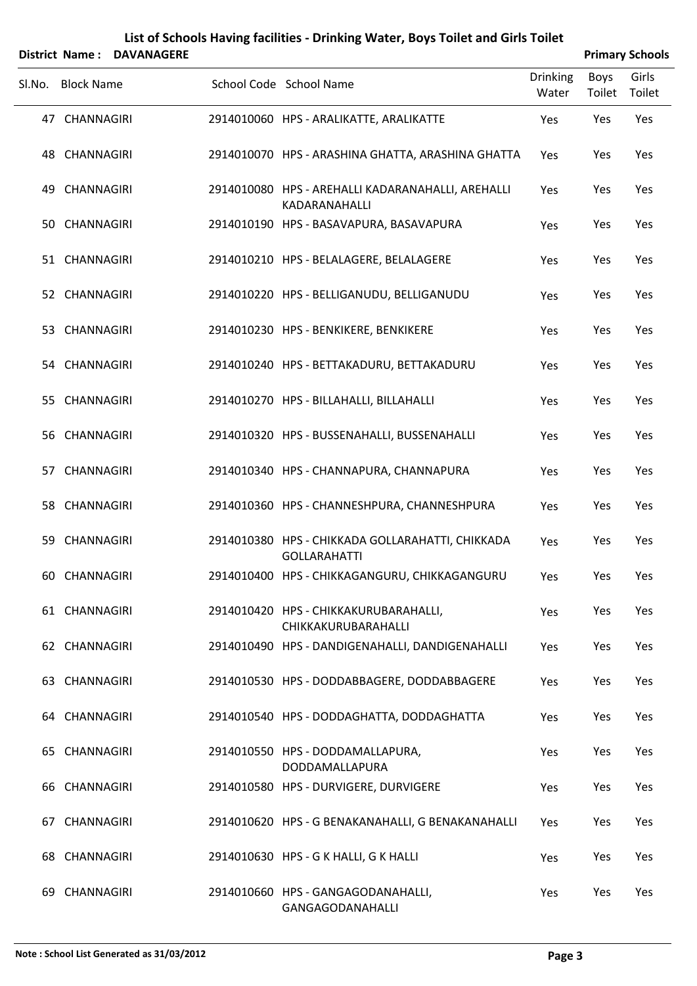|        |                   | District Name: DAVANAGERE |                                                                         |                          | <b>Primary Schools</b> |                 |
|--------|-------------------|---------------------------|-------------------------------------------------------------------------|--------------------------|------------------------|-----------------|
| Sl.No. | <b>Block Name</b> |                           | School Code School Name                                                 | <b>Drinking</b><br>Water | Boys<br>Toilet         | Girls<br>Toilet |
|        | 47 CHANNAGIRI     |                           | 2914010060 HPS - ARALIKATTE, ARALIKATTE                                 | Yes                      | Yes                    | Yes             |
|        | 48 CHANNAGIRI     |                           | 2914010070 HPS - ARASHINA GHATTA, ARASHINA GHATTA                       | Yes                      | Yes                    | Yes             |
|        | 49 CHANNAGIRI     |                           | 2914010080 HPS - AREHALLI KADARANAHALLI, AREHALLI<br>KADARANAHALLI      | Yes                      | Yes                    | Yes             |
|        | 50 CHANNAGIRI     |                           | 2914010190 HPS - BASAVAPURA, BASAVAPURA                                 | Yes                      | Yes                    | Yes             |
|        | 51 CHANNAGIRI     |                           | 2914010210 HPS - BELALAGERE, BELALAGERE                                 | Yes                      | Yes                    | Yes             |
|        | 52 CHANNAGIRI     |                           | 2914010220 HPS - BELLIGANUDU, BELLIGANUDU                               | Yes                      | Yes                    | Yes             |
|        | 53 CHANNAGIRI     |                           | 2914010230 HPS - BENKIKERE, BENKIKERE                                   | Yes                      | Yes                    | Yes             |
|        | 54 CHANNAGIRI     |                           | 2914010240 HPS - BETTAKADURU, BETTAKADURU                               | Yes                      | Yes                    | Yes             |
|        | 55 CHANNAGIRI     |                           | 2914010270 HPS - BILLAHALLI, BILLAHALLI                                 | Yes                      | Yes                    | Yes             |
|        | 56 CHANNAGIRI     |                           | 2914010320 HPS - BUSSENAHALLI, BUSSENAHALLI                             | Yes                      | Yes                    | Yes             |
|        | 57 CHANNAGIRI     |                           | 2914010340 HPS - CHANNAPURA, CHANNAPURA                                 | Yes                      | Yes                    | Yes             |
|        | 58 CHANNAGIRI     |                           | 2914010360 HPS - CHANNESHPURA, CHANNESHPURA                             | Yes                      | Yes                    | Yes             |
|        | 59 CHANNAGIRI     |                           | 2914010380 HPS - CHIKKADA GOLLARAHATTI, CHIKKADA<br><b>GOLLARAHATTI</b> | Yes                      | Yes                    | Yes             |
|        | 60 CHANNAGIRI     |                           | 2914010400 HPS - CHIKKAGANGURU, CHIKKAGANGURU                           | Yes                      | Yes                    | Yes             |
|        | 61 CHANNAGIRI     |                           | 2914010420 HPS - CHIKKAKURUBARAHALLI,<br>CHIKKAKURUBARAHALLI            | Yes                      | Yes                    | Yes             |
|        | 62 CHANNAGIRI     |                           | 2914010490 HPS - DANDIGENAHALLI, DANDIGENAHALLI                         | Yes                      | Yes                    | Yes             |
|        | 63 CHANNAGIRI     |                           | 2914010530 HPS - DODDABBAGERE, DODDABBAGERE                             | Yes                      | Yes                    | Yes             |
|        | 64 CHANNAGIRI     |                           | 2914010540 HPS - DODDAGHATTA, DODDAGHATTA                               | Yes                      | Yes                    | Yes             |
|        | 65 CHANNAGIRI     |                           | 2914010550 HPS - DODDAMALLAPURA,<br>DODDAMALLAPURA                      | Yes                      | Yes                    | Yes             |
|        | 66 CHANNAGIRI     |                           | 2914010580 HPS - DURVIGERE, DURVIGERE                                   | Yes                      | Yes                    | Yes             |
|        | 67 CHANNAGIRI     |                           | 2914010620 HPS - G BENAKANAHALLI, G BENAKANAHALLI                       | Yes                      | Yes                    | Yes             |
|        | 68 CHANNAGIRI     |                           | 2914010630 HPS - G K HALLI, G K HALLI                                   | Yes                      | Yes                    | Yes             |
|        | 69 CHANNAGIRI     |                           | 2914010660 HPS - GANGAGODANAHALLI,                                      | Yes                      | Yes                    | Yes             |

GANGAGODANAHALLI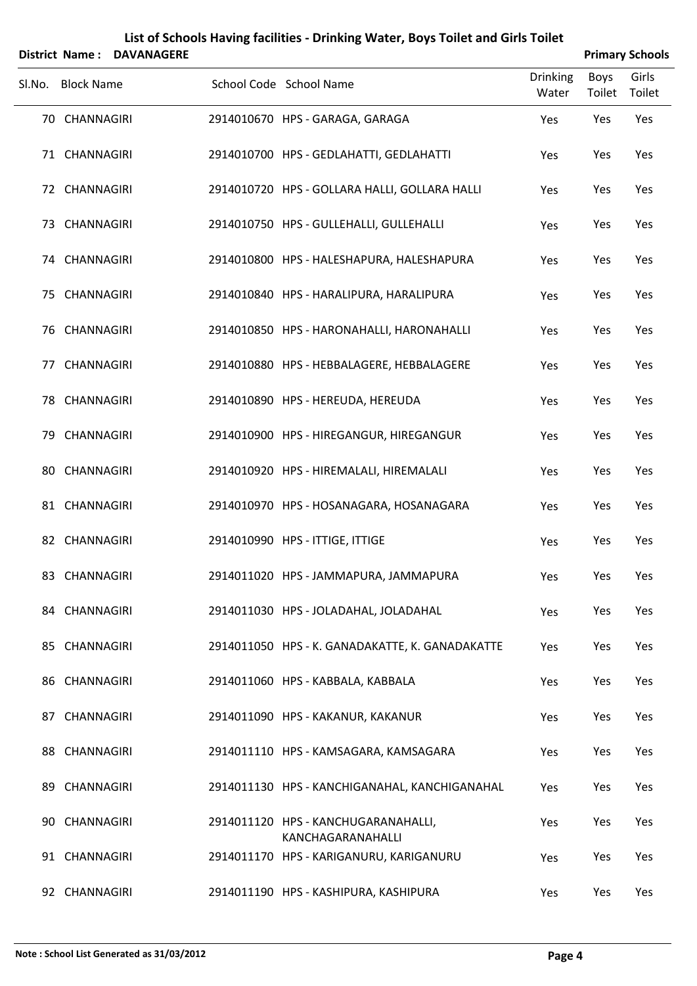|        | District Name:    | <b>DAVANAGERE</b> |                                                          |                          |                | <b>Primary Schools</b> |
|--------|-------------------|-------------------|----------------------------------------------------------|--------------------------|----------------|------------------------|
| Sl.No. | <b>Block Name</b> |                   | School Code School Name                                  | <b>Drinking</b><br>Water | Boys<br>Toilet | Girls<br>Toilet        |
|        | 70 CHANNAGIRI     |                   | 2914010670 HPS - GARAGA, GARAGA                          | Yes                      | Yes            | Yes                    |
|        | 71 CHANNAGIRI     |                   | 2914010700 HPS - GEDLAHATTI, GEDLAHATTI                  | Yes                      | Yes            | Yes                    |
|        | 72 CHANNAGIRI     |                   | 2914010720 HPS - GOLLARA HALLI, GOLLARA HALLI            | Yes                      | Yes            | Yes                    |
|        | 73 CHANNAGIRI     |                   | 2914010750 HPS - GULLEHALLI, GULLEHALLI                  | Yes                      | Yes            | Yes                    |
|        | 74 CHANNAGIRI     |                   | 2914010800 HPS - HALESHAPURA, HALESHAPURA                | Yes                      | Yes            | Yes                    |
|        | 75 CHANNAGIRI     |                   | 2914010840 HPS - HARALIPURA, HARALIPURA                  | Yes                      | Yes            | Yes                    |
|        | 76 CHANNAGIRI     |                   | 2914010850 HPS - HARONAHALLI, HARONAHALLI                | Yes                      | Yes            | Yes                    |
|        | 77 CHANNAGIRI     |                   | 2914010880 HPS - HEBBALAGERE, HEBBALAGERE                | Yes                      | Yes            | Yes                    |
|        | 78 CHANNAGIRI     |                   | 2914010890 HPS - HEREUDA, HEREUDA                        | Yes                      | Yes            | Yes                    |
|        | 79 CHANNAGIRI     |                   | 2914010900 HPS - HIREGANGUR, HIREGANGUR                  | Yes                      | Yes            | Yes                    |
|        | 80 CHANNAGIRI     |                   | 2914010920 HPS - HIREMALALI, HIREMALALI                  | Yes                      | Yes            | Yes                    |
|        | 81 CHANNAGIRI     |                   | 2914010970 HPS - HOSANAGARA, HOSANAGARA                  | Yes                      | Yes            | Yes                    |
|        | 82 CHANNAGIRI     |                   | 2914010990 HPS - ITTIGE, ITTIGE                          | Yes                      | Yes            | Yes                    |
|        | 83 CHANNAGIRI     |                   | 2914011020 HPS - JAMMAPURA, JAMMAPURA                    | Yes                      | Yes            | Yes                    |
|        | 84 CHANNAGIRI     |                   | 2914011030 HPS - JOLADAHAL, JOLADAHAL                    | Yes                      | Yes            | Yes                    |
|        | 85 CHANNAGIRI     |                   | 2914011050 HPS - K. GANADAKATTE, K. GANADAKATTE          | Yes                      | Yes            | Yes                    |
|        | 86 CHANNAGIRI     |                   | 2914011060 HPS - KABBALA, KABBALA                        | Yes                      | Yes            | Yes                    |
|        | 87 CHANNAGIRI     |                   | 2914011090 HPS - KAKANUR, KAKANUR                        | Yes                      | Yes            | Yes                    |
|        | 88 CHANNAGIRI     |                   | 2914011110 HPS - KAMSAGARA, KAMSAGARA                    | Yes                      | Yes            | Yes                    |
|        | 89 CHANNAGIRI     |                   | 2914011130 HPS - KANCHIGANAHAL, KANCHIGANAHAL            | Yes                      | Yes            | Yes                    |
|        | 90 CHANNAGIRI     |                   | 2914011120 HPS - KANCHUGARANAHALLI,<br>KANCHAGARANAHALLI | Yes                      | Yes            | Yes                    |
|        | 91 CHANNAGIRI     |                   | 2914011170 HPS - KARIGANURU, KARIGANURU                  | Yes                      | Yes            | Yes                    |
|        | 92 CHANNAGIRI     |                   | 2914011190 HPS - KASHIPURA, KASHIPURA                    | Yes                      | Yes            | Yes                    |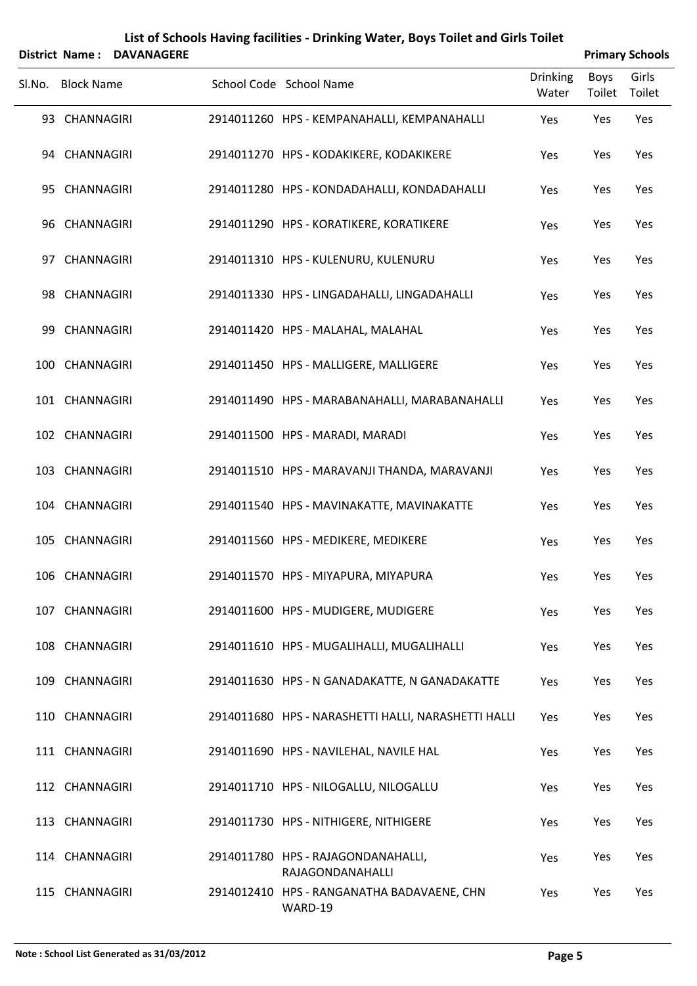| List of Schools Having facilities - Drinking Water, Boys Toilet and Girls Toilet<br><b>Primary Schools</b><br><b>District Name:</b><br><b>DAVANAGERE</b> |                   |  |  |                                                        |                          |                       |                 |
|----------------------------------------------------------------------------------------------------------------------------------------------------------|-------------------|--|--|--------------------------------------------------------|--------------------------|-----------------------|-----------------|
| Sl.No.                                                                                                                                                   | <b>Block Name</b> |  |  | School Code School Name                                | <b>Drinking</b><br>Water | <b>Boys</b><br>Toilet | Girls<br>Toilet |
|                                                                                                                                                          | 93 CHANNAGIRI     |  |  | 2914011260 HPS - KEMPANAHALLI, KEMPANAHALLI            | Yes                      | Yes                   | Yes             |
|                                                                                                                                                          | 94 CHANNAGIRI     |  |  | 2914011270 HPS - KODAKIKERE, KODAKIKERE                | Yes                      | Yes                   | Yes             |
|                                                                                                                                                          | 95 CHANNAGIRI     |  |  | 2914011280 HPS - KONDADAHALLI, KONDADAHALLI            | Yes                      | Yes                   | Yes             |
|                                                                                                                                                          | 96 CHANNAGIRI     |  |  | 2914011290 HPS - KORATIKERE, KORATIKERE                | Yes                      | Yes                   | Yes             |
|                                                                                                                                                          | 97 CHANNAGIRI     |  |  | 2914011310 HPS - KULENURU, KULENURU                    | Yes                      | Yes                   | Yes             |
|                                                                                                                                                          | 98 CHANNAGIRI     |  |  | 2914011330 HPS - LINGADAHALLI, LINGADAHALLI            | Yes                      | Yes                   | Yes             |
|                                                                                                                                                          | 99 CHANNAGIRI     |  |  | 2914011420 HPS - MALAHAL, MALAHAL                      | Yes                      | Yes                   | Yes             |
|                                                                                                                                                          | 100 CHANNAGIRI    |  |  | 2914011450 HPS - MALLIGERE, MALLIGERE                  | Yes                      | Yes                   | Yes             |
|                                                                                                                                                          | 101 CHANNAGIRI    |  |  | 2914011490 HPS - MARABANAHALLI, MARABANAHALLI          | Yes                      | Yes                   | Yes             |
|                                                                                                                                                          | 102 CHANNAGIRI    |  |  | 2914011500 HPS - MARADI, MARADI                        | Yes                      | Yes                   | Yes             |
|                                                                                                                                                          | 103 CHANNAGIRI    |  |  | 2914011510 HPS - MARAVANJI THANDA, MARAVANJI           | Yes                      | Yes                   | Yes             |
|                                                                                                                                                          | 104 CHANNAGIRI    |  |  | 2914011540 HPS - MAVINAKATTE, MAVINAKATTE              | Yes                      | Yes                   | Yes             |
|                                                                                                                                                          | 105 CHANNAGIRI    |  |  | 2914011560 HPS - MEDIKERE, MEDIKERE                    | Yes                      | Yes                   | Yes             |
|                                                                                                                                                          | 106 CHANNAGIRI    |  |  | 2914011570 HPS - MIYAPURA, MIYAPURA                    | Yes                      | Yes                   | Yes             |
|                                                                                                                                                          | 107 CHANNAGIRI    |  |  | 2914011600 HPS - MUDIGERE, MUDIGERE                    | Yes                      | Yes                   | Yes             |
|                                                                                                                                                          | 108 CHANNAGIRI    |  |  | 2914011610 HPS - MUGALIHALLI, MUGALIHALLI              | Yes                      | Yes                   | Yes             |
|                                                                                                                                                          | 109 CHANNAGIRI    |  |  | 2914011630 HPS - N GANADAKATTE, N GANADAKATTE          | Yes                      | Yes                   | Yes             |
|                                                                                                                                                          | 110 CHANNAGIRI    |  |  | 2914011680 HPS - NARASHETTI HALLI, NARASHETTI HALLI    | Yes                      | Yes                   | Yes             |
|                                                                                                                                                          | 111 CHANNAGIRI    |  |  | 2914011690 HPS - NAVILEHAL, NAVILE HAL                 | Yes                      | Yes                   | Yes             |
|                                                                                                                                                          | 112 CHANNAGIRI    |  |  | 2914011710 HPS - NILOGALLU, NILOGALLU                  | Yes                      | Yes                   | Yes             |
|                                                                                                                                                          | 113 CHANNAGIRI    |  |  | 2914011730 HPS - NITHIGERE, NITHIGERE                  | Yes                      | Yes                   | Yes             |
|                                                                                                                                                          | 114 CHANNAGIRI    |  |  | 2914011780 HPS - RAJAGONDANAHALLI,<br>RAJAGONDANAHALLI | Yes                      | Yes                   | Yes             |
|                                                                                                                                                          | 115 CHANNAGIRI    |  |  | 2914012410 HPS - RANGANATHA BADAVAENE, CHN<br>WARD-19  | Yes                      | Yes                   | Yes             |

#### **Note : School List Generated as 31/03/2012 Page 5**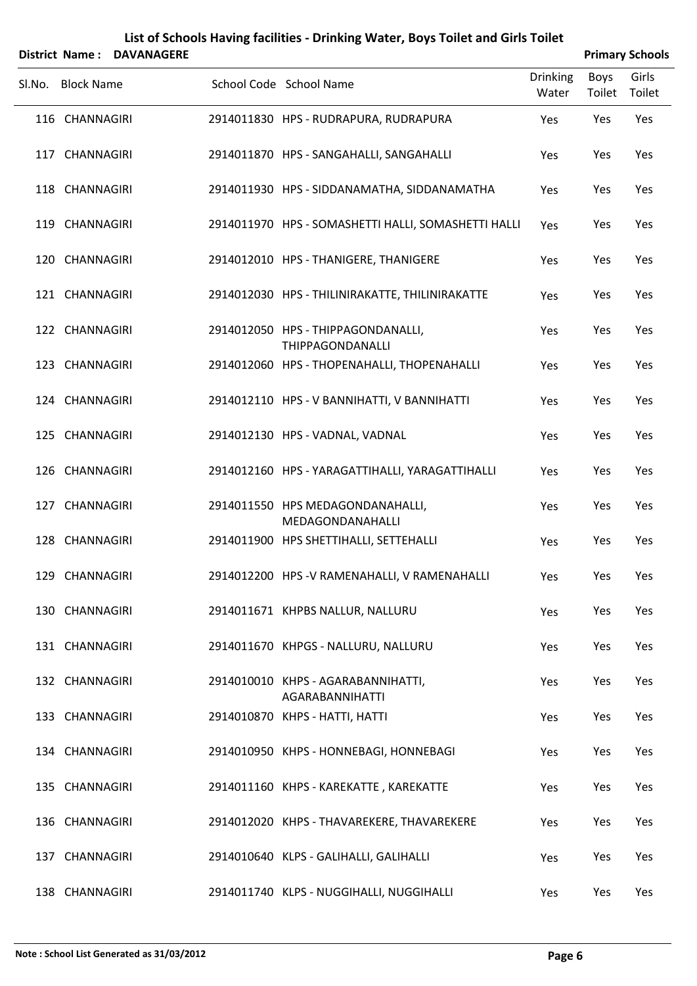|                   | District Name: DAVANAGERE |                                                              |                          |                | <b>Primary Schools</b> |
|-------------------|---------------------------|--------------------------------------------------------------|--------------------------|----------------|------------------------|
| Sl.No. Block Name |                           | School Code School Name                                      | <b>Drinking</b><br>Water | Boys<br>Toilet | Girls<br>Toilet        |
| 116 CHANNAGIRI    |                           | 2914011830 HPS - RUDRAPURA, RUDRAPURA                        | Yes                      | Yes            | Yes                    |
| 117 CHANNAGIRI    |                           | 2914011870 HPS - SANGAHALLI, SANGAHALLI                      | Yes                      | Yes            | Yes                    |
| 118 CHANNAGIRI    |                           | 2914011930 HPS - SIDDANAMATHA, SIDDANAMATHA                  | Yes                      | Yes            | Yes                    |
| 119 CHANNAGIRI    |                           | 2914011970 HPS - SOMASHETTI HALLI, SOMASHETTI HALLI          | Yes                      | Yes            | Yes                    |
| 120 CHANNAGIRI    |                           | 2914012010 HPS - THANIGERE, THANIGERE                        | Yes                      | Yes            | Yes                    |
| 121 CHANNAGIRI    |                           | 2914012030 HPS - THILINIRAKATTE, THILINIRAKATTE              | Yes                      | Yes            | Yes                    |
| 122 CHANNAGIRI    |                           | 2914012050 HPS - THIPPAGONDANALLI,<br>THIPPAGONDANALLI       | Yes                      | Yes            | Yes                    |
| 123 CHANNAGIRI    |                           | 2914012060 HPS - THOPENAHALLI, THOPENAHALLI                  | Yes                      | Yes            | Yes                    |
| 124 CHANNAGIRI    |                           | 2914012110 HPS - V BANNIHATTI, V BANNIHATTI                  | Yes                      | Yes            | Yes                    |
| 125 CHANNAGIRI    |                           | 2914012130 HPS - VADNAL, VADNAL                              | Yes                      | Yes            | Yes                    |
| 126 CHANNAGIRI    |                           | 2914012160 HPS - YARAGATTIHALLI, YARAGATTIHALLI              | Yes                      | Yes            | Yes                    |
| 127 CHANNAGIRI    |                           | 2914011550 HPS MEDAGONDANAHALLI,<br>MEDAGONDANAHALLI         | Yes                      | Yes            | Yes                    |
| 128 CHANNAGIRI    |                           | 2914011900 HPS SHETTIHALLI, SETTEHALLI                       | Yes                      | Yes            | Yes                    |
| 129 CHANNAGIRI    |                           | 2914012200 HPS-V RAMENAHALLI, V RAMENAHALLI                  | Yes                      | Yes            | Yes                    |
| 130 CHANNAGIRI    |                           | 2914011671 KHPBS NALLUR, NALLURU                             | Yes                      | Yes            | Yes                    |
| 131 CHANNAGIRI    |                           | 2914011670 KHPGS - NALLURU, NALLURU                          | Yes                      | Yes            | Yes                    |
| 132 CHANNAGIRI    |                           | 2914010010 KHPS - AGARABANNIHATTI,<br><b>AGARABANNIHATTI</b> | Yes                      | Yes            | Yes                    |
| 133 CHANNAGIRI    |                           | 2914010870 KHPS - HATTI, HATTI                               | Yes                      | Yes            | Yes                    |
| 134 CHANNAGIRI    |                           | 2914010950 KHPS - HONNEBAGI, HONNEBAGI                       | Yes                      | Yes            | Yes                    |
| 135 CHANNAGIRI    |                           | 2914011160 KHPS - KAREKATTE, KAREKATTE                       | Yes                      | Yes            | Yes                    |
| 136 CHANNAGIRI    |                           | 2914012020 KHPS - THAVAREKERE, THAVAREKERE                   | Yes                      | Yes            | Yes                    |
| 137 CHANNAGIRI    |                           | 2914010640 KLPS - GALIHALLI, GALIHALLI                       | Yes                      | Yes            | Yes                    |
| 138 CHANNAGIRI    |                           | 2914011740 KLPS - NUGGIHALLI, NUGGIHALLI                     | Yes                      | Yes            | Yes                    |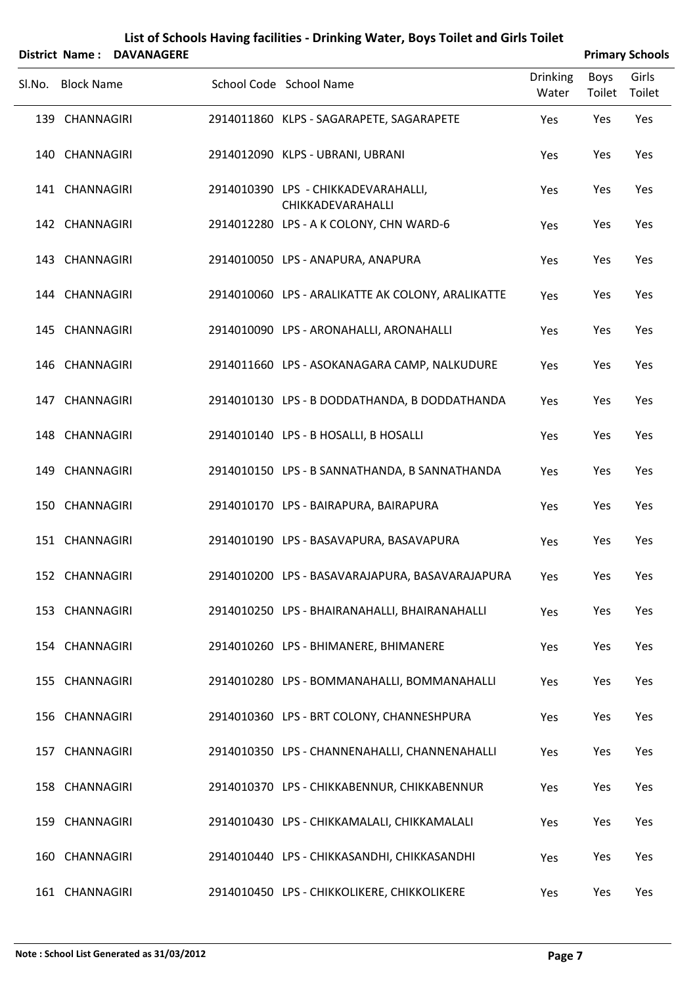|        |                   | <b>District Name: DAVANAGERE</b> | List of Schools Having facilities - Drinking Water, Boys Toilet and Girls Toilet |                          |                       | <b>Primary Schools</b> |
|--------|-------------------|----------------------------------|----------------------------------------------------------------------------------|--------------------------|-----------------------|------------------------|
| Sl.No. | <b>Block Name</b> |                                  | School Code School Name                                                          | <b>Drinking</b><br>Water | <b>Boys</b><br>Toilet | Girls<br>Toilet        |
|        | 139 CHANNAGIRI    |                                  | 2914011860 KLPS - SAGARAPETE, SAGARAPETE                                         | Yes                      | Yes                   | Yes                    |
|        | 140 CHANNAGIRI    |                                  | 2914012090 KLPS - UBRANI, UBRANI                                                 | Yes                      | Yes                   | Yes                    |
|        | 141 CHANNAGIRI    |                                  | 2914010390 LPS - CHIKKADEVARAHALLI,<br>CHIKKADEVARAHALLI                         | Yes                      | Yes                   | Yes                    |
|        | 142 CHANNAGIRI    |                                  | 2914012280 LPS - A K COLONY, CHN WARD-6                                          | Yes                      | Yes                   | Yes                    |
|        | 143 CHANNAGIRI    |                                  | 2914010050 LPS - ANAPURA, ANAPURA                                                | Yes                      | Yes                   | Yes                    |
|        | 144 CHANNAGIRI    |                                  | 2914010060 LPS - ARALIKATTE AK COLONY, ARALIKATTE                                | Yes                      | Yes                   | Yes                    |
|        | 145 CHANNAGIRI    |                                  | 2914010090 LPS - ARONAHALLI, ARONAHALLI                                          | Yes                      | Yes                   | Yes                    |
|        | 146 CHANNAGIRI    |                                  | 2914011660 LPS - ASOKANAGARA CAMP, NALKUDURE                                     | Yes                      | Yes                   | Yes                    |
|        | 147 CHANNAGIRI    |                                  | 2914010130 LPS - B DODDATHANDA, B DODDATHANDA                                    | Yes                      | Yes                   | Yes                    |
|        | 148 CHANNAGIRI    |                                  | 2914010140 LPS - B HOSALLI, B HOSALLI                                            | Yes                      | Yes                   | Yes                    |
|        | 149 CHANNAGIRI    |                                  | 2914010150 LPS - B SANNATHANDA, B SANNATHANDA                                    | Yes                      | Yes                   | Yes                    |
|        | 150 CHANNAGIRI    |                                  | 2914010170 LPS - BAIRAPURA, BAIRAPURA                                            | Yes                      | Yes                   | Yes                    |
|        | 151 CHANNAGIRI    |                                  | 2914010190 LPS - BASAVAPURA, BASAVAPURA                                          | Yes                      | Yes                   | Yes                    |
|        | 152 CHANNAGIRI    |                                  | 2914010200 LPS - BASAVARAJAPURA, BASAVARAJAPURA                                  | Yes                      | Yes                   | Yes                    |
|        | 153 CHANNAGIRI    |                                  | 2914010250 LPS - BHAIRANAHALLI, BHAIRANAHALLI                                    | Yes                      | Yes                   | Yes                    |
|        | 154 CHANNAGIRI    |                                  | 2914010260 LPS - BHIMANERE, BHIMANERE                                            | Yes                      | Yes                   | Yes                    |
|        | 155 CHANNAGIRI    |                                  | 2914010280 LPS - BOMMANAHALLI, BOMMANAHALLI                                      | Yes                      | Yes                   | Yes                    |
|        | 156 CHANNAGIRI    |                                  | 2914010360 LPS - BRT COLONY, CHANNESHPURA                                        | Yes                      | Yes                   | Yes                    |
|        | 157 CHANNAGIRI    |                                  | 2914010350 LPS - CHANNENAHALLI, CHANNENAHALLI                                    | Yes                      | Yes                   | Yes                    |
|        | 158 CHANNAGIRI    |                                  | 2914010370 LPS - CHIKKABENNUR, CHIKKABENNUR                                      | Yes                      | Yes                   | Yes                    |
|        | 159 CHANNAGIRI    |                                  | 2914010430 LPS - CHIKKAMALALI, CHIKKAMALALI                                      | Yes                      | Yes                   | Yes                    |
|        | 160 CHANNAGIRI    |                                  | 2914010440 LPS - CHIKKASANDHI, CHIKKASANDHI                                      | Yes                      | Yes                   | Yes                    |
|        | 161 CHANNAGIRI    |                                  | 2914010450 LPS - CHIKKOLIKERE, CHIKKOLIKERE                                      | Yes                      | Yes                   | Yes                    |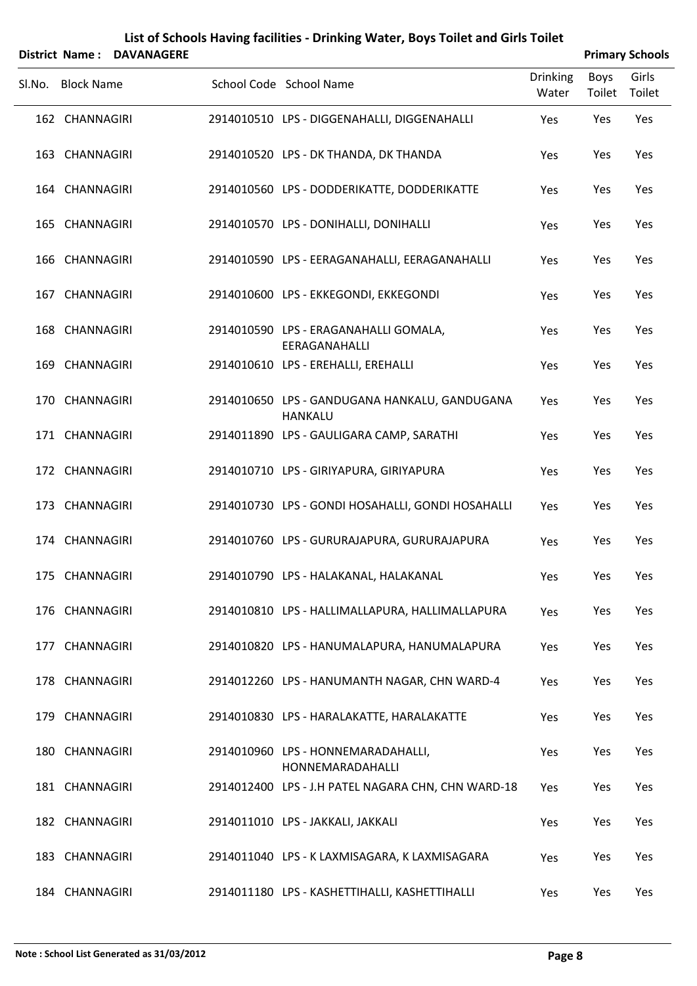| District Name: DAVANAGERE |                                                                 |                          |                | <b>Primary Schools</b> |
|---------------------------|-----------------------------------------------------------------|--------------------------|----------------|------------------------|
| SI.No. Block Name         | School Code School Name                                         | <b>Drinking</b><br>Water | Boys<br>Toilet | Girls<br>Toilet        |
| 162 CHANNAGIRI            | 2914010510 LPS - DIGGENAHALLI, DIGGENAHALLI                     | Yes                      | Yes            | Yes                    |
| 163 CHANNAGIRI            | 2914010520 LPS - DK THANDA, DK THANDA                           | Yes                      | Yes            | Yes                    |
| 164 CHANNAGIRI            | 2914010560 LPS - DODDERIKATTE, DODDERIKATTE                     | Yes                      | Yes            | Yes                    |
| 165 CHANNAGIRI            | 2914010570 LPS - DONIHALLI, DONIHALLI                           | Yes                      | Yes            | Yes                    |
| 166 CHANNAGIRI            | 2914010590 LPS - EERAGANAHALLI, EERAGANAHALLI                   | Yes                      | Yes            | Yes                    |
| 167 CHANNAGIRI            | 2914010600 LPS - EKKEGONDI, EKKEGONDI                           | Yes                      | Yes            | Yes                    |
| 168 CHANNAGIRI            | 2914010590 LPS - ERAGANAHALLI GOMALA,<br>EERAGANAHALLI          | Yes                      | Yes            | Yes                    |
| 169 CHANNAGIRI            | 2914010610 LPS - EREHALLI, EREHALLI                             | Yes                      | Yes            | Yes                    |
| 170 CHANNAGIRI            | 2914010650 LPS - GANDUGANA HANKALU, GANDUGANA<br><b>HANKALU</b> | Yes                      | Yes            | Yes                    |
| 171 CHANNAGIRI            | 2914011890 LPS - GAULIGARA CAMP, SARATHI                        | Yes                      | Yes            | Yes                    |
| 172 CHANNAGIRI            | 2914010710 LPS - GIRIYAPURA, GIRIYAPURA                         | Yes                      | Yes            | Yes                    |
| 173 CHANNAGIRI            | 2914010730 LPS - GONDI HOSAHALLI, GONDI HOSAHALLI               | Yes                      | Yes            | Yes                    |
| 174 CHANNAGIRI            | 2914010760 LPS - GURURAJAPURA, GURURAJAPURA                     | Yes                      | Yes            | Yes                    |
| 175 CHANNAGIRI            | 2914010790 LPS - HALAKANAL, HALAKANAL                           | Yes                      | Yes            | Yes                    |
| 176 CHANNAGIRI            | 2914010810 LPS - HALLIMALLAPURA, HALLIMALLAPURA                 | Yes                      | Yes            | Yes                    |
| 177 CHANNAGIRI            | 2914010820 LPS - HANUMALAPURA, HANUMALAPURA                     | Yes                      | Yes            | Yes                    |
| 178 CHANNAGIRI            | 2914012260 LPS - HANUMANTH NAGAR, CHN WARD-4                    | Yes                      | Yes            | Yes                    |
| 179 CHANNAGIRI            | 2914010830 LPS - HARALAKATTE, HARALAKATTE                       | Yes                      | Yes            | Yes                    |
| 180 CHANNAGIRI            | 2914010960 LPS - HONNEMARADAHALLI,<br>HONNEMARADAHALLI          | Yes                      | Yes            | Yes                    |
| 181 CHANNAGIRI            | 2914012400 LPS - J.H PATEL NAGARA CHN, CHN WARD-18              | Yes                      | Yes            | Yes                    |
| 182 CHANNAGIRI            | 2914011010 LPS - JAKKALI, JAKKALI                               | Yes                      | Yes            | Yes                    |
| 183 CHANNAGIRI            | 2914011040 LPS - K LAXMISAGARA, K LAXMISAGARA                   | Yes                      | Yes            | Yes                    |
| 184 CHANNAGIRI            | 2914011180 LPS - KASHETTIHALLI, KASHETTIHALLI                   | Yes                      | Yes            | Yes                    |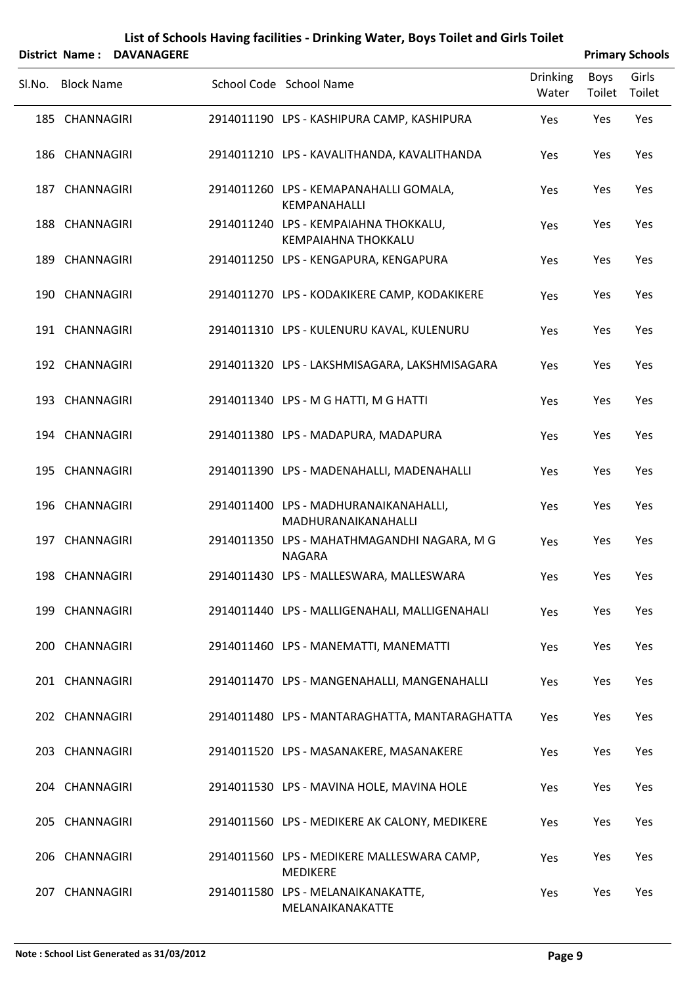|        |                   | District Name: DAVANAGERE |                                                                     |                          |                | <b>Primary Schools</b> |
|--------|-------------------|---------------------------|---------------------------------------------------------------------|--------------------------|----------------|------------------------|
| SI.No. | <b>Block Name</b> |                           | School Code School Name                                             | <b>Drinking</b><br>Water | Boys<br>Toilet | Girls<br>Toilet        |
|        | 185 CHANNAGIRI    |                           | 2914011190 LPS - KASHIPURA CAMP, KASHIPURA                          | Yes                      | Yes            | Yes                    |
|        | 186 CHANNAGIRI    |                           | 2914011210 LPS - KAVALITHANDA, KAVALITHANDA                         | Yes                      | Yes            | Yes                    |
|        | 187 CHANNAGIRI    |                           | 2914011260 LPS - KEMAPANAHALLI GOMALA,<br><b>KEMPANAHALLI</b>       | Yes                      | Yes            | Yes                    |
|        | 188 CHANNAGIRI    |                           | 2914011240 LPS - KEMPAIAHNA THOKKALU,<br><b>KEMPAIAHNA THOKKALU</b> | Yes                      | Yes            | Yes                    |
|        | 189 CHANNAGIRI    |                           | 2914011250 LPS - KENGAPURA, KENGAPURA                               | Yes                      | Yes            | Yes                    |
|        | 190 CHANNAGIRI    |                           | 2914011270 LPS - KODAKIKERE CAMP, KODAKIKERE                        | Yes                      | Yes            | Yes                    |
|        | 191 CHANNAGIRI    |                           | 2914011310 LPS - KULENURU KAVAL, KULENURU                           | Yes                      | Yes            | Yes                    |
|        | 192 CHANNAGIRI    |                           | 2914011320 LPS - LAKSHMISAGARA, LAKSHMISAGARA                       | Yes                      | Yes            | Yes                    |
|        | 193 CHANNAGIRI    |                           | 2914011340 LPS - M G HATTI, M G HATTI                               | Yes                      | Yes            | Yes                    |
|        | 194 CHANNAGIRI    |                           | 2914011380 LPS - MADAPURA, MADAPURA                                 | Yes                      | Yes            | Yes                    |
|        | 195 CHANNAGIRI    |                           | 2914011390 LPS - MADENAHALLI, MADENAHALLI                           | Yes                      | Yes            | Yes                    |
|        | 196 CHANNAGIRI    |                           | 2914011400 LPS - MADHURANAIKANAHALLI,<br>MADHURANAIKANAHALLI        | Yes                      | Yes            | Yes                    |
|        | 197 CHANNAGIRI    |                           | 2914011350 LPS - MAHATHMAGANDHI NAGARA, M G<br><b>NAGARA</b>        | Yes                      | Yes            | Yes                    |
|        | 198 CHANNAGIRI    |                           | 2914011430 LPS - MALLESWARA, MALLESWARA                             | Yes                      | Yes            | Yes                    |
|        | 199 CHANNAGIRI    |                           | 2914011440 LPS - MALLIGENAHALI, MALLIGENAHALI                       | Yes                      | Yes            | Yes                    |
|        | 200 CHANNAGIRI    |                           | 2914011460 LPS - MANEMATTI, MANEMATTI                               | Yes                      | Yes            | Yes                    |
|        | 201 CHANNAGIRI    |                           | 2914011470 LPS - MANGENAHALLI, MANGENAHALLI                         | Yes                      | Yes            | Yes                    |
|        | 202 CHANNAGIRI    |                           | 2914011480 LPS - MANTARAGHATTA, MANTARAGHATTA                       | Yes                      | Yes            | Yes                    |
|        | 203 CHANNAGIRI    |                           | 2914011520 LPS - MASANAKERE, MASANAKERE                             | Yes                      | Yes            | Yes                    |
|        | 204 CHANNAGIRI    |                           | 2914011530 LPS - MAVINA HOLE, MAVINA HOLE                           | Yes                      | Yes            | Yes                    |
|        | 205 CHANNAGIRI    |                           | 2914011560 LPS - MEDIKERE AK CALONY, MEDIKERE                       | Yes                      | Yes            | Yes                    |
|        | 206 CHANNAGIRI    |                           | 2914011560 LPS - MEDIKERE MALLESWARA CAMP,<br><b>MEDIKERE</b>       | Yes                      | Yes            | Yes                    |
|        | 207 CHANNAGIRI    |                           | 2914011580 LPS - MELANAIKANAKATTE,<br>MELANAIKANAKATTE              | Yes                      | Yes            | Yes                    |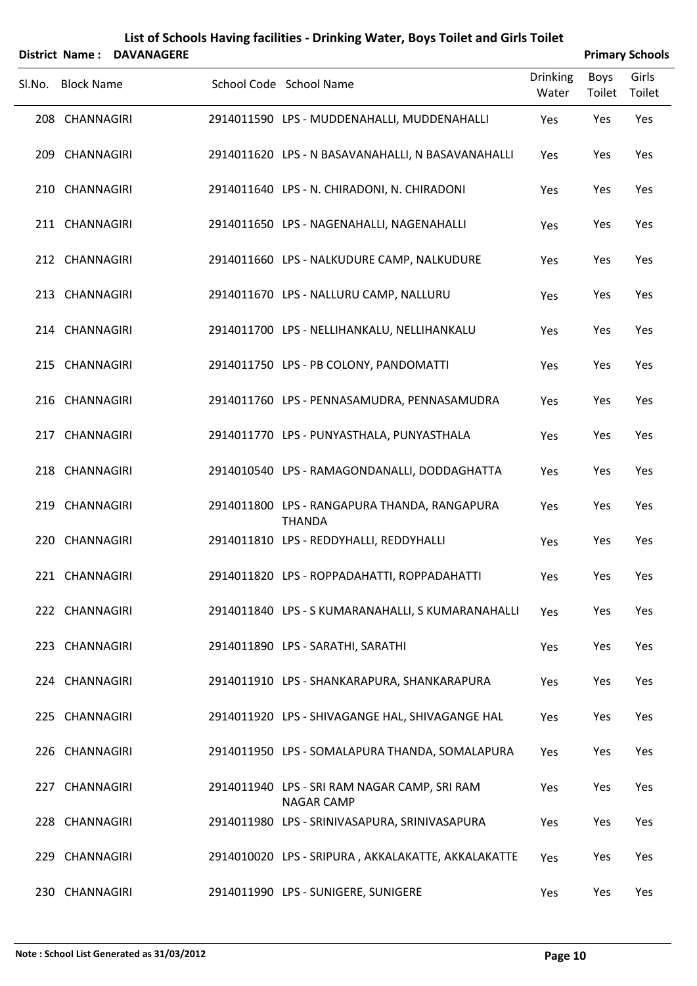|        |                   | <b>District Name: DAVANAGERE</b> |                                                                   |                   |                | <b>Primary Schools</b> |
|--------|-------------------|----------------------------------|-------------------------------------------------------------------|-------------------|----------------|------------------------|
| SI.No. | <b>Block Name</b> |                                  | School Code School Name                                           | Drinking<br>Water | Boys<br>Toilet | Girls<br>Toilet        |
|        | 208 CHANNAGIRI    |                                  | 2914011590 LPS - MUDDENAHALLI, MUDDENAHALLI                       | Yes               | Yes            | Yes                    |
|        | 209 CHANNAGIRI    |                                  | 2914011620 LPS - N BASAVANAHALLI, N BASAVANAHALLI                 | Yes               | Yes            | Yes                    |
|        | 210 CHANNAGIRI    |                                  | 2914011640 LPS - N. CHIRADONI, N. CHIRADONI                       | Yes               | Yes            | Yes                    |
|        | 211 CHANNAGIRI    |                                  | 2914011650 LPS - NAGENAHALLI, NAGENAHALLI                         | Yes               | Yes            | Yes                    |
|        | 212 CHANNAGIRI    |                                  | 2914011660 LPS - NALKUDURE CAMP, NALKUDURE                        | Yes               | Yes            | Yes                    |
|        | 213 CHANNAGIRI    |                                  | 2914011670 LPS - NALLURU CAMP, NALLURU                            | Yes               | Yes            | Yes                    |
|        | 214 CHANNAGIRI    |                                  | 2914011700 LPS - NELLIHANKALU, NELLIHANKALU                       | Yes               | Yes            | Yes                    |
|        | 215 CHANNAGIRI    |                                  | 2914011750 LPS - PB COLONY, PANDOMATTI                            | Yes               | Yes            | Yes                    |
|        | 216 CHANNAGIRI    |                                  | 2914011760 LPS - PENNASAMUDRA, PENNASAMUDRA                       | Yes               | Yes            | Yes                    |
|        | 217 CHANNAGIRI    |                                  | 2914011770 LPS - PUNYASTHALA, PUNYASTHALA                         | Yes               | Yes            | Yes                    |
|        | 218 CHANNAGIRI    |                                  | 2914010540 LPS - RAMAGONDANALLI, DODDAGHATTA                      | Yes               | Yes            | Yes                    |
|        | 219 CHANNAGIRI    |                                  | 2914011800 LPS - RANGAPURA THANDA, RANGAPURA<br><b>THANDA</b>     | Yes               | Yes            | Yes                    |
|        | 220 CHANNAGIRI    |                                  | 2914011810 LPS - REDDYHALLI, REDDYHALLI                           | Yes               | Yes            | Yes                    |
|        | 221 CHANNAGIRI    |                                  | 2914011820 LPS - ROPPADAHATTI, ROPPADAHATTI                       | Yes               | Yes            | Yes                    |
|        | 222 CHANNAGIRI    |                                  | 2914011840 LPS - S KUMARANAHALLI, S KUMARANAHALLI                 | Yes               | Yes            | Yes                    |
|        | 223 CHANNAGIRI    |                                  | 2914011890 LPS - SARATHI, SARATHI                                 | Yes               | Yes            | Yes                    |
|        | 224 CHANNAGIRI    |                                  | 2914011910 LPS - SHANKARAPURA, SHANKARAPURA                       | Yes               | Yes            | Yes                    |
|        | 225 CHANNAGIRI    |                                  | 2914011920 LPS - SHIVAGANGE HAL, SHIVAGANGE HAL                   | Yes               | Yes            | Yes                    |
|        | 226 CHANNAGIRI    |                                  | 2914011950 LPS - SOMALAPURA THANDA, SOMALAPURA                    | Yes               | Yes            | Yes                    |
|        | 227 CHANNAGIRI    |                                  | 2914011940 LPS - SRI RAM NAGAR CAMP, SRI RAM<br><b>NAGAR CAMP</b> | Yes               | Yes            | Yes                    |
|        | 228 CHANNAGIRI    |                                  | 2914011980 LPS - SRINIVASAPURA, SRINIVASAPURA                     | Yes               | Yes            | Yes                    |
|        | 229 CHANNAGIRI    |                                  | 2914010020 LPS - SRIPURA, AKKALAKATTE, AKKALAKATTE                | Yes               | Yes            | Yes                    |
|        | 230 CHANNAGIRI    |                                  | 2914011990 LPS - SUNIGERE, SUNIGERE                               | Yes               | Yes            | Yes                    |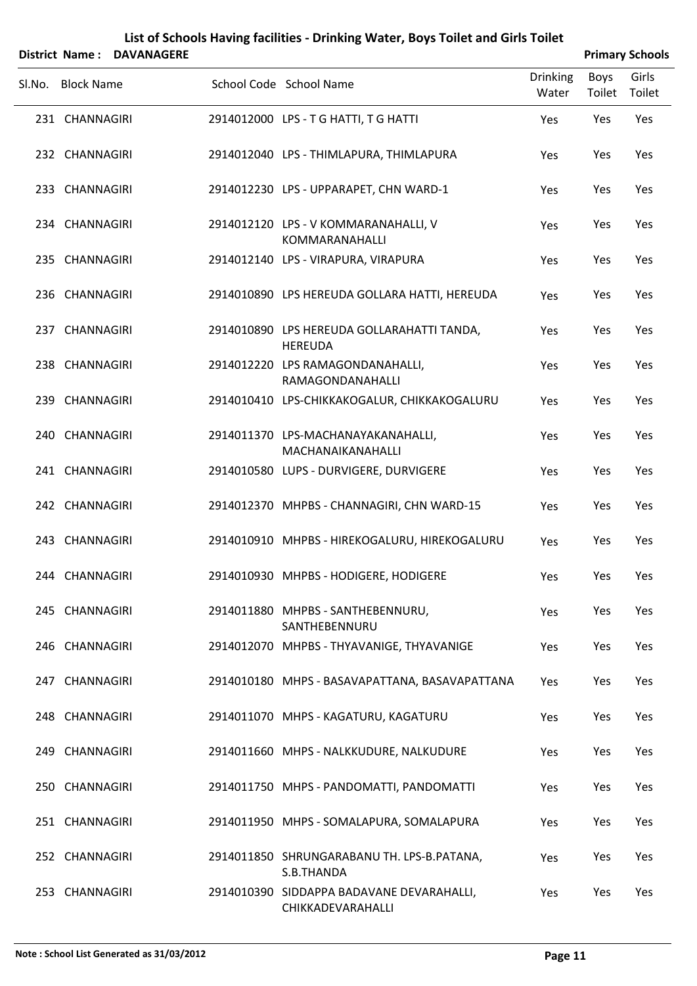|                   | District Name: DAVANAGERE |                                                                |                          |                | <b>Primary Schools</b> |
|-------------------|---------------------------|----------------------------------------------------------------|--------------------------|----------------|------------------------|
| SI.No. Block Name |                           | School Code School Name                                        | <b>Drinking</b><br>Water | Boys<br>Toilet | Girls<br>Toilet        |
| 231 CHANNAGIRI    |                           | 2914012000 LPS - T G HATTI, T G HATTI                          | Yes                      | Yes            | Yes                    |
| 232 CHANNAGIRI    |                           | 2914012040 LPS - THIMLAPURA, THIMLAPURA                        | Yes                      | Yes            | Yes                    |
| 233 CHANNAGIRI    |                           | 2914012230 LPS - UPPARAPET, CHN WARD-1                         | Yes                      | Yes            | Yes                    |
| 234 CHANNAGIRI    |                           | 2914012120 LPS - V KOMMARANAHALLI, V<br>KOMMARANAHALLI         | Yes                      | Yes            | Yes                    |
| 235 CHANNAGIRI    |                           | 2914012140 LPS - VIRAPURA, VIRAPURA                            | Yes                      | Yes            | Yes                    |
| 236 CHANNAGIRI    |                           | 2914010890 LPS HEREUDA GOLLARA HATTI, HEREUDA                  | Yes                      | Yes            | Yes                    |
| 237 CHANNAGIRI    |                           | 2914010890 LPS HEREUDA GOLLARAHATTI TANDA,<br><b>HEREUDA</b>   | Yes                      | Yes            | Yes                    |
| 238 CHANNAGIRI    |                           | 2914012220 LPS RAMAGONDANAHALLI,<br>RAMAGONDANAHALLI           | Yes                      | Yes            | Yes                    |
| 239 CHANNAGIRI    |                           | 2914010410 LPS-CHIKKAKOGALUR, CHIKKAKOGALURU                   | Yes                      | Yes            | Yes                    |
| 240 CHANNAGIRI    |                           | 2914011370 LPS-MACHANAYAKANAHALLI,<br>MACHANAIKANAHALLI        | Yes                      | Yes            | Yes                    |
| 241 CHANNAGIRI    |                           | 2914010580 LUPS - DURVIGERE, DURVIGERE                         | Yes                      | Yes            | Yes                    |
| 242 CHANNAGIRI    |                           | 2914012370 MHPBS - CHANNAGIRI, CHN WARD-15                     | Yes                      | Yes            | Yes                    |
| 243 CHANNAGIRI    |                           | 2914010910 MHPBS - HIREKOGALURU, HIREKOGALURU                  | Yes                      | Yes            | Yes                    |
| 244 CHANNAGIRI    |                           | 2914010930 MHPBS - HODIGERE, HODIGERE                          | Yes                      | Yes            | Yes                    |
| 245 CHANNAGIRI    |                           | 2914011880 MHPBS - SANTHEBENNURU,<br>SANTHEBENNURU             | Yes                      | Yes            | Yes                    |
| 246 CHANNAGIRI    |                           | 2914012070 MHPBS - THYAVANIGE, THYAVANIGE                      | Yes                      | Yes            | Yes                    |
| 247 CHANNAGIRI    |                           | 2914010180 MHPS - BASAVAPATTANA, BASAVAPATTANA                 | Yes                      | Yes            | Yes                    |
| 248 CHANNAGIRI    |                           | 2914011070 MHPS - KAGATURU, KAGATURU                           | Yes                      | Yes            | Yes                    |
| 249 CHANNAGIRI    |                           | 2914011660 MHPS - NALKKUDURE, NALKUDURE                        | Yes                      | Yes            | Yes                    |
| 250 CHANNAGIRI    |                           | 2914011750 MHPS - PANDOMATTI, PANDOMATTI                       | Yes                      | Yes            | Yes                    |
| 251 CHANNAGIRI    |                           | 2914011950 MHPS - SOMALAPURA, SOMALAPURA                       | Yes                      | Yes            | Yes                    |
| 252 CHANNAGIRI    |                           | 2914011850 SHRUNGARABANU TH. LPS-B.PATANA,<br>S.B.THANDA       | Yes                      | Yes            | Yes                    |
| 253 CHANNAGIRI    |                           | 2914010390 SIDDAPPA BADAVANE DEVARAHALLI,<br>CHIKKADEVARAHALLI | Yes                      | Yes            | Yes                    |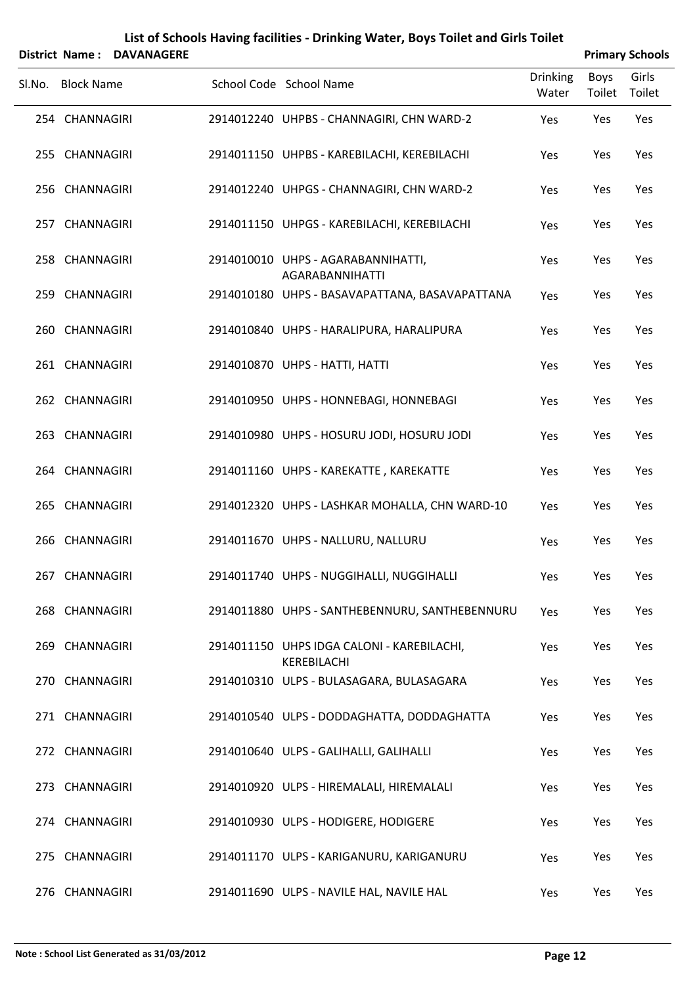|        |                   | <b>District Name: DAVANAGERE</b> |                                                              |                          |                | <b>Primary Schools</b> |
|--------|-------------------|----------------------------------|--------------------------------------------------------------|--------------------------|----------------|------------------------|
| SI.No. | <b>Block Name</b> |                                  | School Code School Name                                      | <b>Drinking</b><br>Water | Boys<br>Toilet | Girls<br>Toilet        |
|        | 254 CHANNAGIRI    |                                  | 2914012240 UHPBS - CHANNAGIRI, CHN WARD-2                    | Yes                      | Yes            | Yes                    |
|        | 255 CHANNAGIRI    |                                  | 2914011150 UHPBS - KAREBILACHI, KEREBILACHI                  | Yes                      | Yes            | Yes                    |
|        | 256 CHANNAGIRI    |                                  | 2914012240 UHPGS - CHANNAGIRI, CHN WARD-2                    | Yes                      | Yes            | Yes                    |
|        | 257 CHANNAGIRI    |                                  | 2914011150 UHPGS - KAREBILACHI, KEREBILACHI                  | Yes                      | Yes            | Yes                    |
|        | 258 CHANNAGIRI    |                                  | 2914010010 UHPS - AGARABANNIHATTI,<br><b>AGARABANNIHATTI</b> | Yes                      | Yes            | Yes                    |
|        | 259 CHANNAGIRI    |                                  | 2914010180 UHPS - BASAVAPATTANA, BASAVAPATTANA               | Yes                      | Yes            | Yes                    |
|        | 260 CHANNAGIRI    |                                  | 2914010840 UHPS - HARALIPURA, HARALIPURA                     | Yes                      | Yes            | Yes                    |
|        | 261 CHANNAGIRI    |                                  | 2914010870 UHPS - HATTI, HATTI                               | Yes                      | Yes            | Yes                    |
|        | 262 CHANNAGIRI    |                                  | 2914010950 UHPS - HONNEBAGI, HONNEBAGI                       | Yes                      | Yes            | Yes                    |
|        | 263 CHANNAGIRI    |                                  | 2914010980 UHPS - HOSURU JODI, HOSURU JODI                   | Yes                      | Yes            | Yes                    |
|        | 264 CHANNAGIRI    |                                  | 2914011160 UHPS - KAREKATTE, KAREKATTE                       | Yes                      | Yes            | Yes                    |
|        | 265 CHANNAGIRI    |                                  | 2914012320 UHPS - LASHKAR MOHALLA, CHN WARD-10               | Yes                      | Yes            | Yes                    |
|        | 266 CHANNAGIRI    |                                  | 2914011670 UHPS - NALLURU, NALLURU                           | Yes                      | Yes            | Yes                    |
|        | 267 CHANNAGIRI    |                                  | 2914011740 UHPS - NUGGIHALLI, NUGGIHALLI                     | Yes                      | Yes            | Yes                    |
|        | 268 CHANNAGIRI    |                                  | 2914011880 UHPS - SANTHEBENNURU, SANTHEBENNURU               | Yes                      | Yes            | Yes                    |
|        | 269 CHANNAGIRI    |                                  | 2914011150 UHPS IDGA CALONI - KAREBILACHI,<br>KEREBILACHI    | Yes                      | Yes            | Yes                    |
|        | 270 CHANNAGIRI    |                                  | 2914010310 ULPS - BULASAGARA, BULASAGARA                     | Yes                      | Yes            | Yes                    |
|        | 271 CHANNAGIRI    |                                  | 2914010540 ULPS - DODDAGHATTA, DODDAGHATTA                   | Yes                      | Yes            | Yes                    |
|        | 272 CHANNAGIRI    |                                  | 2914010640 ULPS - GALIHALLI, GALIHALLI                       | Yes                      | Yes            | Yes                    |
|        | 273 CHANNAGIRI    |                                  | 2914010920 ULPS - HIREMALALI, HIREMALALI                     | Yes                      | Yes            | Yes                    |
|        | 274 CHANNAGIRI    |                                  | 2914010930 ULPS - HODIGERE, HODIGERE                         | Yes                      | Yes            | Yes                    |
|        | 275 CHANNAGIRI    |                                  | 2914011170 ULPS - KARIGANURU, KARIGANURU                     | Yes                      | Yes            | Yes                    |
|        | 276 CHANNAGIRI    |                                  | 2914011690 ULPS - NAVILE HAL, NAVILE HAL                     | Yes                      | Yes            | Yes                    |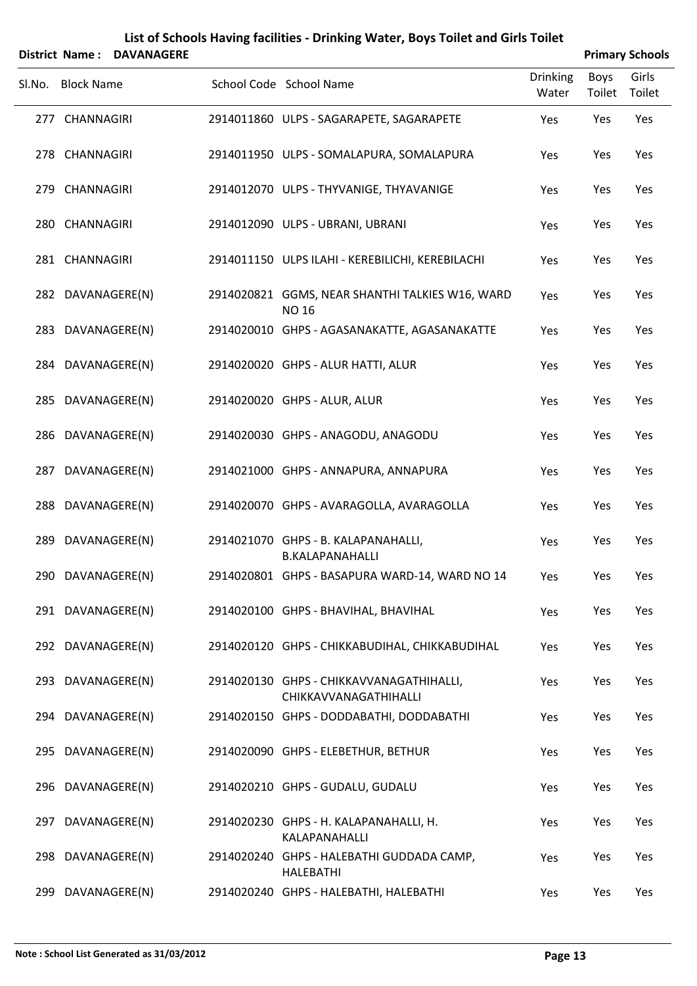|        |                   | District Name: DAVANAGERE |                                                                   |                          |                | <b>Primary Schools</b> |
|--------|-------------------|---------------------------|-------------------------------------------------------------------|--------------------------|----------------|------------------------|
| SI.No. | <b>Block Name</b> |                           | School Code School Name                                           | <b>Drinking</b><br>Water | Boys<br>Toilet | Girls<br>Toilet        |
|        | 277 CHANNAGIRI    |                           | 2914011860 ULPS - SAGARAPETE, SAGARAPETE                          | Yes                      | Yes            | Yes                    |
|        | 278 CHANNAGIRI    |                           | 2914011950 ULPS - SOMALAPURA, SOMALAPURA                          | Yes                      | Yes            | Yes                    |
|        | 279 CHANNAGIRI    |                           | 2914012070 ULPS - THYVANIGE, THYAVANIGE                           | Yes                      | Yes            | Yes                    |
|        | 280 CHANNAGIRI    |                           | 2914012090 ULPS - UBRANI, UBRANI                                  | Yes                      | Yes            | Yes                    |
|        | 281 CHANNAGIRI    |                           | 2914011150 ULPS ILAHI - KEREBILICHI, KEREBILACHI                  | Yes                      | Yes            | Yes                    |
|        | 282 DAVANAGERE(N) |                           | 2914020821 GGMS, NEAR SHANTHI TALKIES W16, WARD<br><b>NO 16</b>   | Yes                      | Yes            | Yes                    |
|        | 283 DAVANAGERE(N) |                           | 2914020010 GHPS - AGASANAKATTE, AGASANAKATTE                      | Yes                      | Yes            | Yes                    |
|        | 284 DAVANAGERE(N) |                           | 2914020020 GHPS - ALUR HATTI, ALUR                                | Yes                      | Yes            | Yes                    |
|        | 285 DAVANAGERE(N) |                           | 2914020020 GHPS - ALUR, ALUR                                      | Yes                      | Yes            | Yes                    |
|        | 286 DAVANAGERE(N) |                           | 2914020030 GHPS - ANAGODU, ANAGODU                                | Yes                      | Yes            | Yes                    |
|        | 287 DAVANAGERE(N) |                           | 2914021000 GHPS - ANNAPURA, ANNAPURA                              | Yes                      | Yes            | Yes                    |
|        | 288 DAVANAGERE(N) |                           | 2914020070 GHPS - AVARAGOLLA, AVARAGOLLA                          | Yes                      | Yes            | Yes                    |
|        | 289 DAVANAGERE(N) |                           | 2914021070 GHPS - B. KALAPANAHALLI,<br><b>B.KALAPANAHALLI</b>     | Yes                      | Yes            | Yes                    |
|        | 290 DAVANAGERE(N) |                           | 2914020801 GHPS - BASAPURA WARD-14, WARD NO 14                    | Yes                      | Yes            | Yes                    |
|        | 291 DAVANAGERE(N) |                           | 2914020100 GHPS - BHAVIHAL, BHAVIHAL                              | Yes                      | Yes            | Yes                    |
|        | 292 DAVANAGERE(N) |                           | 2914020120 GHPS - CHIKKABUDIHAL, CHIKKABUDIHAL                    | Yes                      | Yes            | Yes                    |
|        | 293 DAVANAGERE(N) |                           | 2914020130 GHPS - CHIKKAVVANAGATHIHALLI,<br>CHIKKAVVANAGATHIHALLI | Yes                      | Yes            | Yes                    |
|        | 294 DAVANAGERE(N) |                           | 2914020150 GHPS - DODDABATHI, DODDABATHI                          | Yes                      | Yes            | Yes                    |
|        | 295 DAVANAGERE(N) |                           | 2914020090 GHPS - ELEBETHUR, BETHUR                               | Yes                      | Yes            | Yes                    |
|        | 296 DAVANAGERE(N) |                           | 2914020210 GHPS - GUDALU, GUDALU                                  | Yes                      | Yes            | Yes                    |
|        | 297 DAVANAGERE(N) |                           | 2914020230 GHPS - H. KALAPANAHALLI, H.<br>KALAPANAHALLI           | Yes                      | Yes            | Yes                    |
|        | 298 DAVANAGERE(N) |                           | 2914020240 GHPS - HALEBATHI GUDDADA CAMP,<br><b>HALEBATHI</b>     | Yes                      | Yes            | Yes                    |
|        | 299 DAVANAGERE(N) |                           | 2914020240 GHPS - HALEBATHI, HALEBATHI                            | Yes                      | Yes            | Yes                    |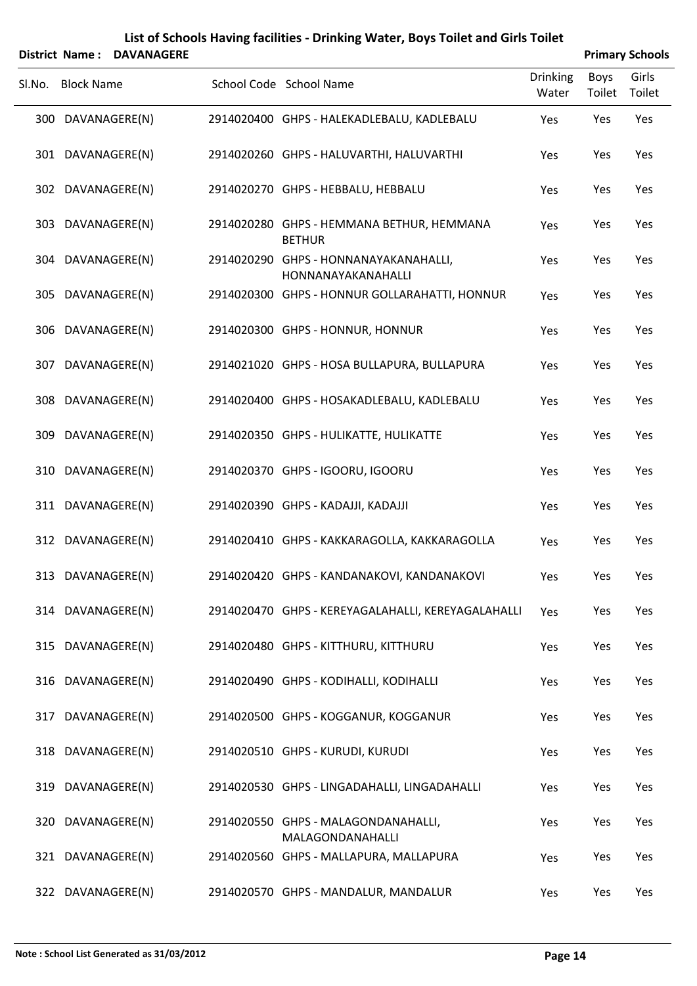|        |                   | District Name: DAVANAGERE |                                                             |                          |                | <b>Primary Schools</b> |
|--------|-------------------|---------------------------|-------------------------------------------------------------|--------------------------|----------------|------------------------|
| SI.No. | <b>Block Name</b> |                           | School Code School Name                                     | <b>Drinking</b><br>Water | Boys<br>Toilet | Girls<br>Toilet        |
|        |                   | 300 DAVANAGERE(N)         | 2914020400 GHPS - HALEKADLEBALU, KADLEBALU                  | Yes                      | Yes            | Yes                    |
|        |                   | 301 DAVANAGERE(N)         | 2914020260 GHPS - HALUVARTHI, HALUVARTHI                    | Yes                      | Yes            | Yes                    |
|        |                   | 302 DAVANAGERE(N)         | 2914020270 GHPS - HEBBALU, HEBBALU                          | Yes                      | Yes            | Yes                    |
|        |                   | 303 DAVANAGERE(N)         | 2914020280 GHPS - HEMMANA BETHUR, HEMMANA<br><b>BETHUR</b>  | Yes                      | Yes            | Yes                    |
|        |                   | 304 DAVANAGERE(N)         | 2914020290 GHPS - HONNANAYAKANAHALLI,<br>HONNANAYAKANAHALLI | Yes                      | Yes            | Yes                    |
|        |                   | 305 DAVANAGERE(N)         | 2914020300 GHPS - HONNUR GOLLARAHATTI, HONNUR               | Yes                      | Yes            | Yes                    |
|        |                   | 306 DAVANAGERE(N)         | 2914020300 GHPS - HONNUR, HONNUR                            | Yes                      | Yes            | Yes                    |
|        |                   | 307 DAVANAGERE(N)         | 2914021020 GHPS - HOSA BULLAPURA, BULLAPURA                 | Yes                      | Yes            | Yes                    |
|        |                   | 308 DAVANAGERE(N)         | 2914020400 GHPS - HOSAKADLEBALU, KADLEBALU                  | Yes                      | Yes            | Yes                    |
|        |                   | 309 DAVANAGERE(N)         | 2914020350 GHPS - HULIKATTE, HULIKATTE                      | Yes                      | Yes            | Yes                    |
|        |                   | 310 DAVANAGERE(N)         | 2914020370 GHPS - IGOORU, IGOORU                            | Yes                      | Yes            | Yes                    |
|        |                   | 311 DAVANAGERE(N)         | 2914020390 GHPS - KADAJJI, KADAJJI                          | Yes                      | Yes            | Yes                    |
|        |                   | 312 DAVANAGERE(N)         | 2914020410 GHPS - KAKKARAGOLLA, KAKKARAGOLLA                | Yes                      | Yes            | Yes                    |
|        |                   | 313 DAVANAGERE(N)         | 2914020420 GHPS - KANDANAKOVI, KANDANAKOVI                  | Yes                      | Yes            | Yes                    |
|        |                   | 314 DAVANAGERE(N)         | 2914020470 GHPS - KEREYAGALAHALLI, KEREYAGALAHALLI          | Yes                      | Yes            | Yes                    |
|        |                   | 315 DAVANAGERE(N)         | 2914020480 GHPS - KITTHURU, KITTHURU                        | Yes                      | Yes            | Yes                    |
|        |                   | 316 DAVANAGERE(N)         | 2914020490 GHPS - KODIHALLI, KODIHALLI                      | Yes                      | Yes            | Yes                    |
|        |                   | 317 DAVANAGERE(N)         | 2914020500 GHPS - KOGGANUR, KOGGANUR                        | Yes                      | Yes            | Yes                    |
|        |                   | 318 DAVANAGERE(N)         | 2914020510 GHPS - KURUDI, KURUDI                            | Yes                      | Yes            | Yes                    |
|        |                   | 319 DAVANAGERE(N)         | 2914020530 GHPS - LINGADAHALLI, LINGADAHALLI                | Yes                      | Yes            | Yes                    |
|        |                   | 320 DAVANAGERE(N)         | 2914020550 GHPS - MALAGONDANAHALLI,<br>MALAGONDANAHALLI     | Yes                      | Yes            | Yes                    |
|        |                   | 321 DAVANAGERE(N)         | 2914020560 GHPS - MALLAPURA, MALLAPURA                      | Yes                      | Yes            | Yes                    |
|        |                   | 322 DAVANAGERE(N)         | 2914020570 GHPS - MANDALUR, MANDALUR                        | Yes                      | Yes            | Yes                    |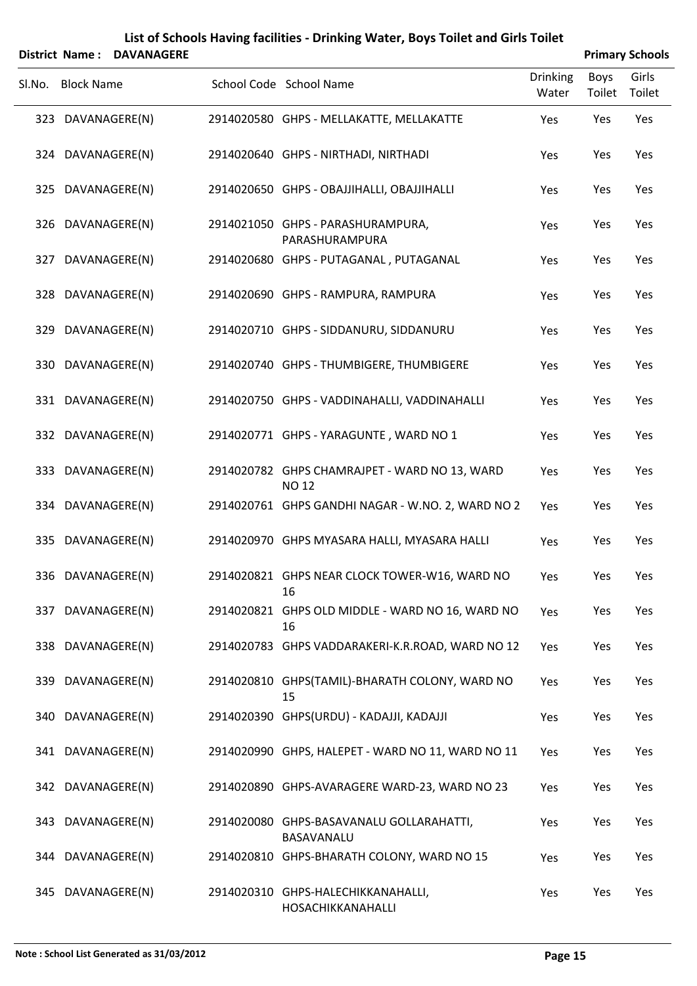|                   | District Name: DAVANAGERE |                                                               |                          |                | <b>Primary Schools</b> |
|-------------------|---------------------------|---------------------------------------------------------------|--------------------------|----------------|------------------------|
| Sl.No. Block Name |                           | School Code School Name                                       | <b>Drinking</b><br>Water | Boys<br>Toilet | Girls<br>Toilet        |
| 323 DAVANAGERE(N) |                           | 2914020580 GHPS - MELLAKATTE, MELLAKATTE                      | Yes                      | Yes            | Yes                    |
| 324 DAVANAGERE(N) |                           | 2914020640 GHPS - NIRTHADI, NIRTHADI                          | Yes                      | Yes            | Yes                    |
| 325 DAVANAGERE(N) |                           | 2914020650 GHPS - OBAJJIHALLI, OBAJJIHALLI                    | Yes                      | Yes            | Yes                    |
| 326 DAVANAGERE(N) |                           | 2914021050 GHPS - PARASHURAMPURA,<br>PARASHURAMPURA           | Yes                      | Yes            | Yes                    |
| 327 DAVANAGERE(N) |                           | 2914020680 GHPS - PUTAGANAL, PUTAGANAL                        | Yes                      | Yes            | Yes                    |
| 328 DAVANAGERE(N) |                           | 2914020690 GHPS - RAMPURA, RAMPURA                            | Yes                      | Yes            | Yes                    |
| 329 DAVANAGERE(N) |                           | 2914020710 GHPS - SIDDANURU, SIDDANURU                        | Yes                      | Yes            | Yes                    |
| 330 DAVANAGERE(N) |                           | 2914020740 GHPS - THUMBIGERE, THUMBIGERE                      | Yes                      | Yes            | Yes                    |
| 331 DAVANAGERE(N) |                           | 2914020750 GHPS - VADDINAHALLI, VADDINAHALLI                  | Yes                      | Yes            | Yes                    |
| 332 DAVANAGERE(N) |                           | 2914020771 GHPS - YARAGUNTE, WARD NO 1                        | Yes                      | Yes            | Yes                    |
| 333 DAVANAGERE(N) |                           | 2914020782 GHPS CHAMRAJPET - WARD NO 13, WARD<br><b>NO 12</b> | Yes                      | Yes            | Yes                    |
| 334 DAVANAGERE(N) |                           | 2914020761 GHPS GANDHI NAGAR - W.NO. 2, WARD NO 2             | Yes                      | Yes            | Yes                    |
| 335 DAVANAGERE(N) |                           | 2914020970 GHPS MYASARA HALLI, MYASARA HALLI                  | Yes                      | Yes            | Yes                    |
| 336 DAVANAGERE(N) |                           | 2914020821 GHPS NEAR CLOCK TOWER-W16, WARD NO<br>16           | Yes                      | Yes            | Yes                    |
| 337 DAVANAGERE(N) |                           | 2914020821 GHPS OLD MIDDLE - WARD NO 16, WARD NO<br>16        | Yes                      | Yes            | Yes                    |
| 338 DAVANAGERE(N) |                           | 2914020783 GHPS VADDARAKERI-K.R.ROAD, WARD NO 12              | Yes                      | Yes            | Yes                    |
| 339 DAVANAGERE(N) |                           | 2914020810 GHPS(TAMIL)-BHARATH COLONY, WARD NO<br>15          | Yes                      | Yes            | Yes                    |
| 340 DAVANAGERE(N) |                           | 2914020390 GHPS(URDU) - KADAJJI, KADAJJI                      | Yes                      | Yes            | Yes                    |
| 341 DAVANAGERE(N) |                           | 2914020990 GHPS, HALEPET - WARD NO 11, WARD NO 11             | Yes                      | Yes            | Yes                    |
| 342 DAVANAGERE(N) |                           | 2914020890 GHPS-AVARAGERE WARD-23, WARD NO 23                 | Yes                      | Yes            | Yes                    |
| 343 DAVANAGERE(N) |                           | 2914020080 GHPS-BASAVANALU GOLLARAHATTI,<br>BASAVANALU        | Yes                      | Yes            | Yes                    |
| 344 DAVANAGERE(N) |                           | 2914020810 GHPS-BHARATH COLONY, WARD NO 15                    | Yes                      | Yes            | Yes                    |
| 345 DAVANAGERE(N) |                           | 2914020310 GHPS-HALECHIKKANAHALLI,<br>HOSACHIKKANAHALLI       | Yes                      | Yes            | Yes                    |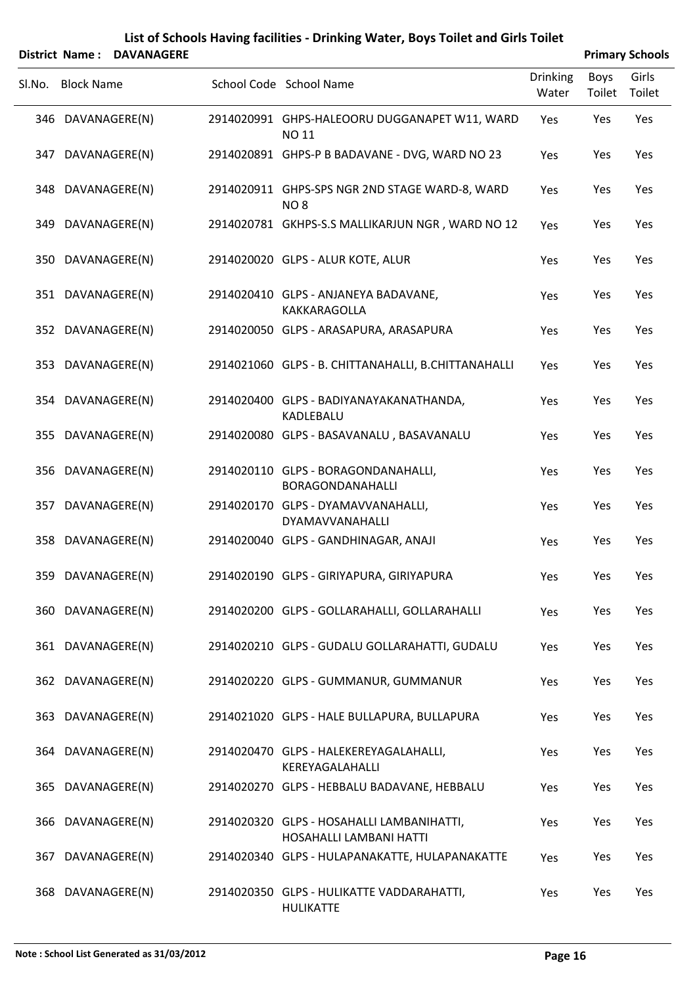|        |                   | <b>District Name: DAVANAGERE</b> |                                                                      |                          |                | <b>Primary Schools</b> |
|--------|-------------------|----------------------------------|----------------------------------------------------------------------|--------------------------|----------------|------------------------|
| SI.No. | <b>Block Name</b> |                                  | School Code School Name                                              | <b>Drinking</b><br>Water | Boys<br>Toilet | Girls<br>Toilet        |
|        |                   | 346 DAVANAGERE(N)                | 2914020991 GHPS-HALEOORU DUGGANAPET W11, WARD<br>NO 11               | Yes                      | Yes            | Yes                    |
| 347    |                   | DAVANAGERE(N)                    | 2914020891 GHPS-P B BADAVANE - DVG, WARD NO 23                       | Yes                      | Yes            | Yes                    |
|        |                   | 348 DAVANAGERE(N)                | 2914020911 GHPS-SPS NGR 2ND STAGE WARD-8, WARD<br>NO <sub>8</sub>    | Yes                      | Yes            | Yes                    |
|        |                   | 349 DAVANAGERE(N)                | 2914020781 GKHPS-S.S MALLIKARJUN NGR, WARD NO 12                     | Yes                      | Yes            | Yes                    |
|        |                   | 350 DAVANAGERE(N)                | 2914020020 GLPS - ALUR KOTE, ALUR                                    | Yes                      | Yes            | Yes                    |
|        |                   | 351 DAVANAGERE(N)                | 2914020410 GLPS - ANJANEYA BADAVANE,<br>KAKKARAGOLLA                 | Yes                      | Yes            | Yes                    |
|        |                   | 352 DAVANAGERE(N)                | 2914020050 GLPS - ARASAPURA, ARASAPURA                               | Yes                      | Yes            | Yes                    |
|        |                   | 353 DAVANAGERE(N)                | 2914021060 GLPS - B. CHITTANAHALLI, B.CHITTANAHALLI                  | Yes                      | Yes            | Yes                    |
|        |                   | 354 DAVANAGERE(N)                | 2914020400 GLPS - BADIYANAYAKANATHANDA,<br>KADLEBALU                 | Yes                      | Yes            | Yes                    |
|        |                   | 355 DAVANAGERE(N)                | 2914020080 GLPS - BASAVANALU, BASAVANALU                             | Yes                      | Yes            | Yes                    |
|        |                   | 356 DAVANAGERE(N)                | 2914020110 GLPS - BORAGONDANAHALLI,<br>BORAGONDANAHALLI              | Yes                      | Yes            | Yes                    |
| 357    |                   | DAVANAGERE(N)                    | 2914020170 GLPS - DYAMAVVANAHALLI,<br>DYAMAVVANAHALLI                | Yes                      | Yes            | Yes                    |
| 358    |                   | DAVANAGERE(N)                    | 2914020040 GLPS - GANDHINAGAR, ANAJI                                 | Yes                      | Yes            | Yes                    |
|        |                   | 359 DAVANAGERE(N)                | 2914020190 GLPS - GIRIYAPURA, GIRIYAPURA                             | Yes                      | Yes            | Yes                    |
|        |                   | 360 DAVANAGERE(N)                | 2914020200 GLPS - GOLLARAHALLI, GOLLARAHALLI                         | Yes                      | Yes            | Yes                    |
|        |                   | 361 DAVANAGERE(N)                | 2914020210 GLPS - GUDALU GOLLARAHATTI, GUDALU                        | Yes                      | Yes            | Yes                    |
|        |                   | 362 DAVANAGERE(N)                | 2914020220 GLPS - GUMMANUR, GUMMANUR                                 | Yes                      | Yes            | Yes                    |
|        |                   | 363 DAVANAGERE(N)                | 2914021020 GLPS - HALE BULLAPURA, BULLAPURA                          | Yes                      | Yes            | Yes                    |
|        |                   | 364 DAVANAGERE(N)                | 2914020470 GLPS - HALEKEREYAGALAHALLI,<br>KEREYAGALAHALLI            | Yes                      | Yes            | Yes                    |
|        |                   | 365 DAVANAGERE(N)                | 2914020270 GLPS - HEBBALU BADAVANE, HEBBALU                          | Yes                      | Yes            | Yes                    |
|        |                   | 366 DAVANAGERE(N)                | 2914020320 GLPS - HOSAHALLI LAMBANIHATTI,<br>HOSAHALLI LAMBANI HATTI | Yes                      | Yes            | Yes                    |
| 367    |                   | DAVANAGERE(N)                    | 2914020340 GLPS - HULAPANAKATTE, HULAPANAKATTE                       | Yes                      | Yes            | Yes                    |
|        |                   | 368 DAVANAGERE(N)                | 2914020350 GLPS - HULIKATTE VADDARAHATTI,<br><b>HULIKATTE</b>        | Yes                      | Yes            | Yes                    |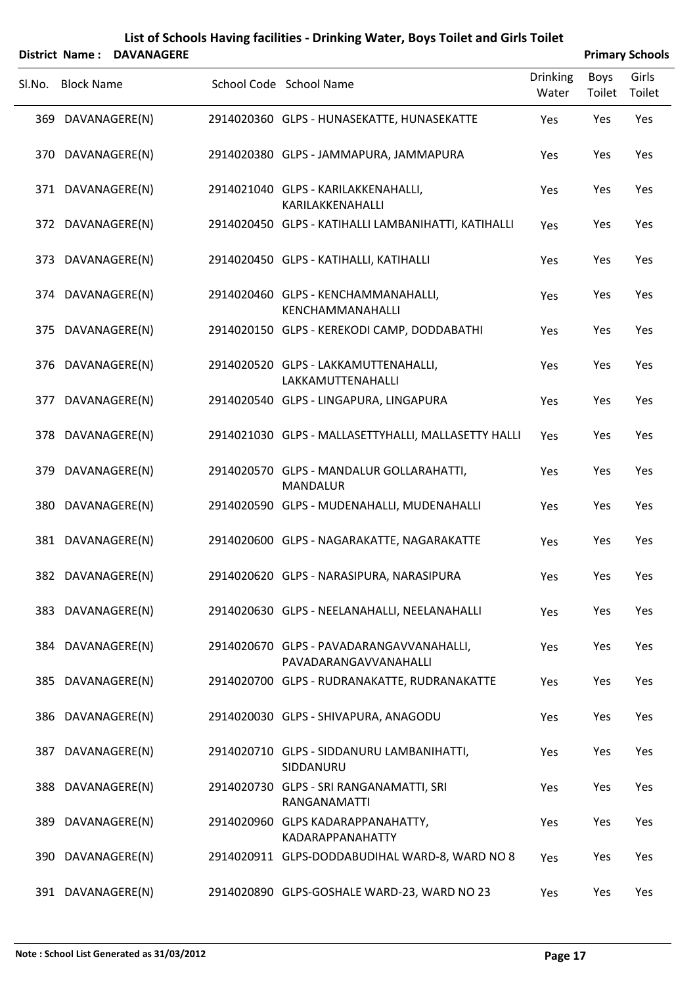|        |                   | <b>District Name: DAVANAGERE</b> |                                                                   |                          |                | <b>Primary Schools</b> |
|--------|-------------------|----------------------------------|-------------------------------------------------------------------|--------------------------|----------------|------------------------|
| SI.No. | <b>Block Name</b> |                                  | School Code School Name                                           | <b>Drinking</b><br>Water | Boys<br>Toilet | Girls<br>Toilet        |
|        | 369 DAVANAGERE(N) |                                  | 2914020360 GLPS - HUNASEKATTE, HUNASEKATTE                        | Yes                      | Yes            | Yes                    |
|        | 370 DAVANAGERE(N) |                                  | 2914020380 GLPS - JAMMAPURA, JAMMAPURA                            | Yes                      | Yes            | Yes                    |
|        | 371 DAVANAGERE(N) |                                  | 2914021040 GLPS - KARILAKKENAHALLI,<br>KARILAKKENAHALLI           | Yes                      | Yes            | Yes                    |
|        | 372 DAVANAGERE(N) |                                  | 2914020450 GLPS - KATIHALLI LAMBANIHATTI, KATIHALLI               | Yes                      | Yes            | Yes                    |
|        | 373 DAVANAGERE(N) |                                  | 2914020450 GLPS - KATIHALLI, KATIHALLI                            | Yes                      | Yes            | Yes                    |
|        | 374 DAVANAGERE(N) |                                  | 2914020460 GLPS - KENCHAMMANAHALLI,<br>KENCHAMMANAHALLI           | Yes                      | Yes            | Yes                    |
|        | 375 DAVANAGERE(N) |                                  | 2914020150 GLPS - KEREKODI CAMP, DODDABATHI                       | Yes                      | Yes            | Yes                    |
|        | 376 DAVANAGERE(N) |                                  | 2914020520 GLPS - LAKKAMUTTENAHALLI,<br>LAKKAMUTTENAHALLI         | Yes                      | Yes            | Yes                    |
| 377    |                   | DAVANAGERE(N)                    | 2914020540 GLPS - LINGAPURA, LINGAPURA                            | Yes                      | Yes            | Yes                    |
|        | 378 DAVANAGERE(N) |                                  | 2914021030 GLPS - MALLASETTYHALLI, MALLASETTY HALLI               | Yes                      | Yes            | Yes                    |
|        | 379 DAVANAGERE(N) |                                  | 2914020570 GLPS - MANDALUR GOLLARAHATTI,<br><b>MANDALUR</b>       | Yes                      | Yes            | Yes                    |
|        | 380 DAVANAGERE(N) |                                  | 2914020590 GLPS - MUDENAHALLI, MUDENAHALLI                        | Yes                      | Yes            | Yes                    |
|        | 381 DAVANAGERE(N) |                                  | 2914020600 GLPS - NAGARAKATTE, NAGARAKATTE                        | Yes                      | Yes            | Yes                    |
|        | 382 DAVANAGERE(N) |                                  | 2914020620 GLPS - NARASIPURA, NARASIPURA                          | Yes                      | Yes            | Yes                    |
|        | 383 DAVANAGERE(N) |                                  | 2914020630 GLPS - NEELANAHALLI, NEELANAHALLI                      | Yes                      | Yes            | Yes                    |
|        | 384 DAVANAGERE(N) |                                  | 2914020670 GLPS - PAVADARANGAVVANAHALLI,<br>PAVADARANGAVVANAHALLI | Yes                      | Yes            | Yes                    |
|        | 385 DAVANAGERE(N) |                                  | 2914020700 GLPS - RUDRANAKATTE, RUDRANAKATTE                      | Yes                      | Yes            | Yes                    |
|        | 386 DAVANAGERE(N) |                                  | 2914020030 GLPS - SHIVAPURA, ANAGODU                              | Yes                      | Yes            | Yes                    |
|        | 387 DAVANAGERE(N) |                                  | 2914020710 GLPS - SIDDANURU LAMBANIHATTI,<br>SIDDANURU            | Yes                      | Yes            | Yes                    |
|        | 388 DAVANAGERE(N) |                                  | 2914020730 GLPS - SRI RANGANAMATTI, SRI<br>RANGANAMATTI           | Yes                      | Yes            | Yes                    |
|        | 389 DAVANAGERE(N) |                                  | 2914020960 GLPS KADARAPPANAHATTY,<br>KADARAPPANAHATTY             | Yes                      | Yes            | Yes                    |
|        | 390 DAVANAGERE(N) |                                  | 2914020911 GLPS-DODDABUDIHAL WARD-8, WARD NO 8                    | Yes                      | Yes            | Yes                    |
|        | 391 DAVANAGERE(N) |                                  | 2914020890 GLPS-GOSHALE WARD-23, WARD NO 23                       | Yes                      | Yes            | Yes                    |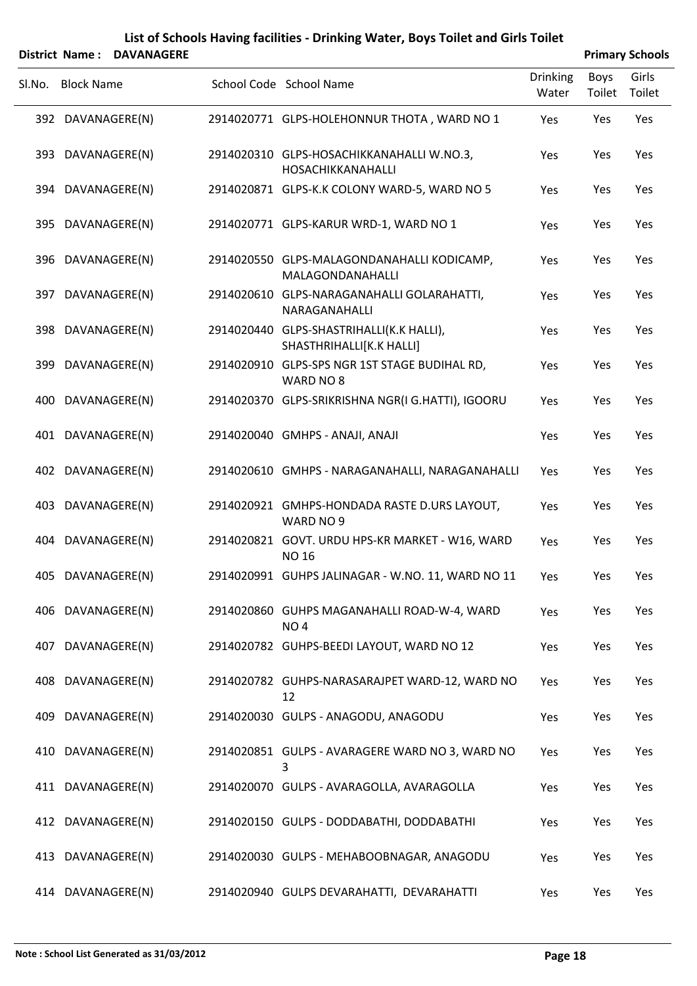|        | District Name: DAVANAGERE |                                                                      |                   |                       | <b>Primary Schools</b> |
|--------|---------------------------|----------------------------------------------------------------------|-------------------|-----------------------|------------------------|
| SI.No. | <b>Block Name</b>         | School Code School Name                                              | Drinking<br>Water | <b>Boys</b><br>Toilet | Girls<br>Toilet        |
|        | 392 DAVANAGERE(N)         | 2914020771 GLPS-HOLEHONNUR THOTA, WARD NO 1                          | Yes               | Yes                   | Yes                    |
|        | 393 DAVANAGERE(N)         | 2914020310 GLPS-HOSACHIKKANAHALLI W.NO.3,<br>HOSACHIKKANAHALLI       | Yes               | Yes                   | Yes                    |
|        | 394 DAVANAGERE(N)         | 2914020871 GLPS-K.K COLONY WARD-5, WARD NO 5                         | Yes               | Yes                   | Yes                    |
|        | 395 DAVANAGERE(N)         | 2914020771 GLPS-KARUR WRD-1, WARD NO 1                               | Yes               | Yes                   | Yes                    |
|        | 396 DAVANAGERE(N)         | 2914020550 GLPS-MALAGONDANAHALLI KODICAMP,<br>MALAGONDANAHALLI       | Yes               | Yes                   | Yes                    |
|        | 397 DAVANAGERE(N)         | 2914020610 GLPS-NARAGANAHALLI GOLARAHATTI,<br>NARAGANAHALLI          | Yes               | Yes                   | Yes                    |
|        | 398 DAVANAGERE(N)         | 2914020440 GLPS-SHASTRIHALLI(K.K HALLI),<br>SHASTHRIHALLI[K.K HALLI] | Yes               | Yes                   | Yes                    |
|        | 399 DAVANAGERE(N)         | 2914020910 GLPS-SPS NGR 1ST STAGE BUDIHAL RD,<br>WARD NO 8           | Yes               | Yes                   | Yes                    |
| 400    | DAVANAGERE(N)             | 2914020370 GLPS-SRIKRISHNA NGR(I G.HATTI), IGOORU                    | Yes               | Yes                   | Yes                    |
|        | 401 DAVANAGERE(N)         | 2914020040 GMHPS - ANAJI, ANAJI                                      | Yes               | Yes                   | Yes                    |
|        | 402 DAVANAGERE(N)         | 2914020610 GMHPS - NARAGANAHALLI, NARAGANAHALLI                      | Yes               | Yes                   | Yes                    |
| 403    | DAVANAGERE(N)             | 2914020921 GMHPS-HONDADA RASTE D.URS LAYOUT,<br>WARD NO 9            | Yes               | Yes                   | Yes                    |
| 404    | DAVANAGERE(N)             | 2914020821 GOVT. URDU HPS-KR MARKET - W16, WARD<br><b>NO 16</b>      | Yes               | Yes                   | Yes                    |
|        | 405 DAVANAGERE(N)         | 2914020991 GUHPS JALINAGAR - W.NO. 11, WARD NO 11                    | Yes               | Yes                   | Yes                    |
|        | 406 DAVANAGERE(N)         | 2914020860 GUHPS MAGANAHALLI ROAD-W-4, WARD<br>NO <sub>4</sub>       | Yes               | Yes                   | Yes                    |
|        | 407 DAVANAGERE(N)         | 2914020782 GUHPS-BEEDI LAYOUT, WARD NO 12                            | Yes               | Yes                   | Yes                    |
|        | 408 DAVANAGERE(N)         | 2914020782 GUHPS-NARASARAJPET WARD-12, WARD NO<br>12                 | Yes               | Yes                   | Yes                    |
|        | 409 DAVANAGERE(N)         | 2914020030 GULPS - ANAGODU, ANAGODU                                  | Yes               | Yes                   | Yes                    |
|        | 410 DAVANAGERE(N)         | 2914020851 GULPS - AVARAGERE WARD NO 3, WARD NO<br>3                 | Yes               | Yes                   | Yes                    |
|        | 411 DAVANAGERE(N)         | 2914020070 GULPS - AVARAGOLLA, AVARAGOLLA                            | Yes               | Yes                   | Yes                    |
|        | 412 DAVANAGERE(N)         | 2914020150 GULPS - DODDABATHI, DODDABATHI                            | Yes               | Yes                   | Yes                    |
|        | 413 DAVANAGERE(N)         | 2914020030 GULPS - MEHABOOBNAGAR, ANAGODU                            | Yes               | Yes                   | Yes                    |
|        | 414 DAVANAGERE(N)         | 2914020940 GULPS DEVARAHATTI, DEVARAHATTI                            | Yes               | Yes                   | Yes                    |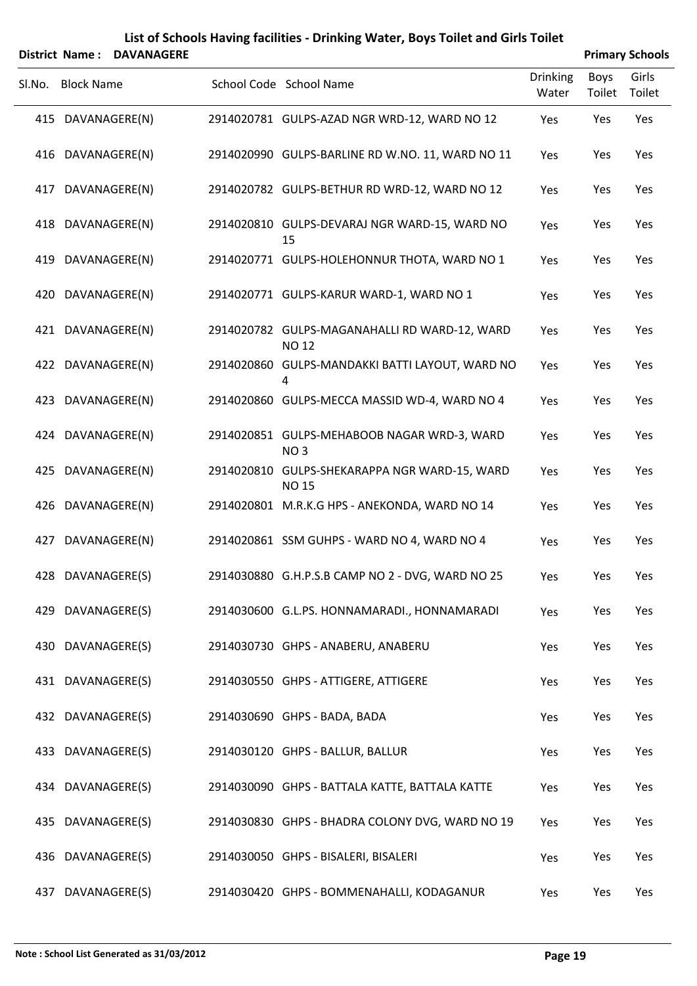|        | District Name: DAVANAGERE |                                                                | <b>Primary Schools</b>   |                |                 |  |
|--------|---------------------------|----------------------------------------------------------------|--------------------------|----------------|-----------------|--|
| SI.No. | <b>Block Name</b>         | School Code School Name                                        | <b>Drinking</b><br>Water | Boys<br>Toilet | Girls<br>Toilet |  |
|        | 415 DAVANAGERE(N)         | 2914020781 GULPS-AZAD NGR WRD-12, WARD NO 12                   | Yes                      | Yes            | Yes             |  |
|        | 416 DAVANAGERE(N)         | 2914020990 GULPS-BARLINE RD W.NO. 11, WARD NO 11               | Yes                      | Yes            | Yes             |  |
|        | 417 DAVANAGERE(N)         | 2914020782 GULPS-BETHUR RD WRD-12, WARD NO 12                  | Yes                      | Yes            | Yes             |  |
|        | 418 DAVANAGERE(N)         | 2914020810 GULPS-DEVARAJ NGR WARD-15, WARD NO<br>15            | Yes                      | Yes            | Yes             |  |
|        | 419 DAVANAGERE(N)         | 2914020771 GULPS-HOLEHONNUR THOTA, WARD NO 1                   | Yes                      | Yes            | Yes             |  |
|        | 420 DAVANAGERE(N)         | 2914020771 GULPS-KARUR WARD-1, WARD NO 1                       | Yes                      | Yes            | Yes             |  |
|        | 421 DAVANAGERE(N)         | 2914020782 GULPS-MAGANAHALLI RD WARD-12, WARD<br><b>NO 12</b>  | Yes                      | Yes            | Yes             |  |
|        | 422 DAVANAGERE(N)         | 2914020860 GULPS-MANDAKKI BATTI LAYOUT, WARD NO<br>4           | Yes                      | Yes            | Yes             |  |
|        | 423 DAVANAGERE(N)         | 2914020860 GULPS-MECCA MASSID WD-4, WARD NO 4                  | Yes                      | Yes            | Yes             |  |
|        | 424 DAVANAGERE(N)         | 2914020851 GULPS-MEHABOOB NAGAR WRD-3, WARD<br>NO <sub>3</sub> | Yes                      | Yes            | Yes             |  |
|        | 425 DAVANAGERE(N)         | 2914020810 GULPS-SHEKARAPPA NGR WARD-15, WARD<br><b>NO 15</b>  | Yes                      | Yes            | Yes             |  |
|        | 426 DAVANAGERE(N)         | 2914020801 M.R.K.G HPS - ANEKONDA, WARD NO 14                  | Yes                      | Yes            | Yes             |  |
| 427    | DAVANAGERE(N)             | 2914020861 SSM GUHPS - WARD NO 4, WARD NO 4                    | Yes                      | Yes            | Yes             |  |
|        | 428 DAVANAGERE(S)         | 2914030880 G.H.P.S.B CAMP NO 2 - DVG, WARD NO 25               | Yes                      | Yes            | Yes             |  |
|        | 429 DAVANAGERE(S)         | 2914030600 G.L.PS. HONNAMARADI., HONNAMARADI                   | Yes                      | Yes            | Yes             |  |
|        | 430 DAVANAGERE(S)         | 2914030730 GHPS - ANABERU, ANABERU                             | Yes                      | Yes            | Yes             |  |
|        | 431 DAVANAGERE(S)         | 2914030550 GHPS - ATTIGERE, ATTIGERE                           | Yes                      | Yes            | Yes             |  |
|        | 432 DAVANAGERE(S)         | 2914030690 GHPS - BADA, BADA                                   | Yes                      | Yes            | Yes             |  |
|        | 433 DAVANAGERE(S)         | 2914030120 GHPS - BALLUR, BALLUR                               | Yes                      | Yes            | Yes             |  |
|        | 434 DAVANAGERE(S)         | 2914030090 GHPS - BATTALA KATTE, BATTALA KATTE                 | Yes                      | Yes            | Yes             |  |
|        | 435 DAVANAGERE(S)         | 2914030830 GHPS - BHADRA COLONY DVG, WARD NO 19                | Yes                      | Yes            | Yes             |  |
|        | 436 DAVANAGERE(S)         | 2914030050 GHPS - BISALERI, BISALERI                           | Yes                      | Yes            | Yes             |  |
|        | 437 DAVANAGERE(S)         | 2914030420 GHPS - BOMMENAHALLI, KODAGANUR                      | Yes                      | Yes            | Yes             |  |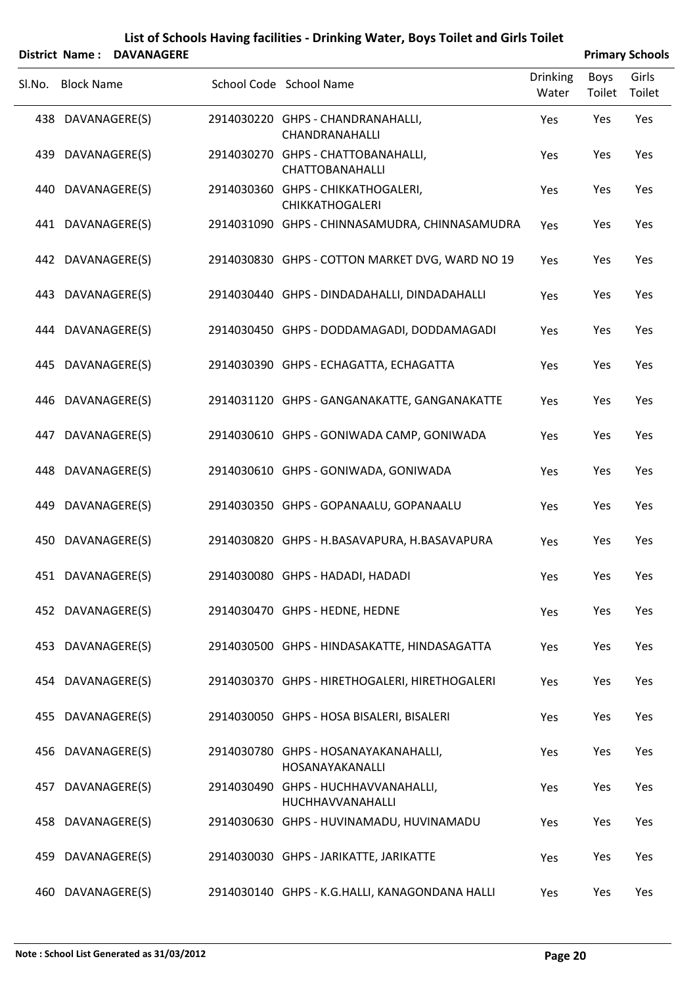|        |                   | District Name: DAVANAGERE |                                                              |                          |                | <b>Primary Schools</b> |
|--------|-------------------|---------------------------|--------------------------------------------------------------|--------------------------|----------------|------------------------|
| Sl.No. | <b>Block Name</b> |                           | School Code School Name                                      | <b>Drinking</b><br>Water | Boys<br>Toilet | Girls<br>Toilet        |
|        | 438 DAVANAGERE(S) |                           | 2914030220 GHPS - CHANDRANAHALLI,<br>CHANDRANAHALLI          | Yes                      | Yes            | Yes                    |
|        | 439 DAVANAGERE(S) |                           | 2914030270 GHPS - CHATTOBANAHALLI,<br>CHATTOBANAHALLI        | Yes                      | Yes            | Yes                    |
|        | 440 DAVANAGERE(S) |                           | 2914030360 GHPS - CHIKKATHOGALERI,<br><b>CHIKKATHOGALERI</b> | Yes                      | Yes            | Yes                    |
|        | 441 DAVANAGERE(S) |                           | 2914031090 GHPS - CHINNASAMUDRA, CHINNASAMUDRA               | Yes                      | Yes            | Yes                    |
|        | 442 DAVANAGERE(S) |                           | 2914030830 GHPS - COTTON MARKET DVG, WARD NO 19              | Yes                      | Yes            | Yes                    |
|        | 443 DAVANAGERE(S) |                           | 2914030440 GHPS - DINDADAHALLI, DINDADAHALLI                 | Yes                      | Yes            | Yes                    |
|        | 444 DAVANAGERE(S) |                           | 2914030450 GHPS - DODDAMAGADI, DODDAMAGADI                   | Yes                      | Yes            | Yes                    |
|        | 445 DAVANAGERE(S) |                           | 2914030390 GHPS - ECHAGATTA, ECHAGATTA                       | Yes                      | Yes            | Yes                    |
|        | 446 DAVANAGERE(S) |                           | 2914031120 GHPS - GANGANAKATTE, GANGANAKATTE                 | Yes                      | Yes            | Yes                    |
|        | 447 DAVANAGERE(S) |                           | 2914030610 GHPS - GONIWADA CAMP, GONIWADA                    | Yes                      | Yes            | Yes                    |
|        | 448 DAVANAGERE(S) |                           | 2914030610 GHPS - GONIWADA, GONIWADA                         | Yes                      | Yes            | Yes                    |
|        | 449 DAVANAGERE(S) |                           | 2914030350 GHPS - GOPANAALU, GOPANAALU                       | Yes                      | Yes            | Yes                    |
|        | 450 DAVANAGERE(S) |                           | 2914030820 GHPS - H.BASAVAPURA, H.BASAVAPURA                 | Yes                      | Yes            | Yes                    |
|        | 451 DAVANAGERE(S) |                           | 2914030080 GHPS - HADADI, HADADI                             | Yes                      | Yes            | Yes                    |
|        | 452 DAVANAGERE(S) |                           | 2914030470 GHPS - HEDNE, HEDNE                               | Yes                      | Yes            | Yes                    |
|        | 453 DAVANAGERE(S) |                           | 2914030500 GHPS - HINDASAKATTE, HINDASAGATTA                 | Yes                      | Yes            | Yes                    |
|        | 454 DAVANAGERE(S) |                           | 2914030370 GHPS - HIRETHOGALERI, HIRETHOGALERI               | Yes                      | Yes            | Yes                    |
|        | 455 DAVANAGERE(S) |                           | 2914030050 GHPS - HOSA BISALERI, BISALERI                    | Yes                      | Yes            | Yes                    |
|        | 456 DAVANAGERE(S) |                           | 2914030780 GHPS - HOSANAYAKANAHALLI,<br>HOSANAYAKANALLI      | Yes                      | Yes            | Yes                    |
|        | 457 DAVANAGERE(S) |                           | 2914030490 GHPS - HUCHHAVVANAHALLI,<br>HUCHHAVVANAHALLI      | Yes                      | Yes            | Yes                    |
|        | 458 DAVANAGERE(S) |                           | 2914030630 GHPS - HUVINAMADU, HUVINAMADU                     | Yes                      | Yes            | Yes                    |
|        | 459 DAVANAGERE(S) |                           | 2914030030 GHPS - JARIKATTE, JARIKATTE                       | Yes                      | Yes            | Yes                    |
|        | 460 DAVANAGERE(S) |                           | 2914030140 GHPS - K.G.HALLI, KANAGONDANA HALLI               | Yes                      | Yes            | Yes                    |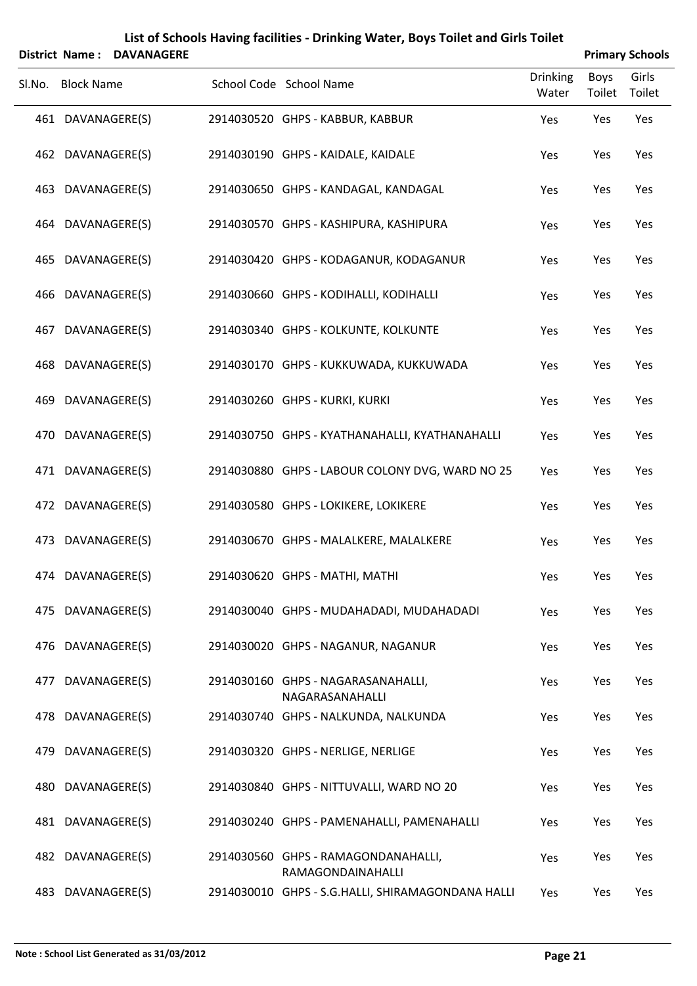|     | <b>District Name:</b> | List of Schools Having facilities - Drinking Water, Boys Toilet and Girls Toilet<br><b>DAVANAGERE</b> | <b>Primary Schools</b>                                                 |                          |                       |                 |
|-----|-----------------------|-------------------------------------------------------------------------------------------------------|------------------------------------------------------------------------|--------------------------|-----------------------|-----------------|
|     | Sl.No. Block Name     |                                                                                                       | School Code School Name                                                | <b>Drinking</b><br>Water | <b>Boys</b><br>Toilet | Girls<br>Toilet |
|     | 461 DAVANAGERE(S)     |                                                                                                       | 2914030520 GHPS - KABBUR, KABBUR                                       | Yes                      | Yes                   | Yes             |
|     | 462 DAVANAGERE(S)     |                                                                                                       | 2914030190 GHPS - KAIDALE, KAIDALE                                     | Yes                      | Yes                   | Yes             |
|     | 463 DAVANAGERE(S)     |                                                                                                       | 2914030650 GHPS - KANDAGAL, KANDAGAL                                   | Yes                      | Yes                   | Yes             |
|     | 464 DAVANAGERE(S)     |                                                                                                       | 2914030570 GHPS - KASHIPURA, KASHIPURA                                 | Yes                      | Yes                   | Yes             |
|     | 465 DAVANAGERE(S)     |                                                                                                       | 2914030420 GHPS - KODAGANUR, KODAGANUR                                 | Yes                      | Yes                   | Yes             |
|     | 466 DAVANAGERE(S)     |                                                                                                       | 2914030660 GHPS - KODIHALLI, KODIHALLI                                 | Yes                      | Yes                   | Yes             |
| 467 | DAVANAGERE(S)         |                                                                                                       | 2914030340 GHPS - KOLKUNTE, KOLKUNTE                                   | Yes                      | Yes                   | Yes             |
|     | 468 DAVANAGERE(S)     |                                                                                                       | 2914030170 GHPS - KUKKUWADA, KUKKUWADA                                 | Yes                      | Yes                   | Yes             |
|     | 469 DAVANAGERE(S)     |                                                                                                       | 2914030260 GHPS - KURKI, KURKI                                         | Yes                      | Yes                   | Yes             |
|     | 470 DAVANAGERE(S)     |                                                                                                       | 2914030750 GHPS - KYATHANAHALLI, KYATHANAHALLI                         | Yes                      | Yes                   | Yes             |
|     | 471 DAVANAGERE(S)     |                                                                                                       | 2914030880 GHPS - LABOUR COLONY DVG, WARD NO 25                        | Yes                      | Yes                   | Yes             |
|     | 472 DAVANAGERE(S)     |                                                                                                       | 2914030580 GHPS - LOKIKERE, LOKIKERE                                   | Yes                      | Yes                   | Yes             |
|     | 473 DAVANAGERE(S)     |                                                                                                       | 2914030670 GHPS - MALALKERE, MALALKERE                                 | Yes                      | Yes                   | Yes             |
|     | 474 DAVANAGERE(S)     |                                                                                                       | 2914030620 GHPS - MATHI, MATHI                                         | Yes                      | Yes                   | Yes             |
|     | 475 DAVANAGERE(S)     |                                                                                                       | 2914030040 GHPS - MUDAHADADI, MUDAHADADI                               | Yes                      | Yes                   | Yes             |
|     | 476 DAVANAGERE(S)     |                                                                                                       | 2914030020 GHPS - NAGANUR, NAGANUR                                     | Yes                      | Yes                   | Yes             |
| 477 | DAVANAGERE(S)         |                                                                                                       | 2914030160 GHPS - NAGARASANAHALLI,                                     | Yes                      | Yes                   | Yes             |
|     | 478 DAVANAGERE(S)     |                                                                                                       | NAGARASANAHALLI<br>2914030740 GHPS - NALKUNDA, NALKUNDA                | Yes                      | Yes                   | Yes             |
|     | 479 DAVANAGERE(S)     |                                                                                                       | 2914030320 GHPS - NERLIGE, NERLIGE                                     | Yes                      | Yes                   | Yes             |
|     | 480 DAVANAGERE(S)     |                                                                                                       | 2914030840 GHPS - NITTUVALLI, WARD NO 20                               | Yes                      | Yes                   | Yes             |
|     | 481 DAVANAGERE(S)     |                                                                                                       | 2914030240 GHPS - PAMENAHALLI, PAMENAHALLI                             | Yes                      | Yes                   | Yes             |
|     | 482 DAVANAGERE(S)     |                                                                                                       | 2914030560 GHPS - RAMAGONDANAHALLI,                                    | Yes                      | Yes                   | Yes             |
|     | 483 DAVANAGERE(S)     |                                                                                                       | RAMAGONDAINAHALLI<br>2914030010 GHPS - S.G.HALLI, SHIRAMAGONDANA HALLI | Yes                      | Yes                   | Yes             |

#### **Note : School List Generated as 31/03/2012 Page 21**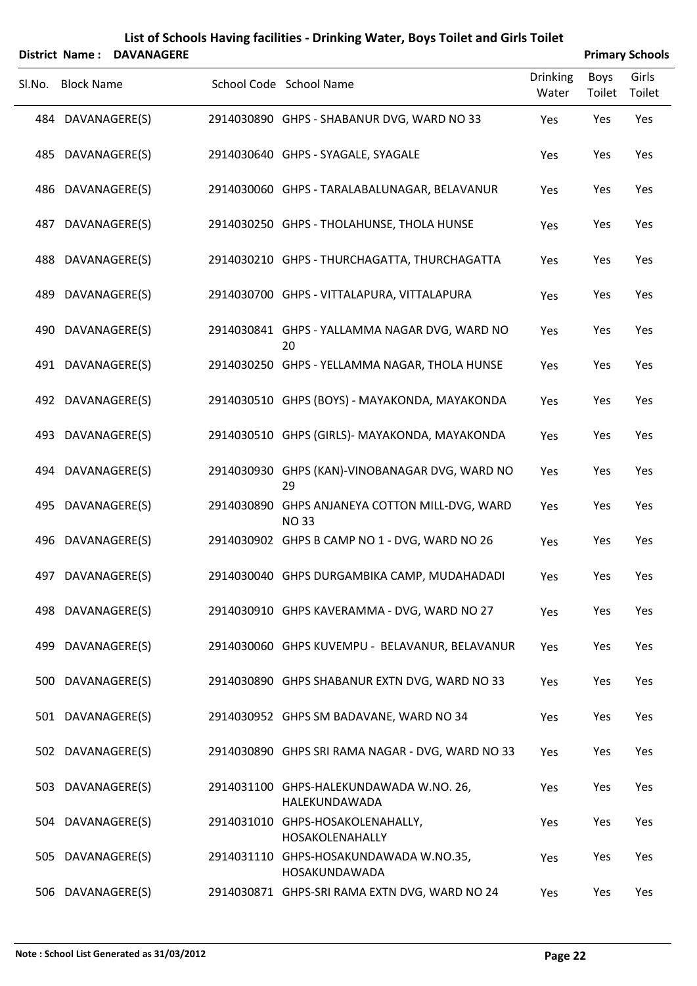|        | District Name: DAVANAGERE |                                                               | <b>Primary Schools</b>   |                |                 |  |  |
|--------|---------------------------|---------------------------------------------------------------|--------------------------|----------------|-----------------|--|--|
| SI.No. | <b>Block Name</b>         | School Code School Name                                       | <b>Drinking</b><br>Water | Boys<br>Toilet | Girls<br>Toilet |  |  |
|        | 484 DAVANAGERE(S)         | 2914030890 GHPS - SHABANUR DVG, WARD NO 33                    | Yes                      | Yes            | Yes             |  |  |
|        | 485 DAVANAGERE(S)         | 2914030640 GHPS - SYAGALE, SYAGALE                            | Yes                      | Yes            | Yes             |  |  |
|        | 486 DAVANAGERE(S)         | 2914030060 GHPS - TARALABALUNAGAR, BELAVANUR                  | Yes                      | Yes            | Yes             |  |  |
|        | 487 DAVANAGERE(S)         | 2914030250 GHPS - THOLAHUNSE, THOLA HUNSE                     | Yes                      | Yes            | Yes             |  |  |
|        | 488 DAVANAGERE(S)         | 2914030210 GHPS - THURCHAGATTA, THURCHAGATTA                  | Yes                      | Yes            | Yes             |  |  |
|        | 489 DAVANAGERE(S)         | 2914030700 GHPS - VITTALAPURA, VITTALAPURA                    | Yes                      | Yes            | Yes             |  |  |
|        | 490 DAVANAGERE(S)         | 2914030841 GHPS - YALLAMMA NAGAR DVG, WARD NO<br>20           | Yes                      | Yes            | Yes             |  |  |
|        | 491 DAVANAGERE(S)         | 2914030250 GHPS - YELLAMMA NAGAR, THOLA HUNSE                 | Yes                      | Yes            | Yes             |  |  |
|        | 492 DAVANAGERE(S)         | 2914030510 GHPS (BOYS) - MAYAKONDA, MAYAKONDA                 | Yes                      | Yes            | Yes             |  |  |
|        | 493 DAVANAGERE(S)         | 2914030510 GHPS (GIRLS)- MAYAKONDA, MAYAKONDA                 | Yes                      | Yes            | Yes             |  |  |
|        | 494 DAVANAGERE(S)         | 2914030930 GHPS (KAN)-VINOBANAGAR DVG, WARD NO<br>29          | Yes                      | Yes            | Yes             |  |  |
|        | 495 DAVANAGERE(S)         | 2914030890 GHPS ANJANEYA COTTON MILL-DVG, WARD<br><b>NO33</b> | Yes                      | Yes            | Yes             |  |  |
|        | 496 DAVANAGERE(S)         | 2914030902 GHPS B CAMP NO 1 - DVG, WARD NO 26                 | Yes                      | Yes            | Yes             |  |  |
|        | 497 DAVANAGERE(S)         | 2914030040 GHPS DURGAMBIKA CAMP, MUDAHADADI                   | Yes                      | Yes            | Yes             |  |  |
|        | 498 DAVANAGERE(S)         | 2914030910 GHPS KAVERAMMA - DVG, WARD NO 27                   | Yes                      | Yes            | Yes             |  |  |
|        | 499 DAVANAGERE(S)         | 2914030060 GHPS KUVEMPU - BELAVANUR, BELAVANUR                | Yes                      | Yes            | Yes             |  |  |
|        | 500 DAVANAGERE(S)         | 2914030890 GHPS SHABANUR EXTN DVG, WARD NO 33                 | Yes                      | Yes            | Yes             |  |  |
|        | 501 DAVANAGERE(S)         | 2914030952 GHPS SM BADAVANE, WARD NO 34                       | Yes                      | Yes            | Yes             |  |  |
|        | 502 DAVANAGERE(S)         | 2914030890 GHPS SRI RAMA NAGAR - DVG, WARD NO 33              | Yes                      | Yes            | Yes             |  |  |
|        | 503 DAVANAGERE(S)         | 2914031100 GHPS-HALEKUNDAWADA W.NO. 26,<br>HALEKUNDAWADA      | Yes                      | Yes            | Yes             |  |  |
|        | 504 DAVANAGERE(S)         | 2914031010 GHPS-HOSAKOLENAHALLY,<br>HOSAKOLENAHALLY           | Yes                      | Yes            | Yes             |  |  |
|        | 505 DAVANAGERE(S)         | 2914031110 GHPS-HOSAKUNDAWADA W.NO.35,<br>HOSAKUNDAWADA       | Yes                      | Yes            | Yes             |  |  |
|        | 506 DAVANAGERE(S)         | 2914030871 GHPS-SRI RAMA EXTN DVG, WARD NO 24                 | Yes                      | Yes            | Yes             |  |  |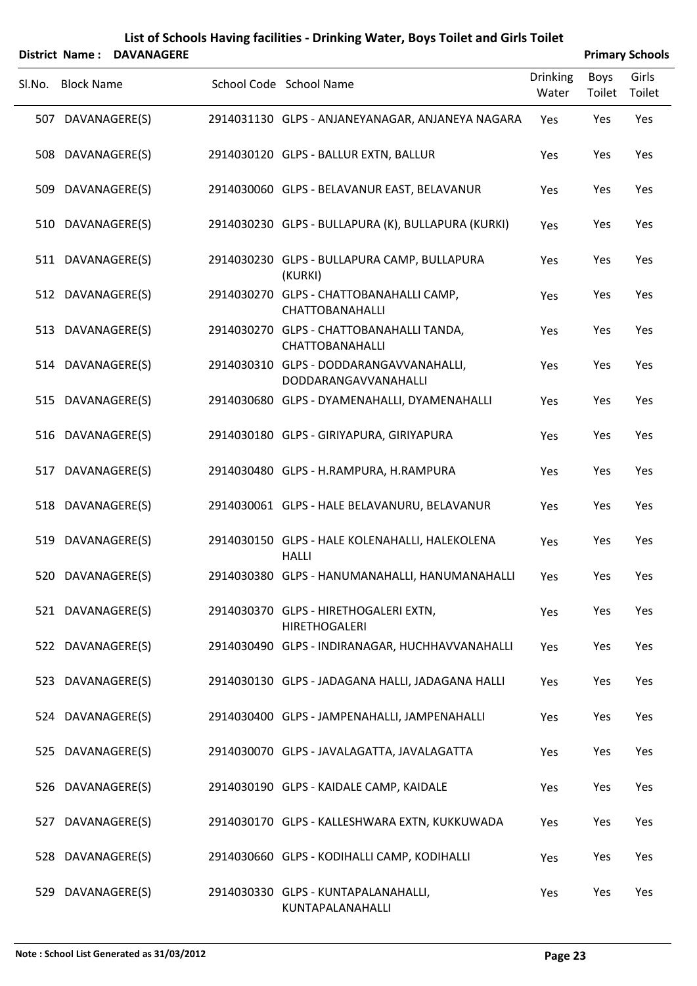|        |                   | <b>District Name: DAVANAGERE</b> |                                                                    |                          |                | <b>Primary Schools</b> |
|--------|-------------------|----------------------------------|--------------------------------------------------------------------|--------------------------|----------------|------------------------|
| SI.No. | <b>Block Name</b> |                                  | School Code School Name                                            | <b>Drinking</b><br>Water | Boys<br>Toilet | Girls<br>Toilet        |
|        | 507 DAVANAGERE(S) |                                  | 2914031130 GLPS - ANJANEYANAGAR, ANJANEYA NAGARA                   | Yes                      | Yes            | Yes                    |
|        | 508 DAVANAGERE(S) |                                  | 2914030120 GLPS - BALLUR EXTN, BALLUR                              | Yes                      | Yes            | Yes                    |
|        | 509 DAVANAGERE(S) |                                  | 2914030060 GLPS - BELAVANUR EAST, BELAVANUR                        | Yes                      | Yes            | Yes                    |
|        | 510 DAVANAGERE(S) |                                  | 2914030230 GLPS - BULLAPURA (K), BULLAPURA (KURKI)                 | Yes                      | Yes            | Yes                    |
|        | 511 DAVANAGERE(S) |                                  | 2914030230 GLPS - BULLAPURA CAMP, BULLAPURA<br>(KURKI)             | Yes                      | Yes            | Yes                    |
|        | 512 DAVANAGERE(S) |                                  | 2914030270 GLPS - CHATTOBANAHALLI CAMP,<br><b>CHATTOBANAHALLI</b>  | Yes                      | Yes            | Yes                    |
|        | 513 DAVANAGERE(S) |                                  | 2914030270 GLPS - CHATTOBANAHALLI TANDA,<br><b>CHATTOBANAHALLI</b> | Yes                      | Yes            | Yes                    |
|        | 514 DAVANAGERE(S) |                                  | 2914030310 GLPS - DODDARANGAVVANAHALLI,<br>DODDARANGAVVANAHALLI    | Yes                      | Yes            | Yes                    |
|        | 515 DAVANAGERE(S) |                                  | 2914030680 GLPS - DYAMENAHALLI, DYAMENAHALLI                       | Yes                      | Yes            | Yes                    |
|        | 516 DAVANAGERE(S) |                                  | 2914030180 GLPS - GIRIYAPURA, GIRIYAPURA                           | Yes                      | Yes            | Yes                    |
| 517    |                   | DAVANAGERE(S)                    | 2914030480 GLPS - H.RAMPURA, H.RAMPURA                             | Yes                      | Yes            | Yes                    |
|        | 518 DAVANAGERE(S) |                                  | 2914030061 GLPS - HALE BELAVANURU, BELAVANUR                       | Yes                      | Yes            | Yes                    |
| 519    |                   | DAVANAGERE(S)                    | 2914030150 GLPS - HALE KOLENAHALLI, HALEKOLENA<br><b>HALLI</b>     | Yes                      | Yes            | Yes                    |
|        | 520 DAVANAGERE(S) |                                  | 2914030380 GLPS - HANUMANAHALLI, HANUMANAHALLI                     | Yes                      | Yes            | Yes                    |
|        | 521 DAVANAGERE(S) |                                  | 2914030370 GLPS - HIRETHOGALERI EXTN,<br><b>HIRETHOGALERI</b>      | Yes                      | Yes            | Yes                    |
|        | 522 DAVANAGERE(S) |                                  | 2914030490 GLPS - INDIRANAGAR, HUCHHAVVANAHALLI                    | Yes                      | Yes            | Yes                    |
|        | 523 DAVANAGERE(S) |                                  | 2914030130 GLPS - JADAGANA HALLI, JADAGANA HALLI                   | Yes                      | Yes            | Yes                    |
|        | 524 DAVANAGERE(S) |                                  | 2914030400 GLPS - JAMPENAHALLI, JAMPENAHALLI                       | Yes                      | Yes            | Yes                    |
|        | 525 DAVANAGERE(S) |                                  | 2914030070 GLPS - JAVALAGATTA, JAVALAGATTA                         | Yes                      | Yes            | Yes                    |
|        | 526 DAVANAGERE(S) |                                  | 2914030190 GLPS - KAIDALE CAMP, KAIDALE                            | Yes                      | Yes            | Yes                    |
|        | 527 DAVANAGERE(S) |                                  | 2914030170 GLPS - KALLESHWARA EXTN, KUKKUWADA                      | Yes                      | Yes            | Yes                    |
|        | 528 DAVANAGERE(S) |                                  | 2914030660 GLPS - KODIHALLI CAMP, KODIHALLI                        | Yes                      | Yes            | Yes                    |
|        | 529 DAVANAGERE(S) |                                  | 2914030330 GLPS - KUNTAPALANAHALLI,<br>KUNTAPALANAHALLI            | Yes                      | Yes            | Yes                    |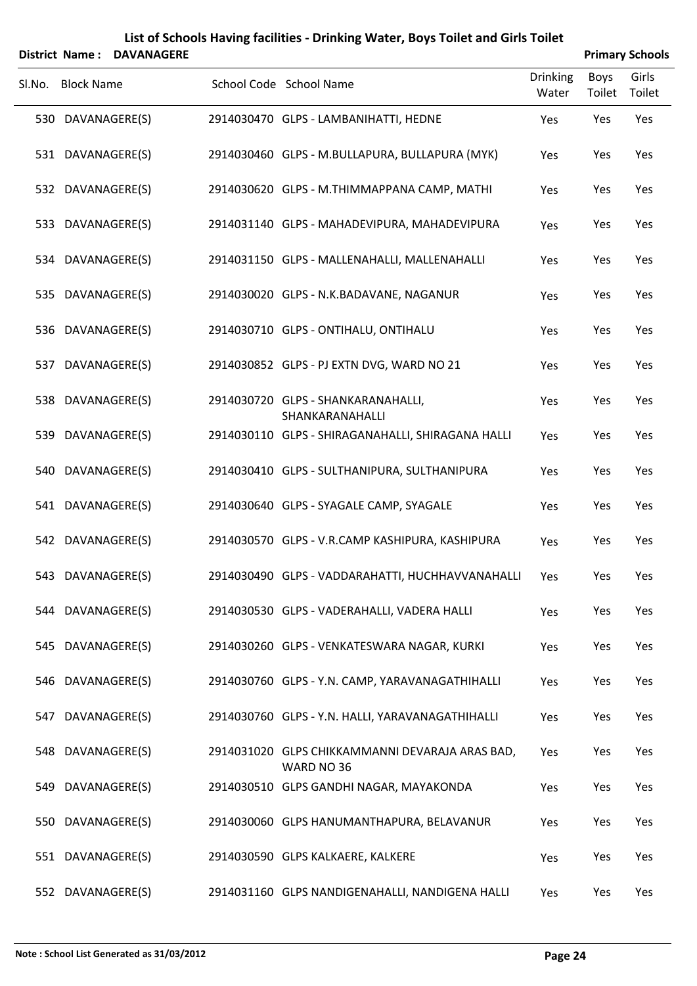|        | <b>District Name: DAVANAGERE</b> |  |  |                                                               |                   | <b>Primary Schools</b> |                 |  |  |
|--------|----------------------------------|--|--|---------------------------------------------------------------|-------------------|------------------------|-----------------|--|--|
| SI.No. | <b>Block Name</b>                |  |  | School Code School Name                                       | Drinking<br>Water | Boys<br>Toilet         | Girls<br>Toilet |  |  |
|        | 530 DAVANAGERE(S)                |  |  | 2914030470 GLPS - LAMBANIHATTI, HEDNE                         | Yes               | Yes                    | Yes             |  |  |
|        | 531 DAVANAGERE(S)                |  |  | 2914030460 GLPS - M.BULLAPURA, BULLAPURA (MYK)                | Yes               | Yes                    | Yes             |  |  |
|        | 532 DAVANAGERE(S)                |  |  | 2914030620 GLPS - M.THIMMAPPANA CAMP, MATHI                   | Yes               | Yes                    | Yes             |  |  |
|        | 533 DAVANAGERE(S)                |  |  | 2914031140 GLPS - MAHADEVIPURA, MAHADEVIPURA                  | Yes               | Yes                    | Yes             |  |  |
|        | 534 DAVANAGERE(S)                |  |  | 2914031150 GLPS - MALLENAHALLI, MALLENAHALLI                  | Yes               | Yes                    | Yes             |  |  |
|        | 535 DAVANAGERE(S)                |  |  | 2914030020 GLPS - N.K.BADAVANE, NAGANUR                       | Yes               | Yes                    | Yes             |  |  |
|        | 536 DAVANAGERE(S)                |  |  | 2914030710 GLPS - ONTIHALU, ONTIHALU                          | Yes               | Yes                    | Yes             |  |  |
|        | 537 DAVANAGERE(S)                |  |  | 2914030852 GLPS - PJ EXTN DVG, WARD NO 21                     | Yes               | Yes                    | Yes             |  |  |
|        | 538 DAVANAGERE(S)                |  |  | 2914030720 GLPS - SHANKARANAHALLI,<br>SHANKARANAHALLI         | Yes               | Yes                    | Yes             |  |  |
|        | 539 DAVANAGERE(S)                |  |  | 2914030110 GLPS - SHIRAGANAHALLI, SHIRAGANA HALLI             | Yes               | Yes                    | Yes             |  |  |
|        | 540 DAVANAGERE(S)                |  |  | 2914030410 GLPS - SULTHANIPURA, SULTHANIPURA                  | Yes               | Yes                    | Yes             |  |  |
|        | 541 DAVANAGERE(S)                |  |  | 2914030640 GLPS - SYAGALE CAMP, SYAGALE                       | Yes               | Yes                    | Yes             |  |  |
|        | 542 DAVANAGERE(S)                |  |  | 2914030570 GLPS - V.R.CAMP KASHIPURA, KASHIPURA               | Yes               | Yes                    | Yes             |  |  |
|        | 543 DAVANAGERE(S)                |  |  | 2914030490 GLPS - VADDARAHATTI, HUCHHAVVANAHALLI Yes          |                   | Yes                    | Yes             |  |  |
|        | 544 DAVANAGERE(S)                |  |  | 2914030530 GLPS - VADERAHALLI, VADERA HALLI                   | Yes               | Yes                    | Yes             |  |  |
|        | 545 DAVANAGERE(S)                |  |  | 2914030260 GLPS - VENKATESWARA NAGAR, KURKI                   | Yes               | Yes                    | Yes             |  |  |
|        | 546 DAVANAGERE(S)                |  |  | 2914030760 GLPS - Y.N. CAMP, YARAVANAGATHIHALLI               | Yes               | Yes                    | Yes             |  |  |
|        | 547 DAVANAGERE(S)                |  |  | 2914030760 GLPS - Y.N. HALLI, YARAVANAGATHIHALLI              | Yes               | Yes                    | Yes             |  |  |
|        | 548 DAVANAGERE(S)                |  |  | 2914031020 GLPS CHIKKAMMANNI DEVARAJA ARAS BAD,<br>WARD NO 36 | Yes               | Yes                    | Yes             |  |  |
|        | 549 DAVANAGERE(S)                |  |  | 2914030510 GLPS GANDHI NAGAR, MAYAKONDA                       | Yes               | Yes                    | Yes             |  |  |
|        | 550 DAVANAGERE(S)                |  |  | 2914030060 GLPS HANUMANTHAPURA, BELAVANUR                     | Yes               | Yes                    | Yes             |  |  |
|        | 551 DAVANAGERE(S)                |  |  | 2914030590 GLPS KALKAERE, KALKERE                             | Yes               | Yes                    | Yes             |  |  |
|        | 552 DAVANAGERE(S)                |  |  | 2914031160 GLPS NANDIGENAHALLI, NANDIGENA HALLI               | Yes               | Yes                    | Yes             |  |  |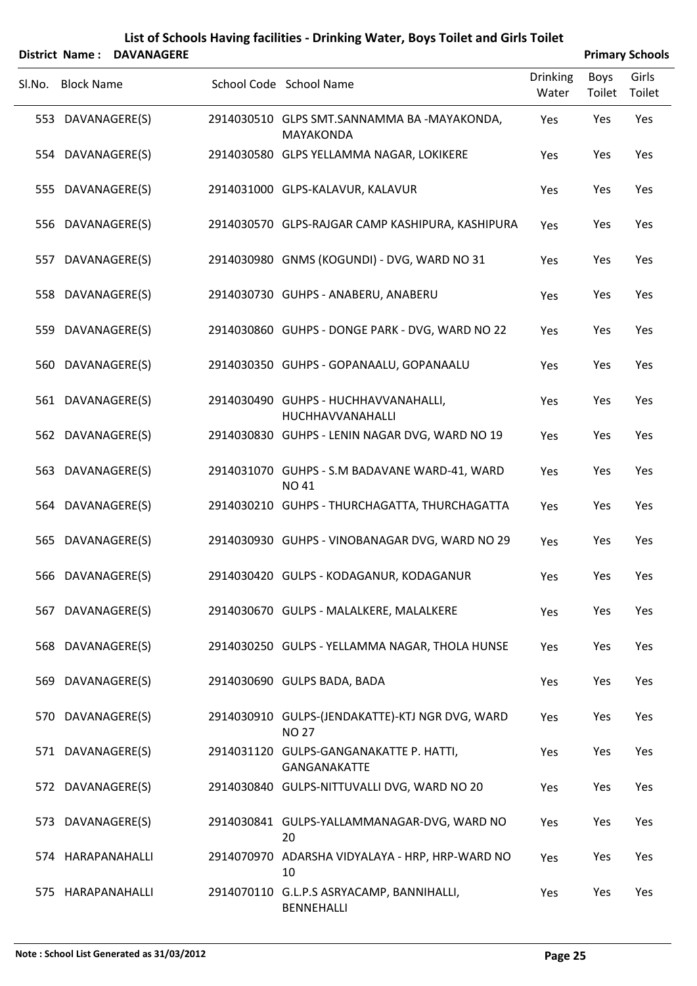|        |                   | District Name: DAVANAGERE |                                                                 |                          |                | <b>Primary Schools</b> |
|--------|-------------------|---------------------------|-----------------------------------------------------------------|--------------------------|----------------|------------------------|
| Sl.No. | <b>Block Name</b> |                           | School Code School Name                                         | <b>Drinking</b><br>Water | Boys<br>Toilet | Girls<br>Toilet        |
|        | 553 DAVANAGERE(S) |                           | 2914030510 GLPS SMT.SANNAMMA BA -MAYAKONDA,<br><b>MAYAKONDA</b> | Yes                      | Yes            | Yes                    |
|        | 554 DAVANAGERE(S) |                           | 2914030580 GLPS YELLAMMA NAGAR, LOKIKERE                        | Yes                      | Yes            | Yes                    |
|        | 555 DAVANAGERE(S) |                           | 2914031000 GLPS-KALAVUR, KALAVUR                                | Yes                      | Yes            | Yes                    |
|        | 556 DAVANAGERE(S) |                           | 2914030570 GLPS-RAJGAR CAMP KASHIPURA, KASHIPURA                | Yes                      | Yes            | Yes                    |
|        | 557 DAVANAGERE(S) |                           | 2914030980 GNMS (KOGUNDI) - DVG, WARD NO 31                     | Yes                      | Yes            | Yes                    |
|        | 558 DAVANAGERE(S) |                           | 2914030730 GUHPS - ANABERU, ANABERU                             | Yes                      | Yes            | Yes                    |
|        | 559 DAVANAGERE(S) |                           | 2914030860 GUHPS - DONGE PARK - DVG, WARD NO 22                 | Yes                      | Yes            | Yes                    |
|        | 560 DAVANAGERE(S) |                           | 2914030350 GUHPS - GOPANAALU, GOPANAALU                         | Yes                      | Yes            | Yes                    |
|        | 561 DAVANAGERE(S) |                           | 2914030490 GUHPS - HUCHHAVVANAHALLI,<br>HUCHHAVVANAHALLI        | Yes                      | Yes            | Yes                    |
|        | 562 DAVANAGERE(S) |                           | 2914030830 GUHPS - LENIN NAGAR DVG, WARD NO 19                  | Yes                      | Yes            | Yes                    |
|        | 563 DAVANAGERE(S) |                           | 2914031070 GUHPS - S.M BADAVANE WARD-41, WARD<br><b>NO 41</b>   | Yes                      | Yes            | Yes                    |
|        | 564 DAVANAGERE(S) |                           | 2914030210 GUHPS - THURCHAGATTA, THURCHAGATTA                   | Yes                      | Yes            | Yes                    |
|        | 565 DAVANAGERE(S) |                           | 2914030930 GUHPS - VINOBANAGAR DVG, WARD NO 29                  | Yes                      | Yes            | Yes                    |
|        | 566 DAVANAGERE(S) |                           | 2914030420 GULPS - KODAGANUR, KODAGANUR                         | Yes                      | Yes            | Yes                    |
|        | 567 DAVANAGERE(S) |                           | 2914030670 GULPS - MALALKERE, MALALKERE                         | Yes                      | Yes            | Yes                    |
|        | 568 DAVANAGERE(S) |                           | 2914030250 GULPS - YELLAMMA NAGAR, THOLA HUNSE                  | Yes                      | Yes            | Yes                    |
|        | 569 DAVANAGERE(S) |                           | 2914030690 GULPS BADA, BADA                                     | Yes                      | Yes            | Yes                    |
|        | 570 DAVANAGERE(S) |                           | 2914030910 GULPS-(JENDAKATTE)-KTJ NGR DVG, WARD<br><b>NO 27</b> | Yes                      | Yes            | Yes                    |
|        | 571 DAVANAGERE(S) |                           | 2914031120 GULPS-GANGANAKATTE P. HATTI,<br>GANGANAKATTE         | Yes                      | Yes            | Yes                    |
|        | 572 DAVANAGERE(S) |                           | 2914030840 GULPS-NITTUVALLI DVG, WARD NO 20                     | Yes                      | Yes            | Yes                    |
|        | 573 DAVANAGERE(S) |                           | 2914030841 GULPS-YALLAMMANAGAR-DVG, WARD NO<br>20               | Yes                      | Yes            | Yes                    |
|        | 574 HARAPANAHALLI |                           | 2914070970 ADARSHA VIDYALAYA - HRP, HRP-WARD NO<br>10           | Yes                      | Yes            | Yes                    |
|        | 575 HARAPANAHALLI |                           | 2914070110 G.L.P.S ASRYACAMP, BANNIHALLI,<br>BENNEHALLI         | Yes                      | Yes            | Yes                    |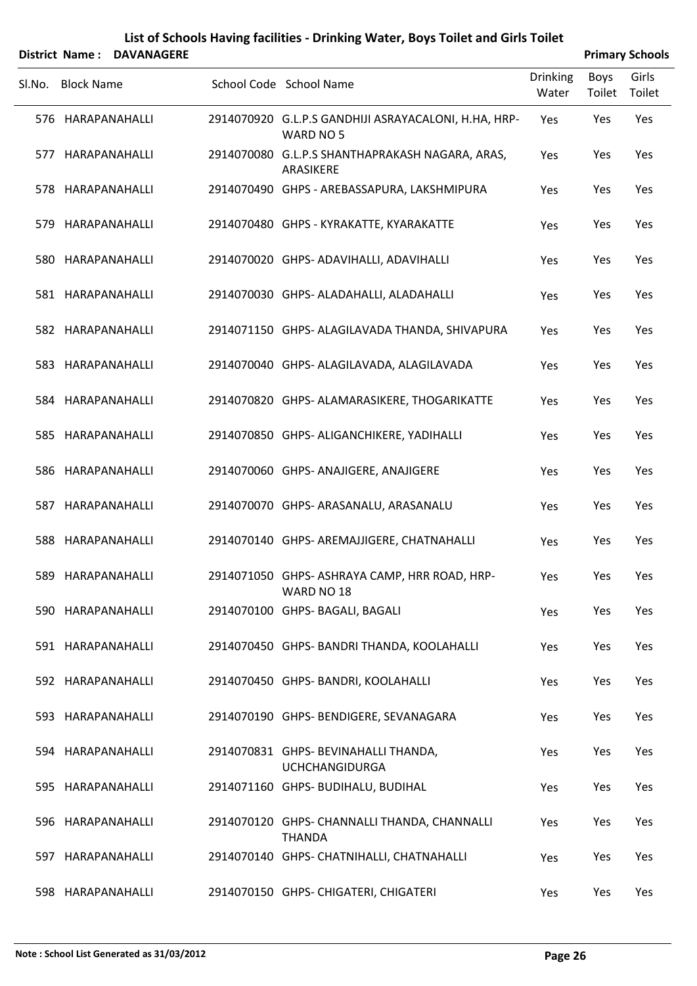|        |                   | District Name: DAVANAGERE |                                                                   |                          |                | <b>Primary Schools</b> |
|--------|-------------------|---------------------------|-------------------------------------------------------------------|--------------------------|----------------|------------------------|
| SI.No. | <b>Block Name</b> |                           | School Code School Name                                           | <b>Drinking</b><br>Water | Boys<br>Toilet | Girls<br>Toilet        |
|        | 576 HARAPANAHALLI |                           | 2914070920 G.L.P.S GANDHIJI ASRAYACALONI, H.HA, HRP-<br>WARD NO 5 | Yes                      | Yes            | Yes                    |
|        | 577 HARAPANAHALLI |                           | 2914070080 G.L.P.S SHANTHAPRAKASH NAGARA, ARAS,<br>ARASIKERE      | Yes                      | Yes            | Yes                    |
|        | 578 HARAPANAHALLI |                           | 2914070490 GHPS - AREBASSAPURA, LAKSHMIPURA                       | Yes                      | Yes            | Yes                    |
|        | 579 HARAPANAHALLI |                           | 2914070480 GHPS - KYRAKATTE, KYARAKATTE                           | Yes                      | Yes            | Yes                    |
|        | 580 HARAPANAHALLI |                           | 2914070020 GHPS- ADAVIHALLI, ADAVIHALLI                           | Yes                      | Yes            | Yes                    |
|        | 581 HARAPANAHALLI |                           | 2914070030 GHPS- ALADAHALLI, ALADAHALLI                           | Yes                      | Yes            | Yes                    |
|        | 582 HARAPANAHALLI |                           | 2914071150 GHPS- ALAGILAVADA THANDA, SHIVAPURA                    | Yes                      | Yes            | Yes                    |
|        | 583 HARAPANAHALLI |                           | 2914070040 GHPS- ALAGILAVADA, ALAGILAVADA                         | Yes                      | Yes            | Yes                    |
|        | 584 HARAPANAHALLI |                           | 2914070820 GHPS- ALAMARASIKERE, THOGARIKATTE                      | Yes                      | Yes            | Yes                    |
|        | 585 HARAPANAHALLI |                           | 2914070850 GHPS- ALIGANCHIKERE, YADIHALLI                         | Yes                      | Yes            | Yes                    |
|        | 586 HARAPANAHALLI |                           | 2914070060 GHPS- ANAJIGERE, ANAJIGERE                             | Yes                      | Yes            | Yes                    |
|        | 587 HARAPANAHALLI |                           | 2914070070 GHPS- ARASANALU, ARASANALU                             | Yes                      | Yes            | Yes                    |
|        | 588 HARAPANAHALLI |                           | 2914070140 GHPS- AREMAJJIGERE, CHATNAHALLI                        | Yes                      | Yes            | Yes                    |
|        | 589 HARAPANAHALLI |                           | 2914071050 GHPS-ASHRAYA CAMP, HRR ROAD, HRP-<br>WARD NO 18        | Yes                      | Yes            | Yes                    |
|        | 590 HARAPANAHALLI |                           | 2914070100 GHPS- BAGALI, BAGALI                                   | Yes                      | Yes            | Yes                    |
|        | 591 HARAPANAHALLI |                           | 2914070450 GHPS- BANDRI THANDA, KOOLAHALLI                        | Yes                      | Yes            | Yes                    |
|        | 592 HARAPANAHALLI |                           | 2914070450 GHPS- BANDRI, KOOLAHALLI                               | Yes                      | Yes            | Yes                    |
|        | 593 HARAPANAHALLI |                           | 2914070190 GHPS- BENDIGERE, SEVANAGARA                            | Yes                      | Yes            | Yes                    |
|        | 594 HARAPANAHALLI |                           | 2914070831 GHPS- BEVINAHALLI THANDA,<br><b>UCHCHANGIDURGA</b>     | Yes                      | Yes            | Yes                    |
|        | 595 HARAPANAHALLI |                           | 2914071160 GHPS- BUDIHALU, BUDIHAL                                | Yes                      | Yes            | Yes                    |
|        | 596 HARAPANAHALLI |                           | 2914070120 GHPS- CHANNALLI THANDA, CHANNALLI<br><b>THANDA</b>     | Yes                      | Yes            | Yes                    |
|        | 597 HARAPANAHALLI |                           | 2914070140 GHPS- CHATNIHALLI, CHATNAHALLI                         | Yes                      | Yes            | Yes                    |
|        | 598 HARAPANAHALLI |                           | 2914070150 GHPS- CHIGATERI, CHIGATERI                             | Yes                      | Yes            | Yes                    |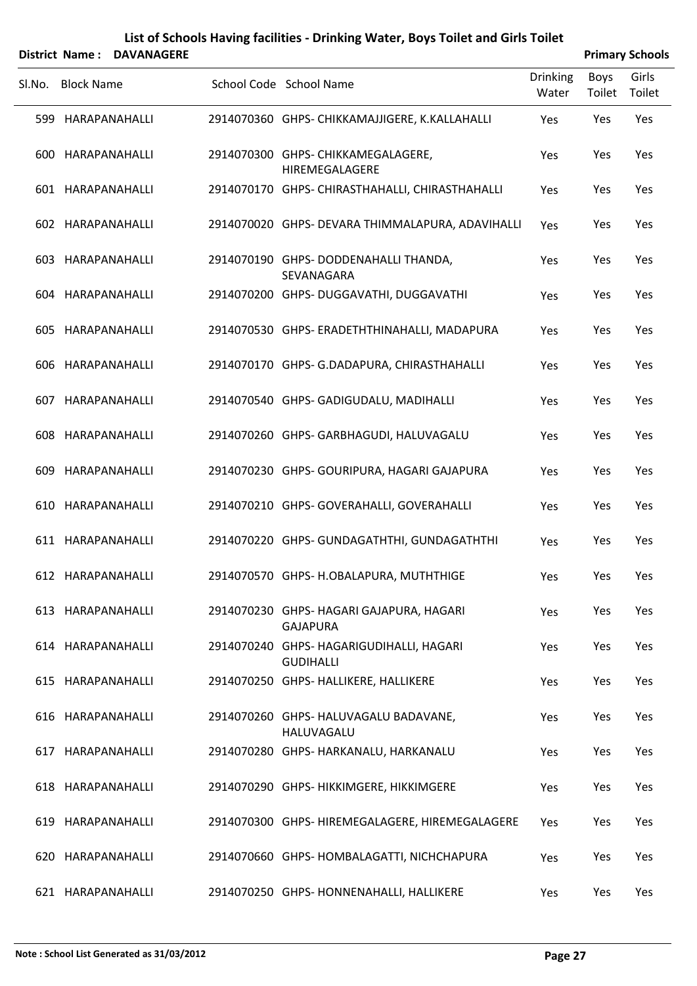|        | District Name: DAVANAGERE |  |                                                              |                          | <b>Primary Schools</b> |                 |  |  |
|--------|---------------------------|--|--------------------------------------------------------------|--------------------------|------------------------|-----------------|--|--|
| Sl.No. | <b>Block Name</b>         |  | School Code School Name                                      | <b>Drinking</b><br>Water | <b>Boys</b><br>Toilet  | Girls<br>Toilet |  |  |
|        | 599 HARAPANAHALLI         |  | 2914070360 GHPS- CHIKKAMAJJIGERE, K.KALLAHALLI               | Yes                      | Yes                    | Yes             |  |  |
|        | 600 HARAPANAHALLI         |  | 2914070300 GHPS- CHIKKAMEGALAGERE,<br>HIREMEGALAGERE         | Yes                      | Yes                    | Yes             |  |  |
|        | 601 HARAPANAHALLI         |  | 2914070170 GHPS- CHIRASTHAHALLI, CHIRASTHAHALLI              | Yes                      | Yes                    | Yes             |  |  |
|        | 602 HARAPANAHALLI         |  | 2914070020 GHPS- DEVARA THIMMALAPURA, ADAVIHALLI             | Yes                      | Yes                    | Yes             |  |  |
|        | 603 HARAPANAHALLI         |  | 2914070190 GHPS-DODDENAHALLI THANDA,<br>SEVANAGARA           | Yes                      | Yes                    | Yes             |  |  |
|        | 604 HARAPANAHALLI         |  | 2914070200 GHPS-DUGGAVATHI, DUGGAVATHI                       | Yes                      | Yes                    | Yes             |  |  |
|        | 605 HARAPANAHALLI         |  | 2914070530 GHPS- ERADETHTHINAHALLI, MADAPURA                 | Yes                      | Yes                    | Yes             |  |  |
|        | 606 HARAPANAHALLI         |  | 2914070170 GHPS- G.DADAPURA, CHIRASTHAHALLI                  | Yes                      | Yes                    | Yes             |  |  |
|        | 607 HARAPANAHALLI         |  | 2914070540 GHPS- GADIGUDALU, MADIHALLI                       | Yes                      | Yes                    | Yes             |  |  |
|        | 608 HARAPANAHALLI         |  | 2914070260 GHPS- GARBHAGUDI, HALUVAGALU                      | Yes                      | Yes                    | Yes             |  |  |
|        | 609 HARAPANAHALLI         |  | 2914070230 GHPS- GOURIPURA, HAGARI GAJAPURA                  | Yes                      | Yes                    | Yes             |  |  |
|        | 610 HARAPANAHALLI         |  | 2914070210 GHPS- GOVERAHALLI, GOVERAHALLI                    | Yes                      | Yes                    | Yes             |  |  |
|        | 611 HARAPANAHALLI         |  | 2914070220 GHPS- GUNDAGATHTHI, GUNDAGATHTHI                  | Yes                      | Yes                    | Yes             |  |  |
|        | 612 HARAPANAHALLI         |  | 2914070570 GHPS- H.OBALAPURA, MUTHTHIGE                      | Yes                      | Yes                    | Yes             |  |  |
|        | 613 HARAPANAHALLI         |  | 2914070230 GHPS- HAGARI GAJAPURA, HAGARI<br><b>GAJAPURA</b>  | Yes                      | Yes                    | Yes             |  |  |
|        | 614 HARAPANAHALLI         |  | 2914070240 GHPS- HAGARIGUDIHALLI, HAGARI<br><b>GUDIHALLI</b> | Yes                      | Yes                    | Yes             |  |  |
|        | 615 HARAPANAHALLI         |  | 2914070250 GHPS- HALLIKERE, HALLIKERE                        | Yes                      | Yes                    | Yes             |  |  |
|        | 616 HARAPANAHALLI         |  | 2914070260 GHPS- HALUVAGALU BADAVANE,<br>HALUVAGALU          | Yes                      | Yes                    | Yes             |  |  |
|        | 617 HARAPANAHALLI         |  | 2914070280 GHPS- HARKANALU, HARKANALU                        | Yes                      | Yes                    | Yes             |  |  |
|        | 618 HARAPANAHALLI         |  | 2914070290 GHPS- HIKKIMGERE, HIKKIMGERE                      | Yes                      | Yes                    | Yes             |  |  |
|        | 619 HARAPANAHALLI         |  | 2914070300 GHPS- HIREMEGALAGERE, HIREMEGALAGERE              | Yes                      | Yes                    | Yes             |  |  |
|        | 620 HARAPANAHALLI         |  | 2914070660 GHPS- HOMBALAGATTI, NICHCHAPURA                   | Yes                      | Yes                    | Yes             |  |  |
|        | 621 HARAPANAHALLI         |  | 2914070250 GHPS- HONNENAHALLI, HALLIKERE                     | Yes                      | Yes                    | Yes             |  |  |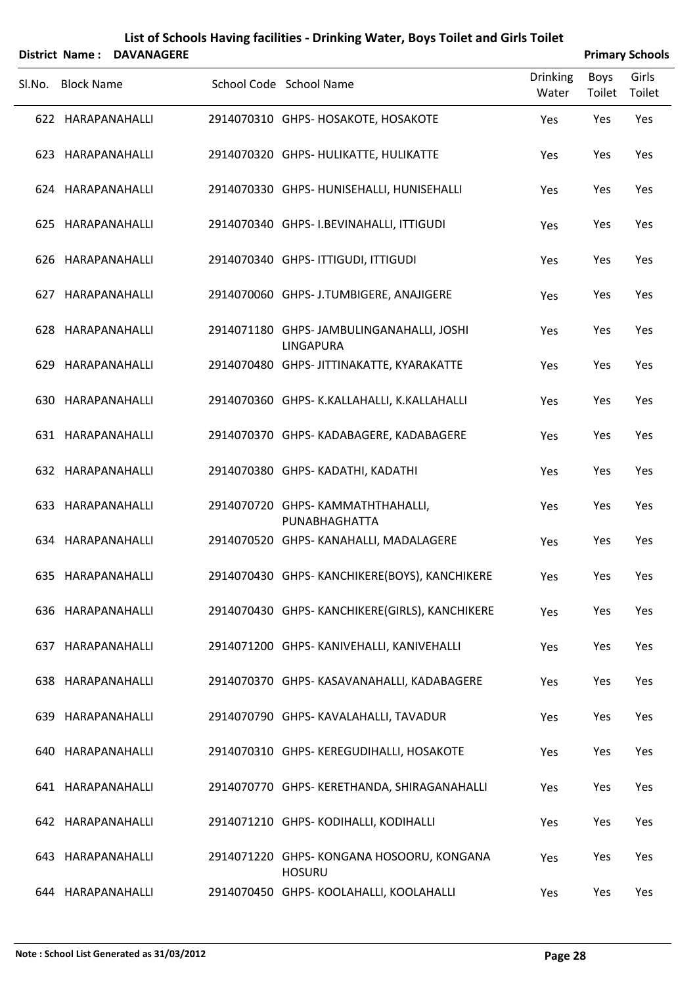| District Name: DAVANAGERE |                                                              |                          |                | <b>Primary Schools</b> |
|---------------------------|--------------------------------------------------------------|--------------------------|----------------|------------------------|
| SI.No. Block Name         | School Code School Name                                      | <b>Drinking</b><br>Water | Boys<br>Toilet | Girls<br>Toilet        |
| 622 HARAPANAHALLI         | 2914070310 GHPS- HOSAKOTE, HOSAKOTE                          | Yes                      | Yes            | Yes                    |
| 623 HARAPANAHALLI         | 2914070320 GHPS- HULIKATTE, HULIKATTE                        | Yes                      | Yes            | Yes                    |
| 624 HARAPANAHALLI         | 2914070330 GHPS- HUNISEHALLI, HUNISEHALLI                    | Yes                      | Yes            | Yes                    |
| 625 HARAPANAHALLI         | 2914070340 GHPS-I.BEVINAHALLI, ITTIGUDI                      | Yes                      | Yes            | Yes                    |
| 626 HARAPANAHALLI         | 2914070340 GHPS- ITTIGUDI, ITTIGUDI                          | Yes                      | Yes            | Yes                    |
| 627 HARAPANAHALLI         | 2914070060 GHPS- J.TUMBIGERE, ANAJIGERE                      | Yes                      | Yes            | Yes                    |
| 628 HARAPANAHALLI         | 2914071180 GHPS-JAMBULINGANAHALLI, JOSHI<br><b>LINGAPURA</b> | Yes                      | Yes            | Yes                    |
| 629 HARAPANAHALLI         | 2914070480 GHPS- JITTINAKATTE, KYARAKATTE                    | Yes                      | Yes            | Yes                    |
| 630 HARAPANAHALLI         | 2914070360 GHPS- K.KALLAHALLI, K.KALLAHALLI                  | Yes                      | Yes            | Yes                    |
| 631 HARAPANAHALLI         | 2914070370 GHPS- KADABAGERE, KADABAGERE                      | Yes                      | Yes            | Yes                    |
| 632 HARAPANAHALLI         | 2914070380 GHPS- KADATHI, KADATHI                            | Yes                      | Yes            | Yes                    |
| 633 HARAPANAHALLI         | 2914070720 GHPS-KAMMATHTHAHALLI,<br>PUNABHAGHATTA            | Yes                      | Yes            | Yes                    |
| 634 HARAPANAHALLI         | 2914070520 GHPS- KANAHALLI, MADALAGERE                       | Yes                      | Yes            | Yes                    |
| 635 HARAPANAHALLI         | 2914070430 GHPS- KANCHIKERE(BOYS), KANCHIKERE                | Yes                      | Yes            | Yes                    |
| 636 HARAPANAHALLI         | 2914070430 GHPS- KANCHIKERE(GIRLS), KANCHIKERE               | Yes                      | Yes            | Yes                    |
| 637 HARAPANAHALLI         | 2914071200 GHPS- KANIVEHALLI, KANIVEHALLI                    | Yes                      | Yes            | Yes                    |
| 638 HARAPANAHALLI         | 2914070370 GHPS-KASAVANAHALLI, KADABAGERE                    | Yes                      | Yes            | Yes                    |
| 639 HARAPANAHALLI         | 2914070790 GHPS- KAVALAHALLI, TAVADUR                        | Yes                      | Yes            | Yes                    |
| 640 HARAPANAHALLI         | 2914070310 GHPS- KEREGUDIHALLI, HOSAKOTE                     | Yes                      | Yes            | Yes                    |
| 641 HARAPANAHALLI         | 2914070770 GHPS- KERETHANDA, SHIRAGANAHALLI                  | Yes                      | Yes            | Yes                    |
| 642 HARAPANAHALLI         | 2914071210 GHPS-KODIHALLI, KODIHALLI                         | Yes                      | Yes            | Yes                    |
| 643 HARAPANAHALLI         | 2914071220 GHPS-KONGANA HOSOORU, KONGANA<br><b>HOSURU</b>    | Yes                      | Yes            | Yes                    |
| 644 HARAPANAHALLI         | 2914070450 GHPS-KOOLAHALLI, KOOLAHALLI                       | Yes                      | Yes            | Yes                    |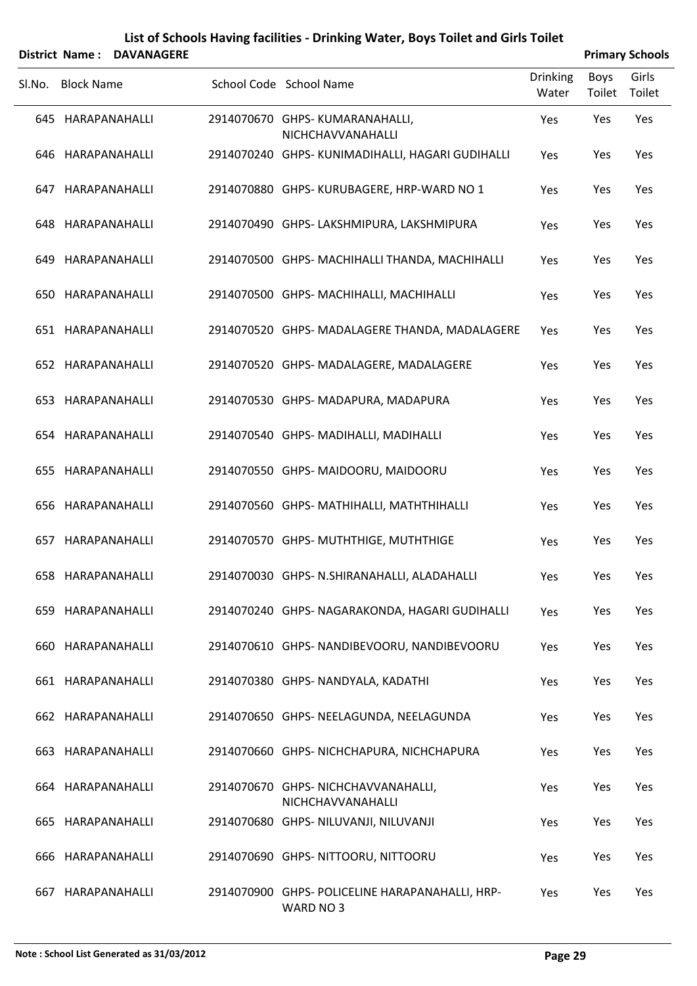|        |                   | District Name: DAVANAGERE |                                                              |                   |                       | <b>Primary Schools</b> |
|--------|-------------------|---------------------------|--------------------------------------------------------------|-------------------|-----------------------|------------------------|
| SI.No. | <b>Block Name</b> |                           | School Code School Name                                      | Drinking<br>Water | <b>Boys</b><br>Toilet | Girls<br>Toilet        |
|        | 645 HARAPANAHALLI |                           | 2914070670 GHPS-KUMARANAHALLI,<br>NICHCHAVVANAHALLI          | Yes               | Yes                   | Yes                    |
|        | 646 HARAPANAHALLI |                           | 2914070240 GHPS- KUNIMADIHALLI, HAGARI GUDIHALLI             | Yes               | Yes                   | Yes                    |
|        | 647 HARAPANAHALLI |                           | 2914070880 GHPS-KURUBAGERE, HRP-WARD NO 1                    | Yes               | Yes                   | Yes                    |
|        | 648 HARAPANAHALLI |                           | 2914070490 GHPS-LAKSHMIPURA, LAKSHMIPURA                     | Yes               | Yes                   | Yes                    |
|        | 649 HARAPANAHALLI |                           | 2914070500 GHPS- MACHIHALLI THANDA, MACHIHALLI               | Yes               | Yes                   | Yes                    |
|        | 650 HARAPANAHALLI |                           | 2914070500 GHPS-MACHIHALLI, MACHIHALLI                       | Yes               | Yes                   | Yes                    |
|        | 651 HARAPANAHALLI |                           | 2914070520 GHPS- MADALAGERE THANDA, MADALAGERE               | Yes               | Yes                   | Yes                    |
|        | 652 HARAPANAHALLI |                           | 2914070520 GHPS- MADALAGERE, MADALAGERE                      | Yes               | Yes                   | Yes                    |
|        | 653 HARAPANAHALLI |                           | 2914070530 GHPS-MADAPURA, MADAPURA                           | Yes               | Yes                   | Yes                    |
|        | 654 HARAPANAHALLI |                           | 2914070540 GHPS-MADIHALLI, MADIHALLI                         | Yes               | Yes                   | Yes                    |
|        | 655 HARAPANAHALLI |                           | 2914070550 GHPS-MAIDOORU, MAIDOORU                           | Yes               | Yes                   | Yes                    |
|        | 656 HARAPANAHALLI |                           | 2914070560 GHPS-MATHIHALLI, MATHTHIHALLI                     | Yes               | Yes                   | Yes                    |
|        | 657 HARAPANAHALLI |                           | 2914070570 GHPS-MUTHTHIGE, MUTHTHIGE                         | Yes               | Yes                   | Yes                    |
|        |                   | 658 HARAPANAHALLI         | 2914070030 GHPS- N.SHIRANAHALLI, ALADAHALLI                  | Yes               | Yes                   | Yes                    |
|        | 659 HARAPANAHALLI |                           | 2914070240 GHPS- NAGARAKONDA, HAGARI GUDIHALLI               | Yes               | Yes                   | Yes                    |
|        | 660 HARAPANAHALLI |                           | 2914070610 GHPS- NANDIBEVOORU, NANDIBEVOORU                  | Yes               | Yes                   | Yes                    |
|        | 661 HARAPANAHALLI |                           | 2914070380 GHPS-NANDYALA, KADATHI                            | Yes               | Yes                   | Yes                    |
|        | 662 HARAPANAHALLI |                           | 2914070650 GHPS- NEELAGUNDA, NEELAGUNDA                      | Yes               | Yes                   | Yes                    |
| 663    |                   | HARAPANAHALLI             | 2914070660 GHPS-NICHCHAPURA, NICHCHAPURA                     | Yes               | Yes                   | Yes                    |
|        | 664 HARAPANAHALLI |                           | 2914070670 GHPS-NICHCHAVVANAHALLI,<br>NICHCHAVVANAHALLI      | Yes               | Yes                   | Yes                    |
|        | 665 HARAPANAHALLI |                           | 2914070680 GHPS- NILUVANJI, NILUVANJI                        | Yes               | Yes                   | Yes                    |
|        | 666 HARAPANAHALLI |                           | 2914070690 GHPS- NITTOORU, NITTOORU                          | Yes               | Yes                   | Yes                    |
| 667    |                   | HARAPANAHALLI             | 2914070900 GHPS- POLICELINE HARAPANAHALLI, HRP-<br>WARD NO 3 | Yes               | Yes                   | Yes                    |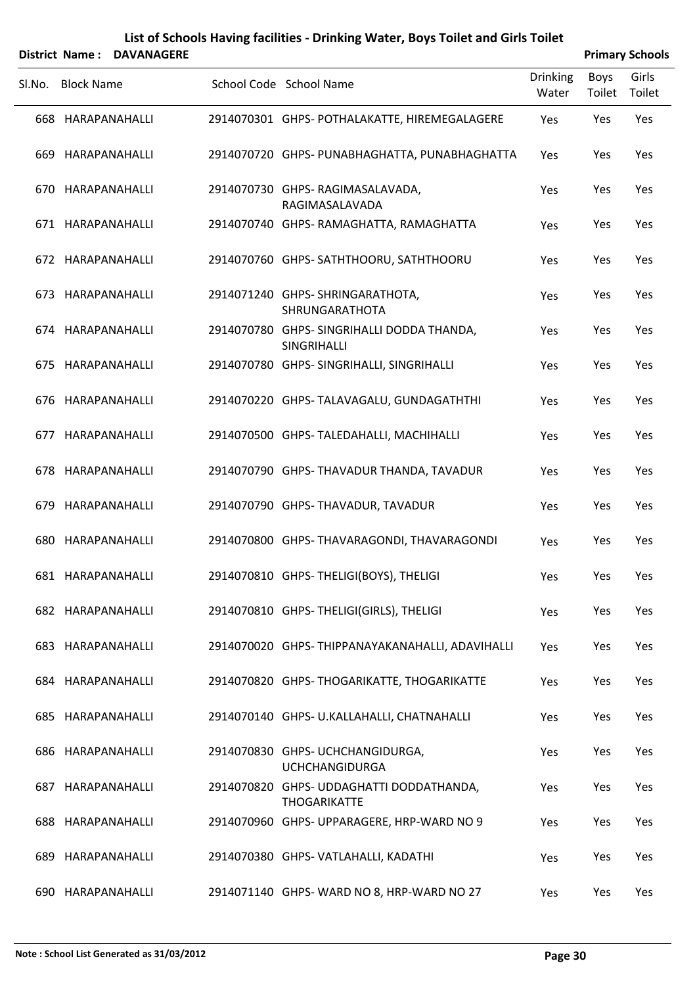|        |                   | District Name: DAVANAGERE |                                                                 |                          |                | <b>Primary Schools</b> |
|--------|-------------------|---------------------------|-----------------------------------------------------------------|--------------------------|----------------|------------------------|
| SI.No. | <b>Block Name</b> |                           | School Code School Name                                         | <b>Drinking</b><br>Water | Boys<br>Toilet | Girls<br>Toilet        |
|        | 668 HARAPANAHALLI |                           | 2914070301 GHPS- POTHALAKATTE, HIREMEGALAGERE                   | Yes                      | Yes            | Yes                    |
| 669    |                   | HARAPANAHALLI             | 2914070720 GHPS- PUNABHAGHATTA, PUNABHAGHATTA                   | Yes                      | Yes            | Yes                    |
|        | 670 HARAPANAHALLI |                           | 2914070730 GHPS-RAGIMASALAVADA,<br>RAGIMASALAVADA               | Yes                      | Yes            | Yes                    |
|        | 671 HARAPANAHALLI |                           | 2914070740 GHPS-RAMAGHATTA, RAMAGHATTA                          | Yes                      | Yes            | Yes                    |
|        | 672 HARAPANAHALLI |                           | 2914070760 GHPS-SATHTHOORU, SATHTHOORU                          | Yes                      | Yes            | Yes                    |
| 673    | HARAPANAHALLI     |                           | 2914071240 GHPS-SHRINGARATHOTA,<br>SHRUNGARATHOTA               | Yes                      | Yes            | Yes                    |
|        | 674 HARAPANAHALLI |                           | 2914070780 GHPS- SINGRIHALLI DODDA THANDA,<br>SINGRIHALLI       | Yes                      | Yes            | Yes                    |
| 675    | HARAPANAHALLI     |                           | 2914070780 GHPS- SINGRIHALLI, SINGRIHALLI                       | Yes                      | Yes            | Yes                    |
|        | 676 HARAPANAHALLI |                           | 2914070220 GHPS- TALAVAGALU, GUNDAGATHTHI                       | Yes                      | Yes            | Yes                    |
|        | 677 HARAPANAHALLI |                           | 2914070500 GHPS-TALEDAHALLI, MACHIHALLI                         | Yes                      | Yes            | Yes                    |
|        | 678 HARAPANAHALLI |                           | 2914070790 GHPS-THAVADUR THANDA, TAVADUR                        | Yes                      | Yes            | Yes                    |
| 679.   |                   | HARAPANAHALLI             | 2914070790 GHPS- THAVADUR, TAVADUR                              | Yes                      | Yes            | Yes                    |
|        | 680 HARAPANAHALLI |                           | 2914070800 GHPS- THAVARAGONDI, THAVARAGONDI                     | Yes                      | Yes            | Yes                    |
|        | 681 HARAPANAHALLI |                           | 2914070810 GHPS- THELIGI(BOYS), THELIGI                         | Yes                      | Yes            | Yes                    |
|        | 682 HARAPANAHALLI |                           | 2914070810 GHPS-THELIGI(GIRLS), THELIGI                         | Yes                      | Yes            | Yes                    |
|        | 683 HARAPANAHALLI |                           | 2914070020 GHPS-THIPPANAYAKANAHALLI, ADAVIHALLI                 | Yes                      | Yes            | Yes                    |
|        | 684 HARAPANAHALLI |                           | 2914070820 GHPS-THOGARIKATTE, THOGARIKATTE                      | Yes                      | Yes            | Yes                    |
|        | 685 HARAPANAHALLI |                           | 2914070140 GHPS- U.KALLAHALLI, CHATNAHALLI                      | Yes                      | Yes            | Yes                    |
|        | 686 HARAPANAHALLI |                           | 2914070830 GHPS- UCHCHANGIDURGA,<br><b>UCHCHANGIDURGA</b>       | Yes                      | Yes            | Yes                    |
|        | 687 HARAPANAHALLI |                           | 2914070820 GHPS- UDDAGHATTI DODDATHANDA,<br><b>THOGARIKATTE</b> | Yes                      | Yes            | Yes                    |
|        | 688 HARAPANAHALLI |                           | 2914070960 GHPS-UPPARAGERE, HRP-WARD NO 9                       | Yes                      | Yes            | Yes                    |
|        | 689 HARAPANAHALLI |                           | 2914070380 GHPS-VATLAHALLI, KADATHI                             | Yes                      | Yes            | Yes                    |
|        | 690 HARAPANAHALLI |                           | 2914071140 GHPS-WARD NO 8, HRP-WARD NO 27                       | Yes                      | Yes            | Yes                    |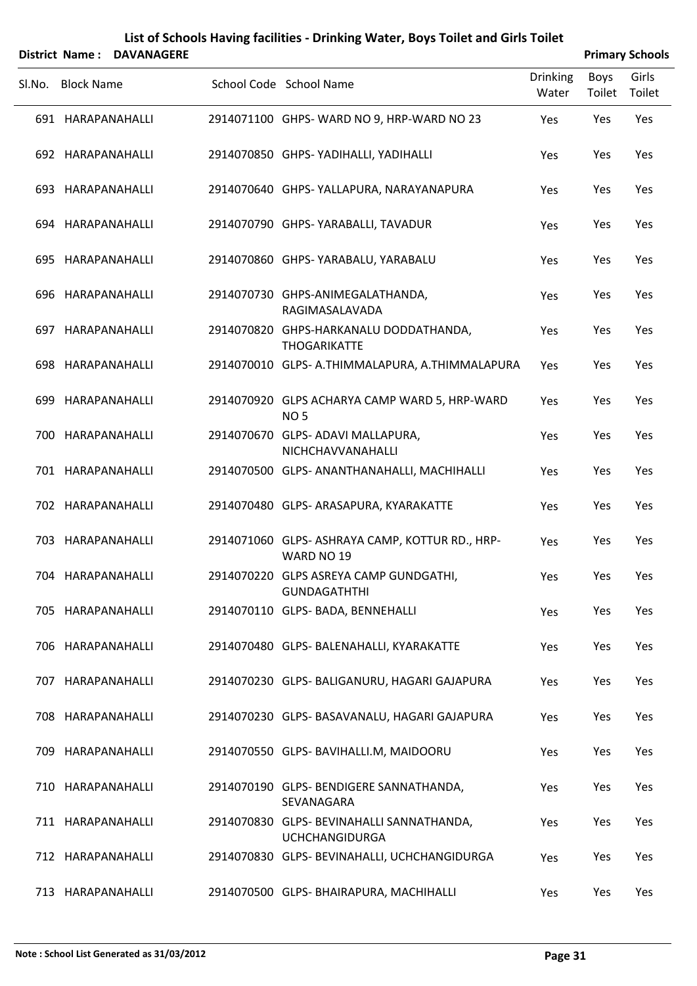|        |                   | District Name: DAVANAGERE |                                                                    |                          |                | <b>Primary Schools</b> |
|--------|-------------------|---------------------------|--------------------------------------------------------------------|--------------------------|----------------|------------------------|
| SI.No. | <b>Block Name</b> |                           | School Code School Name                                            | <b>Drinking</b><br>Water | Boys<br>Toilet | Girls<br>Toilet        |
|        | 691 HARAPANAHALLI |                           | 2914071100 GHPS-WARD NO 9, HRP-WARD NO 23                          | Yes                      | Yes            | Yes                    |
|        | 692 HARAPANAHALLI |                           | 2914070850 GHPS- YADIHALLI, YADIHALLI                              | Yes                      | Yes            | Yes                    |
|        | 693 HARAPANAHALLI |                           | 2914070640 GHPS- YALLAPURA, NARAYANAPURA                           | Yes                      | Yes            | Yes                    |
|        | 694 HARAPANAHALLI |                           | 2914070790 GHPS- YARABALLI, TAVADUR                                | Yes                      | Yes            | Yes                    |
|        | 695 HARAPANAHALLI |                           | 2914070860 GHPS- YARABALU, YARABALU                                | Yes                      | Yes            | Yes                    |
|        | 696 HARAPANAHALLI |                           | 2914070730 GHPS-ANIMEGALATHANDA,<br>RAGIMASALAVADA                 | Yes                      | Yes            | Yes                    |
|        | 697 HARAPANAHALLI |                           | 2914070820 GHPS-HARKANALU DODDATHANDA,<br><b>THOGARIKATTE</b>      | Yes                      | Yes            | Yes                    |
|        | 698 HARAPANAHALLI |                           | 2914070010 GLPS- A.THIMMALAPURA, A.THIMMALAPURA                    | Yes                      | Yes            | Yes                    |
|        | 699 HARAPANAHALLI |                           | 2914070920 GLPS ACHARYA CAMP WARD 5, HRP-WARD<br><b>NO 5</b>       | Yes                      | Yes            | Yes                    |
|        | 700 HARAPANAHALLI |                           | 2914070670 GLPS- ADAVI MALLAPURA,<br>NICHCHAVVANAHALLI             | Yes                      | Yes            | Yes                    |
|        | 701 HARAPANAHALLI |                           | 2914070500 GLPS- ANANTHANAHALLI, MACHIHALLI                        | Yes                      | Yes            | Yes                    |
|        | 702 HARAPANAHALLI |                           | 2914070480 GLPS- ARASAPURA, KYARAKATTE                             | Yes                      | Yes            | Yes                    |
|        | 703 HARAPANAHALLI |                           | 2914071060 GLPS-ASHRAYA CAMP, KOTTUR RD., HRP-<br>WARD NO 19       | Yes                      | Yes            | Yes                    |
|        | 704 HARAPANAHALLI |                           | 2914070220 GLPS ASREYA CAMP GUNDGATHI,<br><b>GUNDAGATHTHI</b>      | Yes                      | Yes            | Yes                    |
|        | 705 HARAPANAHALLI |                           | 2914070110 GLPS- BADA, BENNEHALLI                                  | Yes                      | Yes            | Yes                    |
|        | 706 HARAPANAHALLI |                           | 2914070480 GLPS- BALENAHALLI, KYARAKATTE                           | Yes                      | Yes            | Yes                    |
|        | 707 HARAPANAHALLI |                           | 2914070230 GLPS- BALIGANURU, HAGARI GAJAPURA                       | Yes                      | Yes            | Yes                    |
|        | 708 HARAPANAHALLI |                           | 2914070230 GLPS- BASAVANALU, HAGARI GAJAPURA                       | Yes                      | Yes            | Yes                    |
|        | 709 HARAPANAHALLI |                           | 2914070550 GLPS- BAVIHALLI.M, MAIDOORU                             | Yes                      | Yes            | Yes                    |
|        | 710 HARAPANAHALLI |                           | 2914070190 GLPS- BENDIGERE SANNATHANDA,<br>SEVANAGARA              | Yes                      | Yes            | Yes                    |
|        | 711 HARAPANAHALLI |                           | 2914070830 GLPS- BEVINAHALLI SANNATHANDA,<br><b>UCHCHANGIDURGA</b> | Yes                      | Yes            | Yes                    |
|        | 712 HARAPANAHALLI |                           | 2914070830 GLPS- BEVINAHALLI, UCHCHANGIDURGA                       | Yes                      | Yes            | Yes                    |
|        | 713 HARAPANAHALLI |                           | 2914070500 GLPS- BHAIRAPURA, MACHIHALLI                            | Yes                      | Yes            | Yes                    |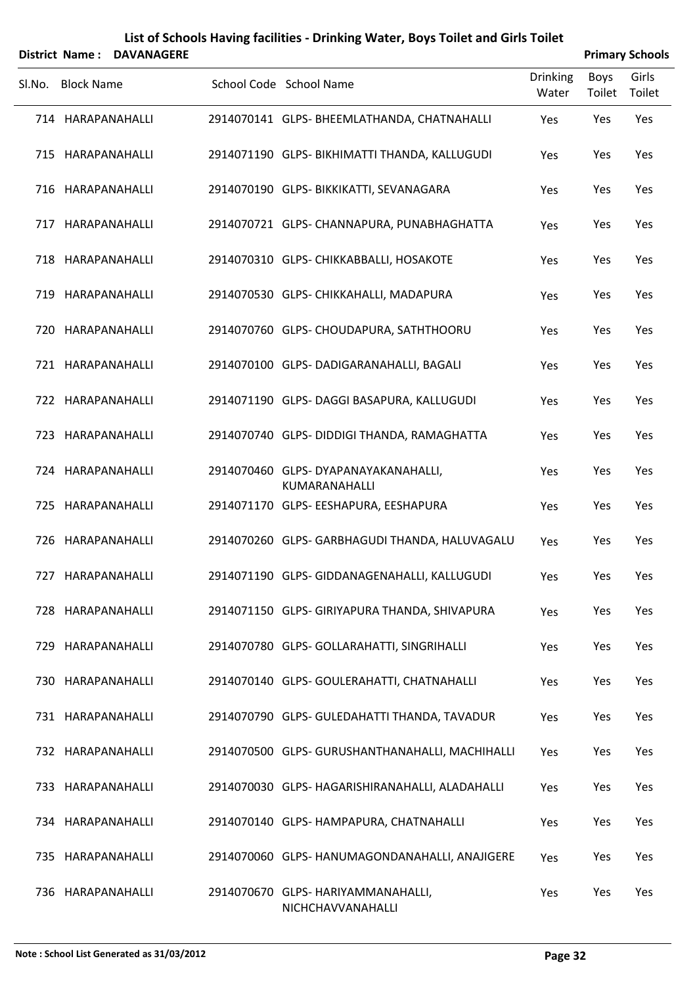|        | District Name: DAVANAGERE |                                                         |                          |                       | <b>Primary Schools</b> |
|--------|---------------------------|---------------------------------------------------------|--------------------------|-----------------------|------------------------|
| SI.No. | <b>Block Name</b>         | School Code School Name                                 | <b>Drinking</b><br>Water | <b>Boys</b><br>Toilet | Girls<br>Toilet        |
|        | 714 HARAPANAHALLI         | 2914070141 GLPS- BHEEMLATHANDA, CHATNAHALLI             | Yes                      | Yes                   | Yes                    |
|        | 715 HARAPANAHALLI         | 2914071190 GLPS- BIKHIMATTI THANDA, KALLUGUDI           | Yes                      | Yes                   | Yes                    |
|        | 716 HARAPANAHALLI         | 2914070190 GLPS- BIKKIKATTI, SEVANAGARA                 | Yes                      | Yes                   | Yes                    |
|        | 717 HARAPANAHALLI         | 2914070721 GLPS-CHANNAPURA, PUNABHAGHATTA               | Yes                      | Yes                   | Yes                    |
|        | 718 HARAPANAHALLI         | 2914070310 GLPS- CHIKKABBALLI, HOSAKOTE                 | Yes                      | Yes                   | Yes                    |
|        | 719 HARAPANAHALLI         | 2914070530 GLPS- CHIKKAHALLI, MADAPURA                  | Yes                      | Yes                   | Yes                    |
|        | 720 HARAPANAHALLI         | 2914070760 GLPS- CHOUDAPURA, SATHTHOORU                 | Yes                      | Yes                   | Yes                    |
|        | 721 HARAPANAHALLI         | 2914070100 GLPS-DADIGARANAHALLI, BAGALI                 | Yes                      | Yes                   | Yes                    |
|        | 722 HARAPANAHALLI         | 2914071190 GLPS-DAGGI BASAPURA, KALLUGUDI               | Yes                      | Yes                   | Yes                    |
|        | 723 HARAPANAHALLI         | 2914070740 GLPS-DIDDIGI THANDA, RAMAGHATTA              | Yes                      | Yes                   | Yes                    |
|        | 724 HARAPANAHALLI         | 2914070460 GLPS-DYAPANAYAKANAHALLI,<br>KUMARANAHALLI    | Yes                      | Yes                   | Yes                    |
|        | 725 HARAPANAHALLI         | 2914071170 GLPS- EESHAPURA, EESHAPURA                   | Yes                      | Yes                   | Yes                    |
|        | 726 HARAPANAHALLI         | 2914070260 GLPS- GARBHAGUDI THANDA, HALUVAGALU          | Yes                      | Yes                   | Yes                    |
|        | 727 HARAPANAHALLI         | 2914071190 GLPS- GIDDANAGENAHALLI, KALLUGUDI            | Yes                      | Yes                   | Yes                    |
|        | 728 HARAPANAHALLI         | 2914071150 GLPS- GIRIYAPURA THANDA, SHIVAPURA           | Yes                      | Yes                   | Yes                    |
|        | 729 HARAPANAHALLI         | 2914070780 GLPS- GOLLARAHATTI, SINGRIHALLI              | Yes                      | Yes                   | Yes                    |
|        | 730 HARAPANAHALLI         | 2914070140 GLPS- GOULERAHATTI, CHATNAHALLI              | Yes                      | Yes                   | Yes                    |
|        | 731 HARAPANAHALLI         | 2914070790 GLPS- GULEDAHATTI THANDA, TAVADUR            | Yes                      | Yes                   | Yes                    |
|        | 732 HARAPANAHALLI         | 2914070500 GLPS- GURUSHANTHANAHALLI, MACHIHALLI         | Yes                      | Yes                   | Yes                    |
|        | 733 HARAPANAHALLI         | 2914070030 GLPS- HAGARISHIRANAHALLI, ALADAHALLI         | Yes                      | Yes                   | Yes                    |
|        | 734 HARAPANAHALLI         | 2914070140 GLPS- HAMPAPURA, CHATNAHALLI                 | Yes                      | Yes                   | Yes                    |
|        | 735 HARAPANAHALLI         | 2914070060 GLPS- HANUMAGONDANAHALLI, ANAJIGERE          | Yes                      | Yes                   | Yes                    |
|        | 736 HARAPANAHALLI         | 2914070670 GLPS- HARIYAMMANAHALLI,<br>NICHCHAVVANAHALLI | Yes                      | Yes                   | Yes                    |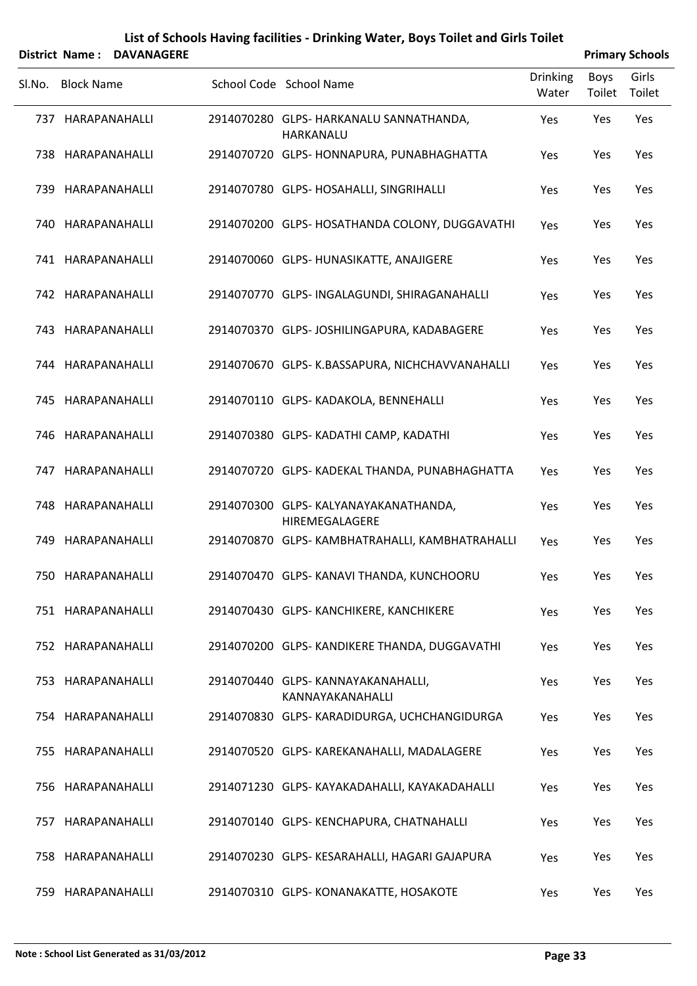|        |                   | District Name: DAVANAGERE |                                                        |                          |                | <b>Primary Schools</b> |
|--------|-------------------|---------------------------|--------------------------------------------------------|--------------------------|----------------|------------------------|
| SI.No. | <b>Block Name</b> |                           | School Code School Name                                | <b>Drinking</b><br>Water | Boys<br>Toilet | Girls<br>Toilet        |
|        |                   | 737 HARAPANAHALLI         | 2914070280 GLPS- HARKANALU SANNATHANDA,<br>HARKANALU   | Yes                      | Yes            | Yes                    |
|        |                   | 738 HARAPANAHALLI         | 2914070720 GLPS- HONNAPURA, PUNABHAGHATTA              | Yes                      | Yes            | Yes                    |
|        |                   | 739 HARAPANAHALLI         | 2914070780 GLPS- HOSAHALLI, SINGRIHALLI                | Yes                      | Yes            | Yes                    |
|        |                   | 740 HARAPANAHALLI         | 2914070200 GLPS- HOSATHANDA COLONY, DUGGAVATHI         | Yes                      | Yes            | Yes                    |
|        |                   | 741 HARAPANAHALLI         | 2914070060 GLPS- HUNASIKATTE, ANAJIGERE                | Yes                      | Yes            | Yes                    |
|        |                   | 742 HARAPANAHALLI         | 2914070770 GLPS- INGALAGUNDI, SHIRAGANAHALLI           | Yes                      | Yes            | Yes                    |
|        |                   | 743 HARAPANAHALLI         | 2914070370 GLPS-JOSHILINGAPURA, KADABAGERE             | Yes                      | Yes            | Yes                    |
|        |                   | 744 HARAPANAHALLI         | 2914070670 GLPS- K.BASSAPURA, NICHCHAVVANAHALLI        | Yes                      | Yes            | Yes                    |
|        |                   | 745 HARAPANAHALLI         | 2914070110 GLPS- KADAKOLA, BENNEHALLI                  | Yes                      | Yes            | Yes                    |
|        |                   | 746 HARAPANAHALLI         | 2914070380 GLPS- KADATHI CAMP, KADATHI                 | Yes                      | Yes            | Yes                    |
|        |                   | 747 HARAPANAHALLI         | 2914070720 GLPS- KADEKAL THANDA, PUNABHAGHATTA         | Yes                      | Yes            | Yes                    |
|        |                   | 748 HARAPANAHALLI         | 2914070300 GLPS-KALYANAYAKANATHANDA,<br>HIREMEGALAGERE | Yes                      | Yes            | Yes                    |
|        |                   | 749 HARAPANAHALLI         | 2914070870 GLPS- KAMBHATRAHALLI, KAMBHATRAHALLI        | Yes                      | Yes            | Yes                    |
|        |                   | 750 HARAPANAHALLI         | 2914070470 GLPS- KANAVI THANDA, KUNCHOORU              | Yes                      | Yes            | Yes                    |
|        |                   | 751 HARAPANAHALLI         | 2914070430 GLPS- KANCHIKERE, KANCHIKERE                | Yes                      | Yes            | Yes                    |
|        |                   | 752 HARAPANAHALLI         | 2914070200 GLPS- KANDIKERE THANDA, DUGGAVATHI          | Yes                      | Yes            | Yes                    |
|        |                   | 753 HARAPANAHALLI         | 2914070440 GLPS-KANNAYAKANAHALLI,<br>KANNAYAKANAHALLI  | Yes                      | Yes            | Yes                    |
|        |                   | 754 HARAPANAHALLI         | 2914070830 GLPS- KARADIDURGA, UCHCHANGIDURGA           | Yes                      | Yes            | Yes                    |
|        |                   | 755 HARAPANAHALLI         | 2914070520 GLPS- KAREKANAHALLI, MADALAGERE             | Yes                      | Yes            | Yes                    |
|        |                   | 756 HARAPANAHALLI         | 2914071230 GLPS- KAYAKADAHALLI, KAYAKADAHALLI          | Yes                      | Yes            | Yes                    |
|        |                   | 757 HARAPANAHALLI         | 2914070140 GLPS- KENCHAPURA, CHATNAHALLI               | Yes                      | Yes            | Yes                    |
|        |                   | 758 HARAPANAHALLI         | 2914070230 GLPS- KESARAHALLI, HAGARI GAJAPURA          | Yes                      | Yes            | Yes                    |
|        |                   | 759 HARAPANAHALLI         | 2914070310 GLPS- KONANAKATTE, HOSAKOTE                 | Yes                      | Yes            | Yes                    |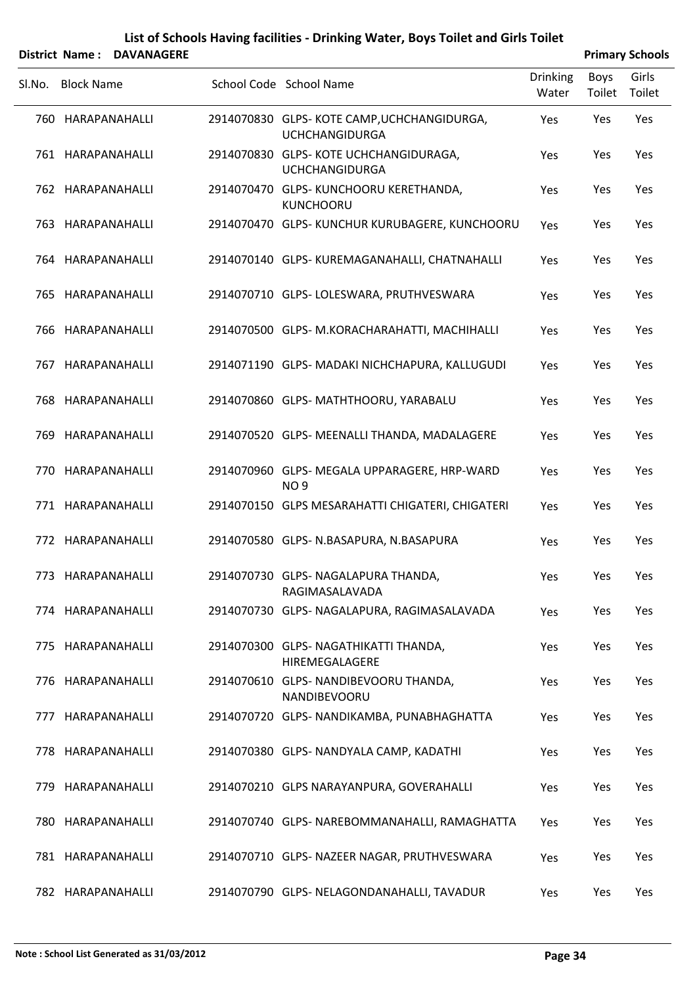|        |                   | District Name: DAVANAGERE |                                                                     |                          |                | <b>Primary Schools</b> |
|--------|-------------------|---------------------------|---------------------------------------------------------------------|--------------------------|----------------|------------------------|
| SI.No. | <b>Block Name</b> |                           | School Code School Name                                             | <b>Drinking</b><br>Water | Boys<br>Toilet | Girls<br>Toilet        |
|        | 760 HARAPANAHALLI |                           | 2914070830 GLPS-KOTE CAMP, UCHCHANGIDURGA,<br><b>UCHCHANGIDURGA</b> | Yes                      | Yes            | Yes                    |
|        | 761 HARAPANAHALLI |                           | 2914070830 GLPS-KOTE UCHCHANGIDURAGA,<br><b>UCHCHANGIDURGA</b>      | Yes                      | Yes            | Yes                    |
|        | 762 HARAPANAHALLI |                           | 2914070470 GLPS- KUNCHOORU KERETHANDA,<br><b>KUNCHOORU</b>          | Yes                      | Yes            | Yes                    |
|        | 763 HARAPANAHALLI |                           | 2914070470 GLPS- KUNCHUR KURUBAGERE, KUNCHOORU                      | Yes                      | Yes            | Yes                    |
|        | 764 HARAPANAHALLI |                           | 2914070140 GLPS- KUREMAGANAHALLI, CHATNAHALLI                       | Yes                      | Yes            | Yes                    |
|        | 765 HARAPANAHALLI |                           | 2914070710 GLPS- LOLESWARA, PRUTHVESWARA                            | Yes                      | Yes            | Yes                    |
|        | 766 HARAPANAHALLI |                           | 2914070500 GLPS- M.KORACHARAHATTI, MACHIHALLI                       | Yes                      | Yes            | Yes                    |
|        | 767 HARAPANAHALLI |                           | 2914071190 GLPS- MADAKI NICHCHAPURA, KALLUGUDI                      | Yes                      | Yes            | Yes                    |
|        | 768 HARAPANAHALLI |                           | 2914070860 GLPS-MATHTHOORU, YARABALU                                | Yes                      | Yes            | Yes                    |
|        | 769 HARAPANAHALLI |                           | 2914070520 GLPS- MEENALLI THANDA, MADALAGERE                        | Yes                      | Yes            | Yes                    |
|        | 770 HARAPANAHALLI |                           | 2914070960 GLPS- MEGALA UPPARAGERE, HRP-WARD<br>NO <sub>9</sub>     | Yes                      | Yes            | Yes                    |
|        | 771 HARAPANAHALLI |                           | 2914070150 GLPS MESARAHATTI CHIGATERI, CHIGATERI                    | Yes                      | Yes            | Yes                    |
|        | 772 HARAPANAHALLI |                           | 2914070580 GLPS- N.BASAPURA, N.BASAPURA                             | Yes                      | Yes            | Yes                    |
|        | 773 HARAPANAHALLI |                           | 2914070730 GLPS-NAGALAPURA THANDA,<br>RAGIMASALAVADA                | Yes                      | Yes            | Yes                    |
|        | 774 HARAPANAHALLI |                           | 2914070730 GLPS- NAGALAPURA, RAGIMASALAVADA                         | Yes                      | Yes            | Yes                    |
|        | 775 HARAPANAHALLI |                           | 2914070300 GLPS-NAGATHIKATTI THANDA,<br>HIREMEGALAGERE              | Yes                      | Yes            | Yes                    |
|        | 776 HARAPANAHALLI |                           | 2914070610 GLPS- NANDIBEVOORU THANDA,<br>NANDIBEVOORU               | Yes                      | Yes            | Yes                    |
|        | 777 HARAPANAHALLI |                           | 2914070720 GLPS- NANDIKAMBA, PUNABHAGHATTA                          | Yes                      | Yes            | Yes                    |
|        | 778 HARAPANAHALLI |                           | 2914070380 GLPS- NANDYALA CAMP, KADATHI                             | Yes                      | Yes            | Yes                    |
|        | 779 HARAPANAHALLI |                           | 2914070210 GLPS NARAYANPURA, GOVERAHALLI                            | Yes                      | Yes            | Yes                    |
|        | 780 HARAPANAHALLI |                           | 2914070740 GLPS- NAREBOMMANAHALLI, RAMAGHATTA                       | Yes                      | Yes            | Yes                    |
|        | 781 HARAPANAHALLI |                           | 2914070710 GLPS- NAZEER NAGAR, PRUTHVESWARA                         | Yes                      | Yes            | Yes                    |
|        | 782 HARAPANAHALLI |                           | 2914070790 GLPS- NELAGONDANAHALLI, TAVADUR                          | Yes                      | Yes            | Yes                    |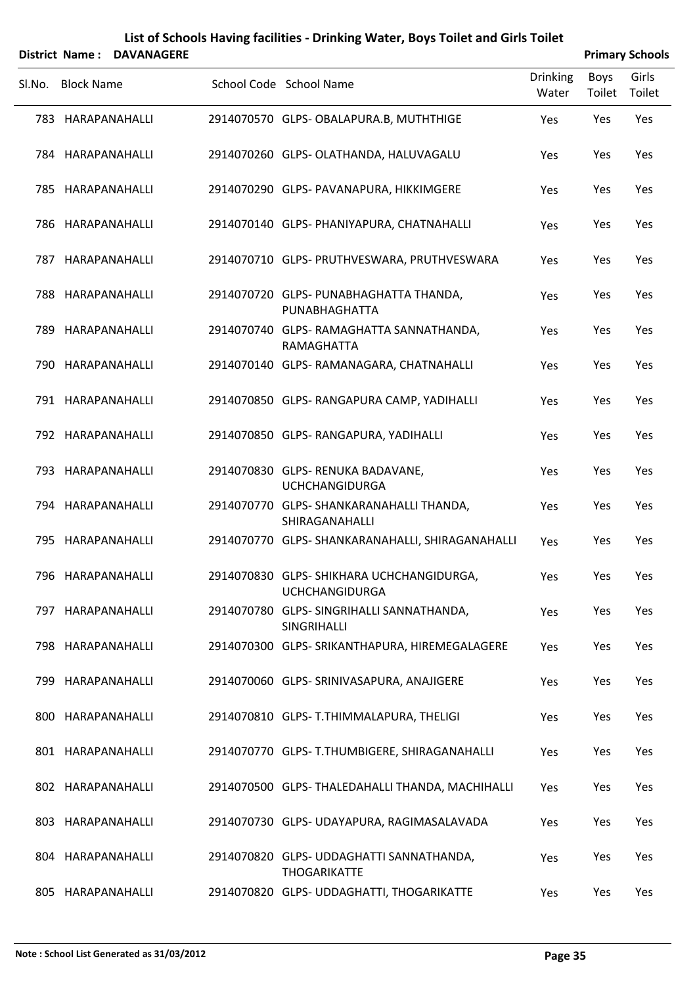|        |                   | District Name: DAVANAGERE |                                                                    |                          |                | <b>Primary Schools</b> |
|--------|-------------------|---------------------------|--------------------------------------------------------------------|--------------------------|----------------|------------------------|
| SI.No. | <b>Block Name</b> |                           | School Code School Name                                            | <b>Drinking</b><br>Water | Boys<br>Toilet | Girls<br>Toilet        |
|        | 783 HARAPANAHALLI |                           | 2914070570 GLPS- OBALAPURA.B, MUTHTHIGE                            | Yes                      | Yes            | Yes                    |
|        | 784 HARAPANAHALLI |                           | 2914070260 GLPS-OLATHANDA, HALUVAGALU                              | Yes                      | Yes            | Yes                    |
|        | 785 HARAPANAHALLI |                           | 2914070290 GLPS- PAVANAPURA, HIKKIMGERE                            | Yes                      | Yes            | Yes                    |
|        | 786 HARAPANAHALLI |                           | 2914070140 GLPS- PHANIYAPURA, CHATNAHALLI                          | Yes                      | Yes            | Yes                    |
|        | 787 HARAPANAHALLI |                           | 2914070710 GLPS- PRUTHVESWARA, PRUTHVESWARA                        | Yes                      | Yes            | Yes                    |
|        | 788 HARAPANAHALLI |                           | 2914070720 GLPS- PUNABHAGHATTA THANDA,<br>PUNABHAGHATTA            | Yes                      | Yes            | Yes                    |
|        | 789 HARAPANAHALLI |                           | 2914070740 GLPS-RAMAGHATTA SANNATHANDA,<br>RAMAGHATTA              | Yes                      | Yes            | Yes                    |
|        | 790 HARAPANAHALLI |                           | 2914070140 GLPS-RAMANAGARA, CHATNAHALLI                            | Yes                      | Yes            | Yes                    |
|        | 791 HARAPANAHALLI |                           | 2914070850 GLPS-RANGAPURA CAMP, YADIHALLI                          | Yes                      | Yes            | Yes                    |
|        | 792 HARAPANAHALLI |                           | 2914070850 GLPS-RANGAPURA, YADIHALLI                               | Yes                      | Yes            | Yes                    |
|        | 793 HARAPANAHALLI |                           | 2914070830 GLPS- RENUKA BADAVANE,<br><b>UCHCHANGIDURGA</b>         | Yes                      | Yes            | Yes                    |
|        | 794 HARAPANAHALLI |                           | 2914070770 GLPS-SHANKARANAHALLI THANDA,<br>SHIRAGANAHALLI          | Yes                      | Yes            | Yes                    |
|        | 795 HARAPANAHALLI |                           | 2914070770 GLPS- SHANKARANAHALLI, SHIRAGANAHALLI                   | Yes                      | Yes            | Yes                    |
|        | 796 HARAPANAHALLI |                           | 2914070830 GLPS- SHIKHARA UCHCHANGIDURGA,<br><b>UCHCHANGIDURGA</b> | Yes                      | Yes            | Yes                    |
|        | 797 HARAPANAHALLI |                           | 2914070780 GLPS- SINGRIHALLI SANNATHANDA,<br>SINGRIHALLI           | Yes                      | Yes            | Yes                    |
|        | 798 HARAPANAHALLI |                           | 2914070300 GLPS- SRIKANTHAPURA, HIREMEGALAGERE                     | Yes                      | Yes            | Yes                    |
| 799    | HARAPANAHALLI     |                           | 2914070060 GLPS- SRINIVASAPURA, ANAJIGERE                          | Yes                      | Yes            | Yes                    |
|        | 800 HARAPANAHALLI |                           | 2914070810 GLPS- T.THIMMALAPURA, THELIGI                           | Yes                      | Yes            | Yes                    |
|        | 801 HARAPANAHALLI |                           | 2914070770 GLPS- T.THUMBIGERE, SHIRAGANAHALLI                      | Yes                      | Yes            | Yes                    |
|        | 802 HARAPANAHALLI |                           | 2914070500 GLPS- THALEDAHALLI THANDA, MACHIHALLI                   | Yes                      | Yes            | Yes                    |
|        | 803 HARAPANAHALLI |                           | 2914070730 GLPS- UDAYAPURA, RAGIMASALAVADA                         | Yes                      | Yes            | Yes                    |
|        | 804 HARAPANAHALLI |                           | 2914070820 GLPS- UDDAGHATTI SANNATHANDA,<br><b>THOGARIKATTE</b>    | Yes                      | Yes            | Yes                    |
|        | 805 HARAPANAHALLI |                           | 2914070820 GLPS- UDDAGHATTI, THOGARIKATTE                          | Yes                      | Yes            | Yes                    |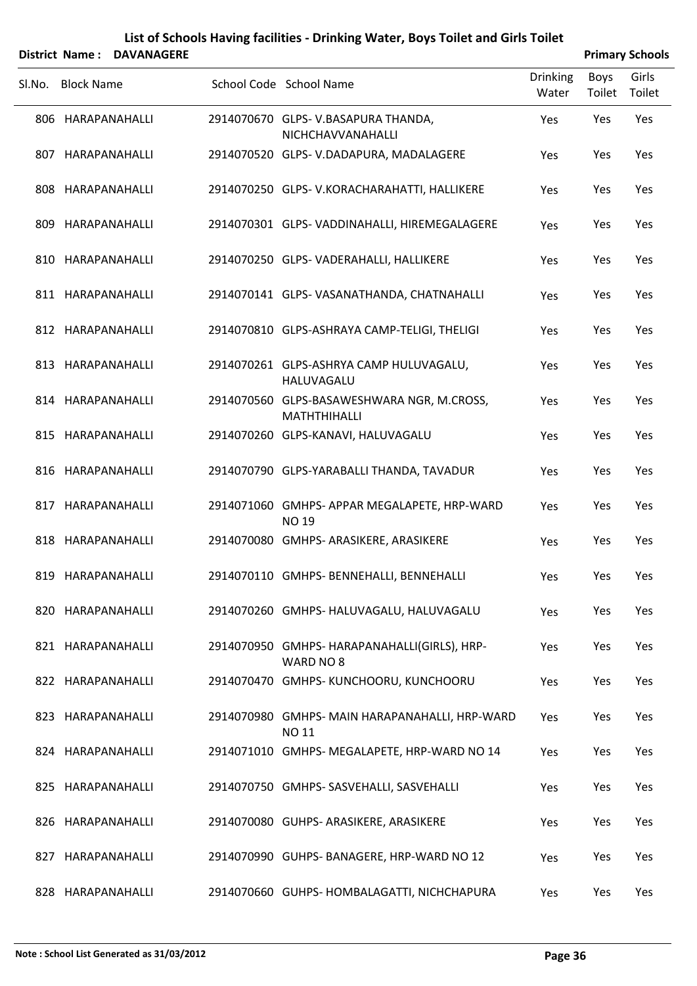|        |                   | District Name: DAVANAGERE |                                                                   |                          |                | <b>Primary Schools</b> |
|--------|-------------------|---------------------------|-------------------------------------------------------------------|--------------------------|----------------|------------------------|
| Sl.No. | <b>Block Name</b> |                           | School Code School Name                                           | <b>Drinking</b><br>Water | Boys<br>Toilet | Girls<br>Toilet        |
|        | 806 HARAPANAHALLI |                           | 2914070670 GLPS-V.BASAPURA THANDA,<br>NICHCHAVVANAHALLI           | Yes                      | Yes            | Yes                    |
|        | 807 HARAPANAHALLI |                           | 2914070520 GLPS-V.DADAPURA, MADALAGERE                            | Yes                      | Yes            | Yes                    |
|        | 808 HARAPANAHALLI |                           | 2914070250 GLPS-V.KORACHARAHATTI, HALLIKERE                       | Yes                      | Yes            | Yes                    |
|        | 809 HARAPANAHALLI |                           | 2914070301 GLPS-VADDINAHALLI, HIREMEGALAGERE                      | Yes                      | Yes            | Yes                    |
|        | 810 HARAPANAHALLI |                           | 2914070250 GLPS-VADERAHALLI, HALLIKERE                            | Yes                      | Yes            | Yes                    |
|        | 811 HARAPANAHALLI |                           | 2914070141 GLPS-VASANATHANDA, CHATNAHALLI                         | Yes                      | Yes            | Yes                    |
|        | 812 HARAPANAHALLI |                           | 2914070810 GLPS-ASHRAYA CAMP-TELIGI, THELIGI                      | Yes                      | Yes            | Yes                    |
|        | 813 HARAPANAHALLI |                           | 2914070261 GLPS-ASHRYA CAMP HULUVAGALU,<br>HALUVAGALU             | Yes                      | Yes            | Yes                    |
|        | 814 HARAPANAHALLI |                           | 2914070560 GLPS-BASAWESHWARA NGR, M.CROSS,<br><b>MATHTHIHALLI</b> | Yes                      | Yes            | Yes                    |
|        | 815 HARAPANAHALLI |                           | 2914070260 GLPS-KANAVI, HALUVAGALU                                | Yes                      | Yes            | Yes                    |
|        | 816 HARAPANAHALLI |                           | 2914070790 GLPS-YARABALLI THANDA, TAVADUR                         | Yes                      | Yes            | Yes                    |
|        | 817 HARAPANAHALLI |                           | 2914071060 GMHPS-APPAR MEGALAPETE, HRP-WARD<br><b>NO 19</b>       | Yes                      | Yes            | Yes                    |
|        | 818 HARAPANAHALLI |                           | 2914070080 GMHPS- ARASIKERE, ARASIKERE                            | Yes                      | Yes            | Yes                    |
|        | 819 HARAPANAHALLI |                           | 2914070110 GMHPS- BENNEHALLI, BENNEHALLI                          | Yes                      | Yes            | Yes                    |
|        | 820 HARAPANAHALLI |                           | 2914070260 GMHPS- HALUVAGALU, HALUVAGALU                          | Yes                      | Yes            | Yes                    |
|        | 821 HARAPANAHALLI |                           | 2914070950 GMHPS-HARAPANAHALLI(GIRLS), HRP-<br>WARD NO 8          | Yes                      | Yes            | Yes                    |
|        | 822 HARAPANAHALLI |                           | 2914070470 GMHPS-KUNCHOORU, KUNCHOORU                             | Yes                      | Yes            | Yes                    |
|        | 823 HARAPANAHALLI |                           | 2914070980 GMHPS-MAIN HARAPANAHALLI, HRP-WARD<br>NO 11            | Yes                      | Yes            | Yes                    |
|        | 824 HARAPANAHALLI |                           | 2914071010 GMHPS-MEGALAPETE, HRP-WARD NO 14                       | Yes                      | Yes            | Yes                    |
|        | 825 HARAPANAHALLI |                           | 2914070750 GMHPS-SASVEHALLI, SASVEHALLI                           | Yes                      | Yes            | Yes                    |
|        | 826 HARAPANAHALLI |                           | 2914070080 GUHPS- ARASIKERE, ARASIKERE                            | Yes                      | Yes            | Yes                    |
|        | 827 HARAPANAHALLI |                           | 2914070990 GUHPS-BANAGERE, HRP-WARD NO 12                         | Yes                      | Yes            | Yes                    |
|        | 828 HARAPANAHALLI |                           | 2914070660 GUHPS- HOMBALAGATTI, NICHCHAPURA                       | Yes                      | Yes            | Yes                    |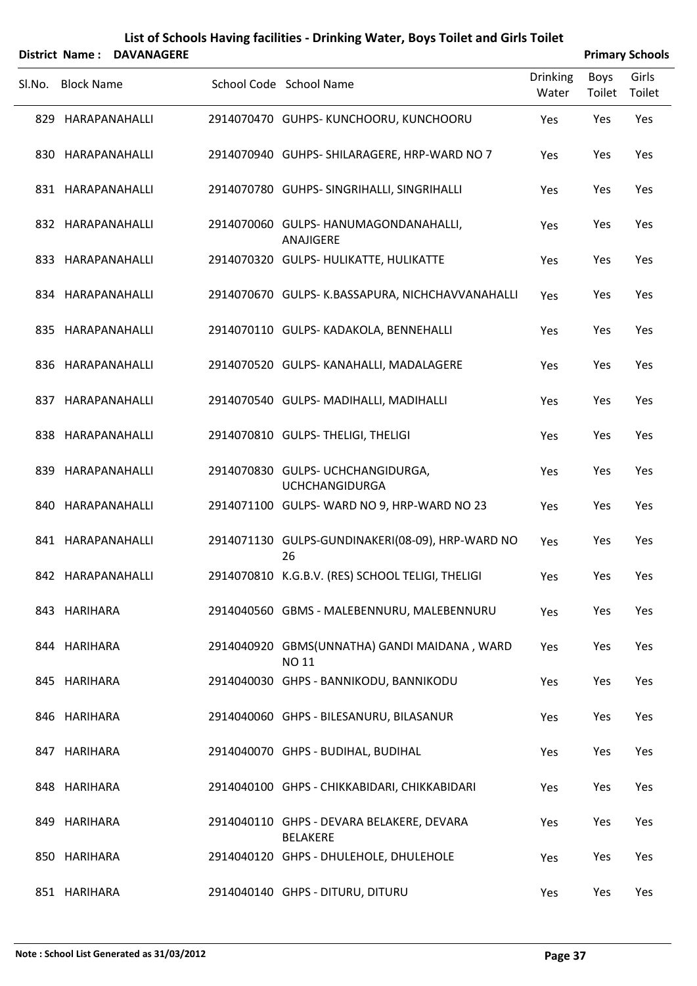|        | District Name: DAVANAGERE |                                                              |                          |                       | <b>Primary Schools</b> |
|--------|---------------------------|--------------------------------------------------------------|--------------------------|-----------------------|------------------------|
| SI.No. | <b>Block Name</b>         | School Code School Name                                      | <b>Drinking</b><br>Water | <b>Boys</b><br>Toilet | Girls<br>Toilet        |
|        | 829 HARAPANAHALLI         | 2914070470 GUHPS-KUNCHOORU, KUNCHOORU                        | Yes                      | Yes                   | Yes                    |
|        | 830 HARAPANAHALLI         | 2914070940 GUHPS-SHILARAGERE, HRP-WARD NO 7                  | Yes                      | Yes                   | Yes                    |
|        | 831 HARAPANAHALLI         | 2914070780 GUHPS-SINGRIHALLI, SINGRIHALLI                    | Yes                      | Yes                   | Yes                    |
|        | 832 HARAPANAHALLI         | 2914070060 GULPS- HANUMAGONDANAHALLI,<br>ANAJIGERE           | Yes                      | Yes                   | Yes                    |
|        | 833 HARAPANAHALLI         | 2914070320 GULPS- HULIKATTE, HULIKATTE                       | Yes                      | Yes                   | Yes                    |
|        | 834 HARAPANAHALLI         | 2914070670 GULPS- K.BASSAPURA, NICHCHAVVANAHALLI             | Yes                      | Yes                   | Yes                    |
|        | 835 HARAPANAHALLI         | 2914070110 GULPS- KADAKOLA, BENNEHALLI                       | Yes                      | Yes                   | Yes                    |
|        | 836 HARAPANAHALLI         | 2914070520 GULPS- KANAHALLI, MADALAGERE                      | Yes                      | Yes                   | Yes                    |
|        | 837 HARAPANAHALLI         | 2914070540 GULPS-MADIHALLI, MADIHALLI                        | Yes                      | Yes                   | Yes                    |
|        | 838 HARAPANAHALLI         | 2914070810 GULPS- THELIGI, THELIGI                           | Yes                      | Yes                   | Yes                    |
|        | 839 HARAPANAHALLI         | 2914070830 GULPS- UCHCHANGIDURGA,<br><b>UCHCHANGIDURGA</b>   | Yes                      | Yes                   | Yes                    |
|        | 840 HARAPANAHALLI         | 2914071100 GULPS-WARD NO 9, HRP-WARD NO 23                   | Yes                      | Yes                   | Yes                    |
|        | 841 HARAPANAHALLI         | 2914071130 GULPS-GUNDINAKERI(08-09), HRP-WARD NO<br>26       | Yes                      | Yes                   | Yes                    |
|        | 842 HARAPANAHALLI         | 2914070810 K.G.B.V. (RES) SCHOOL TELIGI, THELIGI             | Yes                      | Yes                   | Yes                    |
|        | 843 HARIHARA              | 2914040560 GBMS - MALEBENNURU, MALEBENNURU                   | Yes                      | Yes                   | Yes                    |
|        | 844 HARIHARA              | 2914040920 GBMS(UNNATHA) GANDI MAIDANA, WARD<br><b>NO 11</b> | Yes                      | Yes                   | Yes                    |
|        | 845 HARIHARA              | 2914040030 GHPS - BANNIKODU, BANNIKODU                       | Yes                      | Yes                   | Yes                    |
|        | 846 HARIHARA              | 2914040060 GHPS - BILESANURU, BILASANUR                      | Yes                      | Yes                   | Yes                    |
|        | 847 HARIHARA              | 2914040070 GHPS - BUDIHAL, BUDIHAL                           | Yes                      | Yes                   | Yes                    |
|        | 848 HARIHARA              | 2914040100 GHPS - CHIKKABIDARI, CHIKKABIDARI                 | Yes                      | Yes                   | Yes                    |
|        | 849 HARIHARA              | 2914040110 GHPS - DEVARA BELAKERE, DEVARA<br><b>BELAKERE</b> | Yes                      | Yes                   | Yes                    |
|        | 850 HARIHARA              | 2914040120 GHPS - DHULEHOLE, DHULEHOLE                       | Yes                      | Yes                   | Yes                    |
|        | 851 HARIHARA              | 2914040140 GHPS - DITURU, DITURU                             | Yes                      | Yes                   | Yes                    |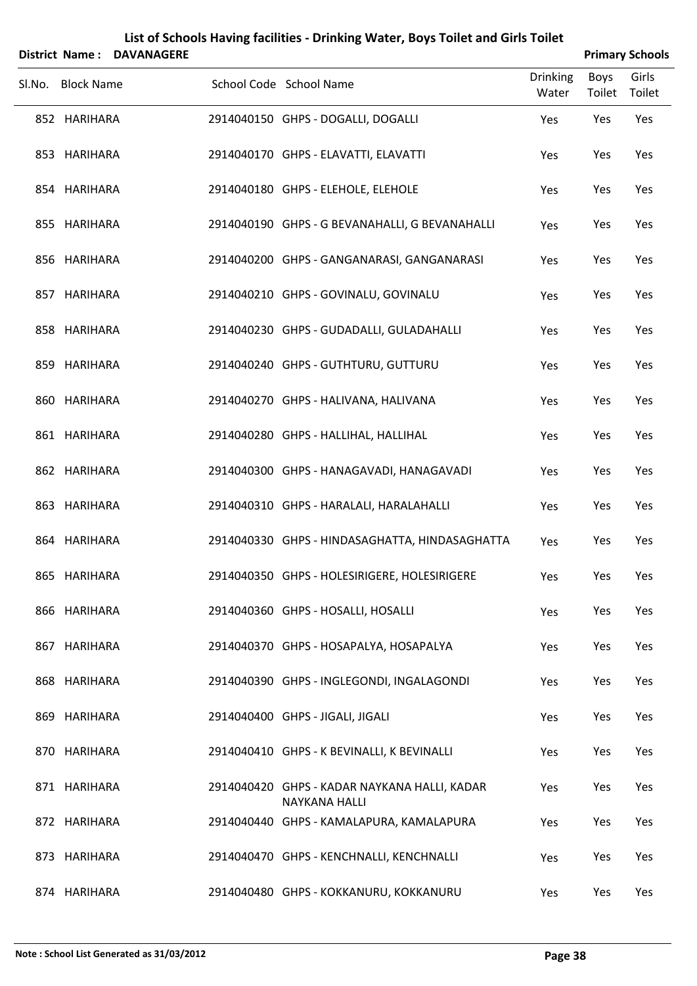|        | <b>District Name:</b> | <b>DAVANAGERE</b> |                                                                      |                          |                       | <b>Primary Schools</b> |
|--------|-----------------------|-------------------|----------------------------------------------------------------------|--------------------------|-----------------------|------------------------|
| SI.No. | <b>Block Name</b>     |                   | School Code School Name                                              | <b>Drinking</b><br>Water | <b>Boys</b><br>Toilet | Girls<br>Toilet        |
|        | 852 HARIHARA          |                   | 2914040150 GHPS - DOGALLI, DOGALLI                                   | Yes                      | Yes                   | Yes                    |
|        | 853 HARIHARA          |                   | 2914040170 GHPS - ELAVATTI, ELAVATTI                                 | Yes                      | Yes                   | Yes                    |
|        | 854 HARIHARA          |                   | 2914040180 GHPS - ELEHOLE, ELEHOLE                                   | Yes                      | Yes                   | Yes                    |
|        | 855 HARIHARA          |                   | 2914040190 GHPS - G BEVANAHALLI, G BEVANAHALLI                       | Yes                      | Yes                   | Yes                    |
|        | 856 HARIHARA          |                   | 2914040200 GHPS - GANGANARASI, GANGANARASI                           | Yes                      | Yes                   | Yes                    |
|        | 857 HARIHARA          |                   | 2914040210 GHPS - GOVINALU, GOVINALU                                 | Yes                      | Yes                   | Yes                    |
|        | 858 HARIHARA          |                   | 2914040230 GHPS - GUDADALLI, GULADAHALLI                             | Yes                      | Yes                   | Yes                    |
|        | 859 HARIHARA          |                   | 2914040240 GHPS - GUTHTURU, GUTTURU                                  | Yes                      | Yes                   | Yes                    |
|        | 860 HARIHARA          |                   | 2914040270 GHPS - HALIVANA, HALIVANA                                 | Yes                      | Yes                   | Yes                    |
|        | 861 HARIHARA          |                   | 2914040280 GHPS - HALLIHAL, HALLIHAL                                 | Yes                      | Yes                   | Yes                    |
|        | 862 HARIHARA          |                   | 2914040300 GHPS - HANAGAVADI, HANAGAVADI                             | Yes                      | Yes                   | Yes                    |
|        | 863 HARIHARA          |                   | 2914040310 GHPS - HARALALI, HARALAHALLI                              | Yes                      | Yes                   | Yes                    |
|        | 864 HARIHARA          |                   | 2914040330 GHPS - HINDASAGHATTA, HINDASAGHATTA                       | Yes                      | Yes                   | Yes                    |
|        | 865 HARIHARA          |                   | 2914040350 GHPS - HOLESIRIGERE, HOLESIRIGERE                         | Yes                      | Yes                   | Yes                    |
|        | 866 HARIHARA          |                   | 2914040360 GHPS - HOSALLI, HOSALLI                                   | Yes                      | Yes                   | Yes                    |
|        | 867 HARIHARA          |                   | 2914040370 GHPS - HOSAPALYA, HOSAPALYA                               | Yes                      | Yes                   | Yes                    |
|        | 868 HARIHARA          |                   | 2914040390 GHPS - INGLEGONDI, INGALAGONDI                            | Yes                      | Yes                   | Yes                    |
|        | 869 HARIHARA          |                   | 2914040400 GHPS - JIGALI, JIGALI                                     | Yes                      | Yes                   | Yes                    |
|        | 870 HARIHARA          |                   | 2914040410 GHPS - K BEVINALLI, K BEVINALLI                           | Yes                      | Yes                   | Yes                    |
|        | 871 HARIHARA          |                   | 2914040420 GHPS - KADAR NAYKANA HALLI, KADAR<br><b>NAYKANA HALLI</b> | Yes                      | Yes                   | Yes                    |
|        | 872 HARIHARA          |                   | 2914040440 GHPS - KAMALAPURA, KAMALAPURA                             | Yes                      | Yes                   | Yes                    |
|        | 873 HARIHARA          |                   | 2914040470 GHPS - KENCHNALLI, KENCHNALLI                             | Yes                      | Yes                   | Yes                    |
|        | 874 HARIHARA          |                   | 2914040480 GHPS - KOKKANURU, KOKKANURU                               | Yes                      | Yes                   | Yes                    |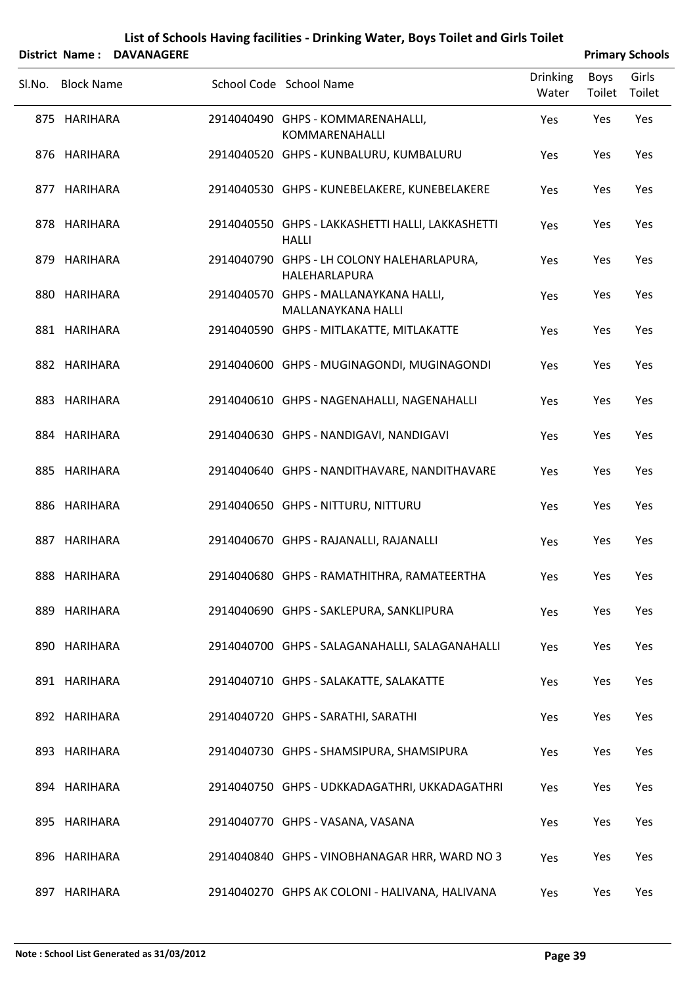|        | <b>District Name:</b> | <b>DAVANAGERE</b> | List of Schools Having facilities - Drinking Water, Boys Toilet and Girls Toilet |                          |                       | <b>Primary Schools</b> |
|--------|-----------------------|-------------------|----------------------------------------------------------------------------------|--------------------------|-----------------------|------------------------|
| SI.No. | <b>Block Name</b>     |                   | School Code School Name                                                          | <b>Drinking</b><br>Water | <b>Boys</b><br>Toilet | Girls<br>Toilet        |
|        | 875 HARIHARA          |                   | 2914040490 GHPS - KOMMARENAHALLI,<br>KOMMARENAHALLI                              | Yes                      | Yes                   | Yes                    |
|        | 876 HARIHARA          |                   | 2914040520 GHPS - KUNBALURU, KUMBALURU                                           | Yes                      | Yes                   | Yes                    |
|        | 877 HARIHARA          |                   | 2914040530 GHPS - KUNEBELAKERE, KUNEBELAKERE                                     | Yes                      | Yes                   | Yes                    |
|        | 878 HARIHARA          |                   | 2914040550 GHPS - LAKKASHETTI HALLI, LAKKASHETTI<br><b>HALLI</b>                 | Yes                      | Yes                   | Yes                    |
|        | 879 HARIHARA          |                   | 2914040790 GHPS - LH COLONY HALEHARLAPURA,<br>HALEHARLAPURA                      | Yes                      | Yes                   | Yes                    |
|        | 880 HARIHARA          |                   | 2914040570 GHPS - MALLANAYKANA HALLI,<br>MALLANAYKANA HALLI                      | Yes                      | Yes                   | Yes                    |
|        | 881 HARIHARA          |                   | 2914040590 GHPS - MITLAKATTE, MITLAKATTE                                         | Yes                      | Yes                   | Yes                    |
|        | 882 HARIHARA          |                   | 2914040600 GHPS - MUGINAGONDI, MUGINAGONDI                                       | Yes                      | Yes                   | Yes                    |
|        | 883 HARIHARA          |                   | 2914040610 GHPS - NAGENAHALLI, NAGENAHALLI                                       | Yes                      | Yes                   | Yes                    |
|        | 884 HARIHARA          |                   | 2914040630 GHPS - NANDIGAVI, NANDIGAVI                                           | Yes                      | Yes                   | Yes                    |
|        | 885 HARIHARA          |                   | 2914040640 GHPS - NANDITHAVARE, NANDITHAVARE                                     | Yes                      | Yes                   | Yes                    |
|        | 886 HARIHARA          |                   | 2914040650 GHPS - NITTURU, NITTURU                                               | Yes                      | Yes                   | Yes                    |
|        | 887 HARIHARA          |                   | 2914040670 GHPS - RAJANALLI, RAJANALLI                                           | Yes                      | Yes                   | Yes                    |
|        | 888 HARIHARA          |                   | 2914040680 GHPS - RAMATHITHRA, RAMATEERTHA                                       | Yes                      | Yes                   | Yes                    |
|        | 889 HARIHARA          |                   | 2914040690 GHPS - SAKLEPURA, SANKLIPURA                                          | Yes                      | Yes                   | Yes                    |
|        | 890 HARIHARA          |                   | 2914040700 GHPS - SALAGANAHALLI, SALAGANAHALLI                                   | Yes                      | Yes                   | Yes                    |
|        | 891 HARIHARA          |                   | 2914040710 GHPS - SALAKATTE, SALAKATTE                                           | Yes                      | Yes                   | Yes                    |
|        | 892 HARIHARA          |                   | 2914040720 GHPS - SARATHI, SARATHI                                               | Yes                      | Yes                   | Yes                    |
|        | 893 HARIHARA          |                   | 2914040730 GHPS - SHAMSIPURA, SHAMSIPURA                                         | Yes                      | Yes                   | Yes                    |
|        | 894 HARIHARA          |                   | 2914040750 GHPS - UDKKADAGATHRI, UKKADAGATHRI                                    | Yes                      | Yes                   | Yes                    |
|        | 895 HARIHARA          |                   | 2914040770 GHPS - VASANA, VASANA                                                 | Yes                      | Yes                   | Yes                    |
|        | 896 HARIHARA          |                   | 2914040840 GHPS - VINOBHANAGAR HRR, WARD NO 3                                    | Yes                      | Yes                   | Yes                    |
| 897    | HARIHARA              |                   | 2914040270 GHPS AK COLONI - HALIVANA, HALIVANA                                   | Yes                      | Yes                   | Yes                    |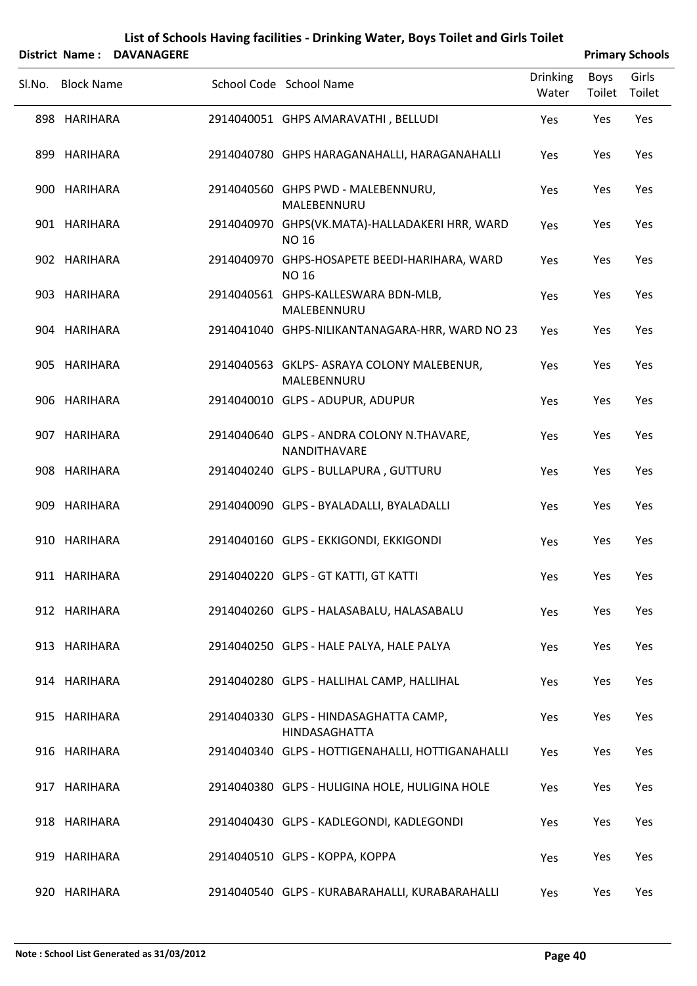|                   | District Name: DAVANAGERE |                                                                  |                          |                | <b>Primary Schools</b> |
|-------------------|---------------------------|------------------------------------------------------------------|--------------------------|----------------|------------------------|
| Sl.No. Block Name |                           | School Code School Name                                          | <b>Drinking</b><br>Water | Boys<br>Toilet | Girls<br>Toilet        |
| 898 HARIHARA      |                           | 2914040051 GHPS AMARAVATHI, BELLUDI                              | Yes                      | Yes            | Yes                    |
| 899 HARIHARA      |                           | 2914040780 GHPS HARAGANAHALLI, HARAGANAHALLI                     | Yes                      | Yes            | Yes                    |
| 900 HARIHARA      |                           | 2914040560 GHPS PWD - MALEBENNURU,<br>MALEBENNURU                | Yes                      | Yes            | Yes                    |
| 901 HARIHARA      |                           | 2914040970 GHPS(VK.MATA)-HALLADAKERI HRR, WARD<br><b>NO 16</b>   | Yes                      | Yes            | Yes                    |
| 902 HARIHARA      |                           | 2914040970 GHPS-HOSAPETE BEEDI-HARIHARA, WARD<br><b>NO 16</b>    | Yes                      | Yes            | Yes                    |
| 903 HARIHARA      |                           | 2914040561 GHPS-KALLESWARA BDN-MLB,<br>MALEBENNURU               | Yes                      | Yes            | Yes                    |
| 904 HARIHARA      |                           | 2914041040 GHPS-NILIKANTANAGARA-HRR, WARD NO 23                  | Yes                      | Yes            | Yes                    |
| 905 HARIHARA      |                           | 2914040563 GKLPS- ASRAYA COLONY MALEBENUR,<br>MALEBENNURU        | Yes                      | Yes            | Yes                    |
| 906 HARIHARA      |                           | 2914040010 GLPS - ADUPUR, ADUPUR                                 | Yes                      | Yes            | Yes                    |
| 907 HARIHARA      |                           | 2914040640 GLPS - ANDRA COLONY N.THAVARE,<br><b>NANDITHAVARE</b> | Yes                      | Yes            | Yes                    |
| 908 HARIHARA      |                           | 2914040240 GLPS - BULLAPURA, GUTTURU                             | Yes                      | Yes            | Yes                    |
| 909 HARIHARA      |                           | 2914040090 GLPS - BYALADALLI, BYALADALLI                         | Yes                      | Yes            | Yes                    |
| 910 HARIHARA      |                           | 2914040160 GLPS - EKKIGONDI, EKKIGONDI                           | Yes                      | Yes            | Yes                    |
| 911 HARIHARA      |                           | 2914040220 GLPS - GT KATTI, GT KATTI                             | Yes                      | Yes            | Yes                    |
| 912 HARIHARA      |                           | 2914040260 GLPS - HALASABALU, HALASABALU                         | Yes                      | Yes            | Yes                    |
| 913 HARIHARA      |                           | 2914040250 GLPS - HALE PALYA, HALE PALYA                         | Yes                      | Yes            | Yes                    |
| 914 HARIHARA      |                           | 2914040280 GLPS - HALLIHAL CAMP, HALLIHAL                        | Yes                      | Yes            | Yes                    |
| 915 HARIHARA      |                           | 2914040330 GLPS - HINDASAGHATTA CAMP,<br>HINDASAGHATTA           | Yes                      | Yes            | Yes                    |
| 916 HARIHARA      |                           | 2914040340 GLPS - HOTTIGENAHALLI, HOTTIGANAHALLI                 | Yes                      | Yes            | Yes                    |
| 917 HARIHARA      |                           | 2914040380 GLPS - HULIGINA HOLE, HULIGINA HOLE                   | Yes                      | Yes            | Yes                    |
| 918 HARIHARA      |                           | 2914040430 GLPS - KADLEGONDI, KADLEGONDI                         | Yes                      | Yes            | Yes                    |
| 919 HARIHARA      |                           | 2914040510 GLPS - KOPPA, KOPPA                                   | Yes                      | Yes            | Yes                    |
| 920 HARIHARA      |                           | 2914040540 GLPS - KURABARAHALLI, KURABARAHALLI                   | Yes                      | Yes            | Yes                    |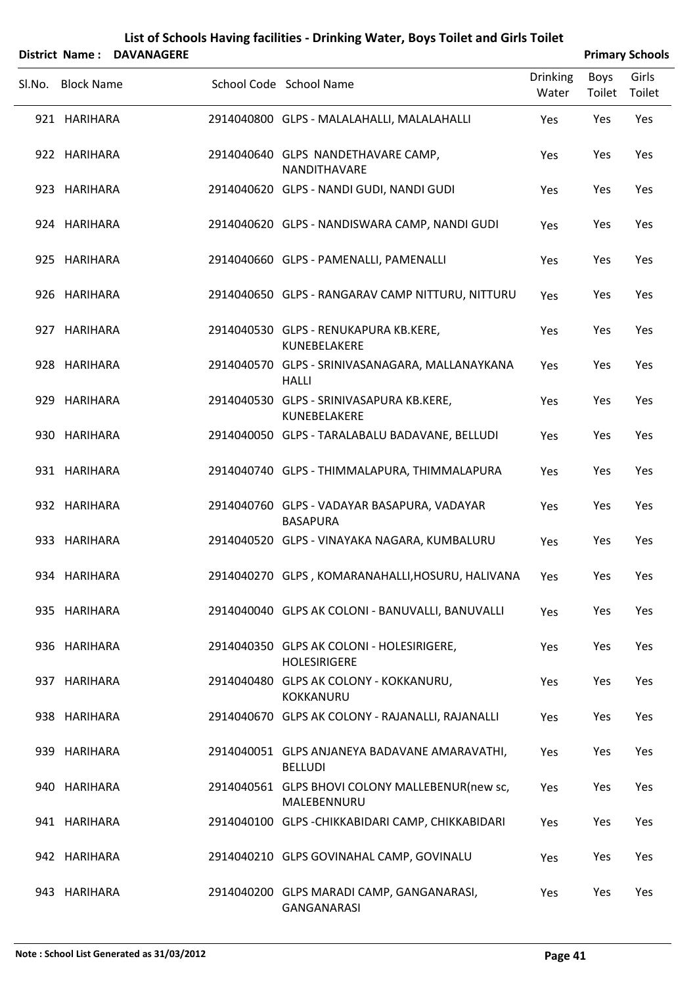|        | <b>District Name:</b> | <b>DAVANAGERE</b> |                                                                  |                          |                | <b>Primary Schools</b> |
|--------|-----------------------|-------------------|------------------------------------------------------------------|--------------------------|----------------|------------------------|
| SI.No. | <b>Block Name</b>     |                   | School Code School Name                                          | <b>Drinking</b><br>Water | Boys<br>Toilet | Girls<br>Toilet        |
|        | 921 HARIHARA          |                   | 2914040800 GLPS - MALALAHALLI, MALALAHALLI                       | Yes                      | Yes            | Yes                    |
|        | 922 HARIHARA          |                   | 2914040640 GLPS NANDETHAVARE CAMP,<br>NANDITHAVARE               | Yes                      | Yes            | Yes                    |
|        | 923 HARIHARA          |                   | 2914040620 GLPS - NANDI GUDI, NANDI GUDI                         | Yes                      | Yes            | Yes                    |
|        | 924 HARIHARA          |                   | 2914040620 GLPS - NANDISWARA CAMP, NANDI GUDI                    | Yes                      | Yes            | Yes                    |
|        | 925 HARIHARA          |                   | 2914040660 GLPS - PAMENALLI, PAMENALLI                           | Yes                      | Yes            | Yes                    |
|        | 926 HARIHARA          |                   | 2914040650 GLPS - RANGARAV CAMP NITTURU, NITTURU                 | Yes                      | Yes            | Yes                    |
|        | 927 HARIHARA          |                   | 2914040530 GLPS - RENUKAPURA KB.KERE,<br>KUNEBELAKERE            | Yes                      | Yes            | Yes                    |
|        | 928 HARIHARA          |                   | 2914040570 GLPS - SRINIVASANAGARA, MALLANAYKANA<br><b>HALLI</b>  | Yes                      | Yes            | Yes                    |
| 929    | HARIHARA              |                   | 2914040530 GLPS - SRINIVASAPURA KB.KERE,<br>KUNEBELAKERE         | Yes                      | Yes            | Yes                    |
|        | 930 HARIHARA          |                   | 2914040050 GLPS - TARALABALU BADAVANE, BELLUDI                   | Yes                      | Yes            | Yes                    |
|        | 931 HARIHARA          |                   | 2914040740 GLPS - THIMMALAPURA, THIMMALAPURA                     | Yes                      | Yes            | Yes                    |
|        | 932 HARIHARA          |                   | 2914040760 GLPS - VADAYAR BASAPURA, VADAYAR<br><b>BASAPURA</b>   | Yes                      | Yes            | Yes                    |
|        | 933 HARIHARA          |                   | 2914040520 GLPS - VINAYAKA NAGARA, KUMBALURU                     | Yes                      | Yes            | Yes                    |
|        | 934 HARIHARA          |                   | 2914040270 GLPS, KOMARANAHALLI, HOSURU, HALIVANA                 | Yes                      | Yes            | Yes                    |
|        | 935 HARIHARA          |                   | 2914040040 GLPS AK COLONI - BANUVALLI, BANUVALLI                 | Yes                      | Yes            | Yes                    |
|        | 936 HARIHARA          |                   | 2914040350 GLPS AK COLONI - HOLESIRIGERE,<br><b>HOLESIRIGERE</b> | Yes                      | Yes            | Yes                    |
|        | 937 HARIHARA          |                   | 2914040480 GLPS AK COLONY - KOKKANURU,<br>KOKKANURU              | Yes                      | Yes            | Yes                    |
|        | 938 HARIHARA          |                   | 2914040670 GLPS AK COLONY - RAJANALLI, RAJANALLI                 | Yes                      | Yes            | Yes                    |
|        | 939 HARIHARA          |                   | 2914040051 GLPS ANJANEYA BADAVANE AMARAVATHI,<br><b>BELLUDI</b>  | Yes                      | Yes            | Yes                    |
|        | 940 HARIHARA          |                   | 2914040561 GLPS BHOVI COLONY MALLEBENUR(new sc,<br>MALEBENNURU   | Yes                      | Yes            | Yes                    |
|        | 941 HARIHARA          |                   | 2914040100 GLPS - CHIKKABIDARI CAMP, CHIKKABIDARI                | Yes                      | Yes            | Yes                    |
|        | 942 HARIHARA          |                   | 2914040210 GLPS GOVINAHAL CAMP, GOVINALU                         | Yes                      | Yes            | Yes                    |
|        | 943 HARIHARA          |                   | 2914040200 GLPS MARADI CAMP, GANGANARASI,                        | Yes                      | Yes            | Yes                    |

GANGANARASI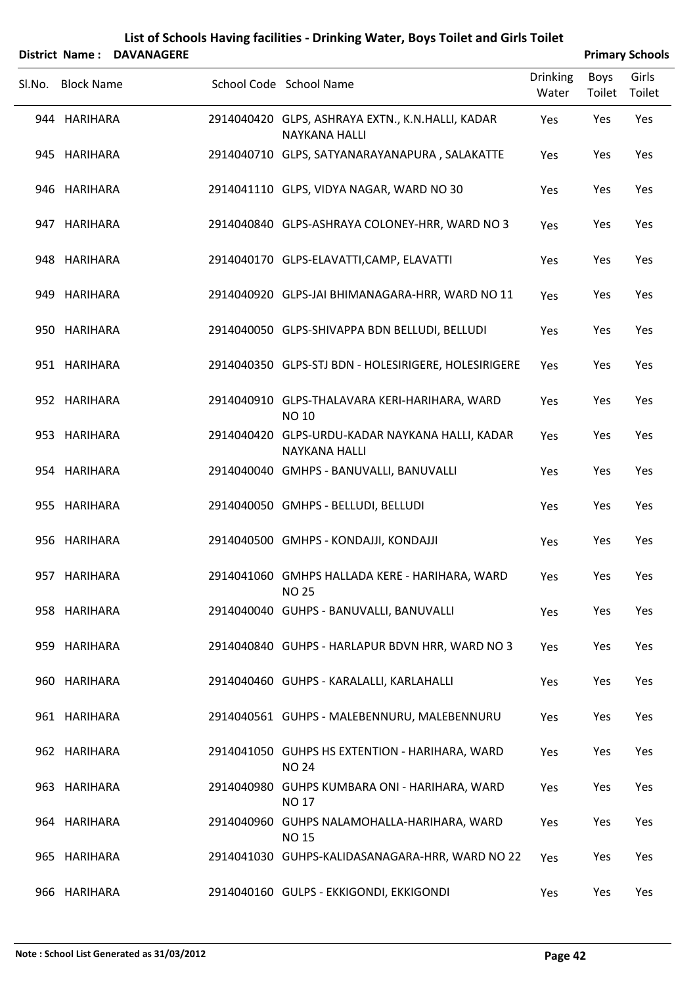|        | <b>District Name:</b> | <b>DAVANAGERE</b> | List of Schools Having facilities - Drinking Water, Boys Toilet and Girls Toilet |                          |                       |                                           |
|--------|-----------------------|-------------------|----------------------------------------------------------------------------------|--------------------------|-----------------------|-------------------------------------------|
| Sl.No. | <b>Block Name</b>     |                   | School Code School Name                                                          | <b>Drinking</b><br>Water | <b>Boys</b><br>Toilet | <b>Primary Schools</b><br>Girls<br>Toilet |
|        | 944 HARIHARA          |                   | 2914040420 GLPS, ASHRAYA EXTN., K.N.HALLI, KADAR<br><b>NAYKANA HALLI</b>         | Yes                      | Yes                   | Yes                                       |
|        | 945 HARIHARA          |                   | 2914040710 GLPS, SATYANARAYANAPURA, SALAKATTE                                    | Yes                      | Yes                   | Yes                                       |
|        | 946 HARIHARA          |                   | 2914041110 GLPS, VIDYA NAGAR, WARD NO 30                                         | Yes                      | Yes                   | Yes                                       |
|        | 947 HARIHARA          |                   | 2914040840 GLPS-ASHRAYA COLONEY-HRR, WARD NO 3                                   | Yes                      | Yes                   | Yes                                       |
|        | 948 HARIHARA          |                   | 2914040170 GLPS-ELAVATTI, CAMP, ELAVATTI                                         | Yes                      | Yes                   | Yes                                       |
|        | 949 HARIHARA          |                   | 2914040920 GLPS-JAI BHIMANAGARA-HRR, WARD NO 11                                  | Yes                      | Yes                   | Yes                                       |
|        | 950 HARIHARA          |                   | 2914040050 GLPS-SHIVAPPA BDN BELLUDI, BELLUDI                                    | Yes                      | Yes                   | Yes                                       |
|        | 951 HARIHARA          |                   | 2914040350 GLPS-STJ BDN - HOLESIRIGERE, HOLESIRIGERE                             | Yes                      | Yes                   | Yes                                       |
|        | 952 HARIHARA          |                   | 2914040910 GLPS-THALAVARA KERI-HARIHARA, WARD<br><b>NO 10</b>                    | Yes                      | Yes                   | Yes                                       |
|        | 953 HARIHARA          |                   | 2914040420 GLPS-URDU-KADAR NAYKANA HALLI, KADAR<br><b>NAYKANA HALLI</b>          | Yes                      | Yes                   | Yes                                       |
|        | 954 HARIHARA          |                   | 2914040040 GMHPS - BANUVALLI, BANUVALLI                                          | Yes                      | Yes                   | Yes                                       |
|        | 955 HARIHARA          |                   | 2914040050 GMHPS - BELLUDI, BELLUDI                                              | Yes                      | Yes                   | Yes                                       |
|        | 956 HARIHARA          |                   | 2914040500 GMHPS - KONDAJJI, KONDAJJI                                            | Yes                      | Yes                   | Yes                                       |
|        | 957 HARIHARA          |                   | 2914041060 GMHPS HALLADA KERE - HARIHARA, WARD<br><b>NO 25</b>                   | Yes                      | Yes                   | Yes                                       |
|        | 958 HARIHARA          |                   | 2914040040 GUHPS - BANUVALLI, BANUVALLI                                          | Yes                      | Yes                   | Yes                                       |
|        | 959 HARIHARA          |                   | 2914040840 GUHPS - HARLAPUR BDVN HRR, WARD NO 3                                  | Yes                      | Yes                   | Yes                                       |
|        | 960 HARIHARA          |                   | 2914040460 GUHPS - KARALALLI, KARLAHALLI                                         | Yes                      | Yes                   | Yes                                       |
|        | 961 HARIHARA          |                   | 2914040561 GUHPS - MALEBENNURU, MALEBENNURU                                      | Yes                      | Yes                   | Yes                                       |
|        | 962 HARIHARA          |                   | 2914041050 GUHPS HS EXTENTION - HARIHARA, WARD<br><b>NO 24</b>                   | Yes                      | Yes                   | Yes                                       |
|        | 963 HARIHARA          |                   | 2914040980 GUHPS KUMBARA ONI - HARIHARA, WARD<br><b>NO 17</b>                    | Yes                      | Yes                   | Yes                                       |
|        | 964 HARIHARA          |                   | 2914040960 GUHPS NALAMOHALLA-HARIHARA, WARD<br><b>NO 15</b>                      | Yes                      | Yes                   | Yes                                       |
|        | 965 HARIHARA          |                   | 2914041030 GUHPS-KALIDASANAGARA-HRR, WARD NO 22                                  | Yes                      | Yes                   | Yes                                       |
|        | 966 HARIHARA          |                   | 2914040160 GULPS - EKKIGONDI, EKKIGONDI                                          | Yes                      | Yes                   | Yes                                       |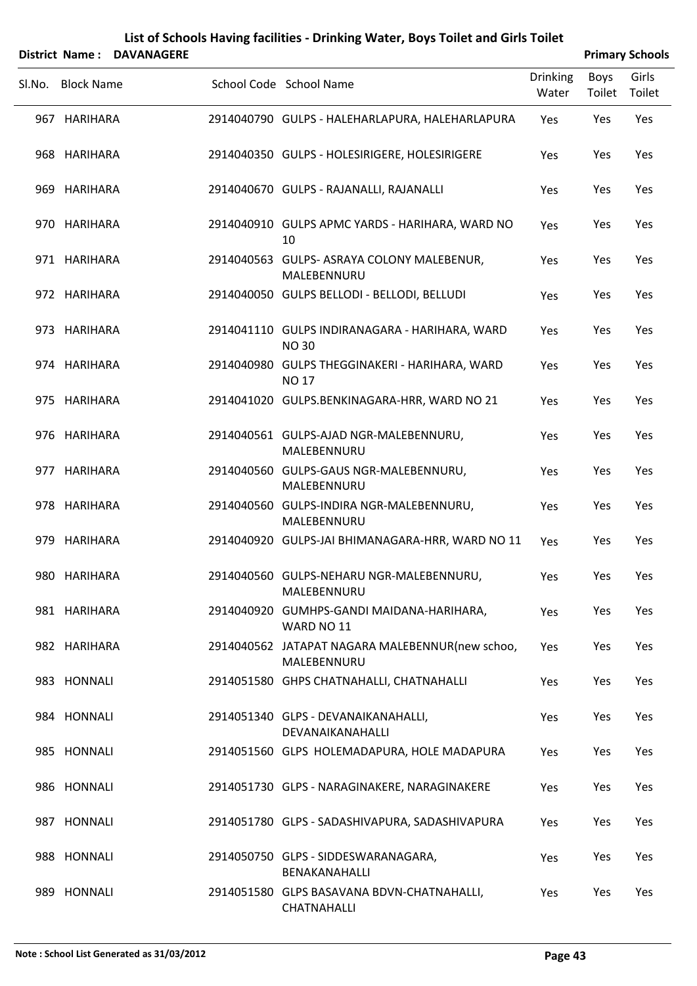|                   | District Name: DAVANAGERE |                                                                |                          |                | <b>Primary Schools</b> |
|-------------------|---------------------------|----------------------------------------------------------------|--------------------------|----------------|------------------------|
| Sl.No. Block Name |                           | School Code School Name                                        | <b>Drinking</b><br>Water | Boys<br>Toilet | Girls<br>Toilet        |
| 967 HARIHARA      |                           | 2914040790 GULPS - HALEHARLAPURA, HALEHARLAPURA                | Yes                      | Yes            | Yes                    |
| 968 HARIHARA      |                           | 2914040350 GULPS - HOLESIRIGERE, HOLESIRIGERE                  | Yes                      | Yes            | Yes                    |
| 969 HARIHARA      |                           | 2914040670 GULPS - RAJANALLI, RAJANALLI                        | Yes                      | Yes            | Yes                    |
| 970 HARIHARA      |                           | 2914040910 GULPS APMC YARDS - HARIHARA, WARD NO<br>10          | Yes                      | Yes            | Yes                    |
| 971 HARIHARA      |                           | 2914040563 GULPS- ASRAYA COLONY MALEBENUR,<br>MALEBENNURU      | Yes                      | Yes            | Yes                    |
| 972 HARIHARA      |                           | 2914040050 GULPS BELLODI - BELLODI, BELLUDI                    | Yes                      | Yes            | Yes                    |
| 973 HARIHARA      |                           | 2914041110 GULPS INDIRANAGARA - HARIHARA, WARD<br><b>NO30</b>  | Yes                      | Yes            | Yes                    |
| 974 HARIHARA      |                           | 2914040980 GULPS THEGGINAKERI - HARIHARA, WARD<br><b>NO 17</b> | Yes                      | Yes            | Yes                    |
| 975 HARIHARA      |                           | 2914041020 GULPS.BENKINAGARA-HRR, WARD NO 21                   | Yes                      | Yes            | Yes                    |
| 976 HARIHARA      |                           | 2914040561 GULPS-AJAD NGR-MALEBENNURU,<br>MALEBENNURU          | Yes                      | Yes            | Yes                    |
| 977 HARIHARA      |                           | 2914040560 GULPS-GAUS NGR-MALEBENNURU,<br>MALEBENNURU          | Yes                      | Yes            | Yes                    |
| 978 HARIHARA      |                           | 2914040560 GULPS-INDIRA NGR-MALEBENNURU,<br>MALEBENNURU        | Yes                      | Yes            | Yes                    |
| 979 HARIHARA      |                           | 2914040920 GULPS-JAI BHIMANAGARA-HRR, WARD NO 11               | Yes                      | Yes            | Yes                    |
| 980 HARIHARA      |                           | 2914040560 GULPS-NEHARU NGR-MALEBENNURU,<br>MALEBENNURU        | Yes                      | Yes            | Yes                    |
| 981 HARIHARA      |                           | 2914040920 GUMHPS-GANDI MAIDANA-HARIHARA,<br>WARD NO 11        | Yes                      | Yes            | Yes                    |
| 982 HARIHARA      |                           | 2914040562 JATAPAT NAGARA MALEBENNUR(new schoo,<br>MALEBENNURU | Yes                      | Yes            | Yes                    |
| 983 HONNALI       |                           | 2914051580 GHPS CHATNAHALLI, CHATNAHALLI                       | Yes                      | Yes            | Yes                    |
| 984 HONNALI       |                           | 2914051340 GLPS - DEVANAIKANAHALLI,<br>DEVANAIKANAHALLI        | Yes                      | Yes            | Yes                    |
| 985 HONNALI       |                           | 2914051560 GLPS HOLEMADAPURA, HOLE MADAPURA                    | Yes                      | Yes            | Yes                    |
| 986 HONNALI       |                           | 2914051730 GLPS - NARAGINAKERE, NARAGINAKERE                   | Yes                      | Yes            | Yes                    |
| 987 HONNALI       |                           | 2914051780 GLPS - SADASHIVAPURA, SADASHIVAPURA                 | Yes                      | Yes            | Yes                    |
| 988 HONNALI       |                           | 2914050750 GLPS - SIDDESWARANAGARA,<br>BENAKANAHALLI           | Yes                      | Yes            | Yes                    |
| 989 HONNALI       |                           | 2914051580 GLPS BASAVANA BDVN-CHATNAHALLI,<br>CHATNAHALLI      | Yes                      | Yes            | Yes                    |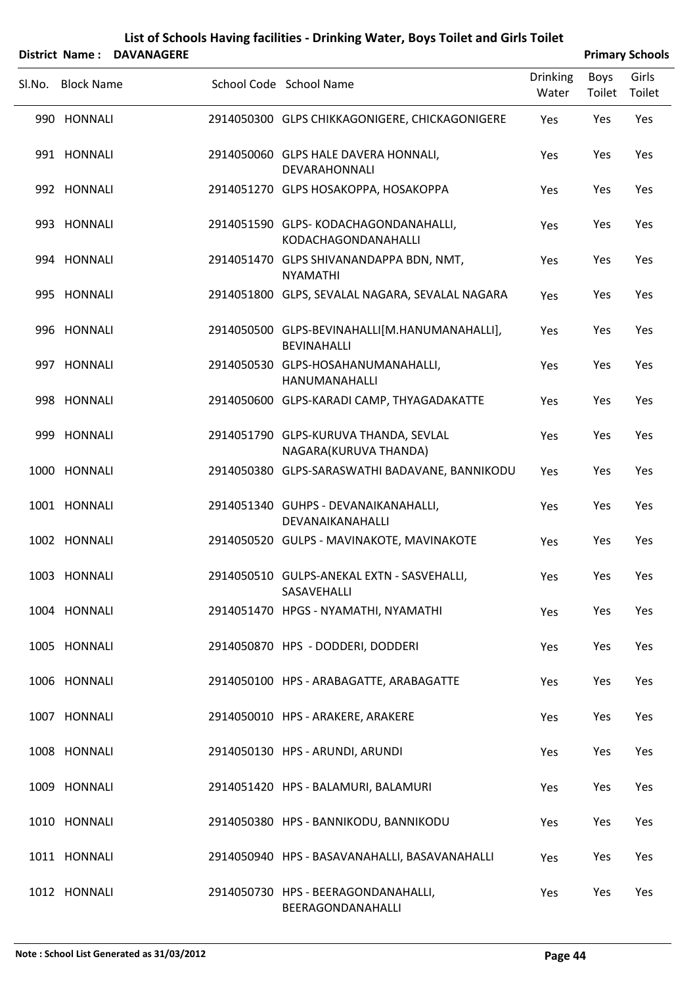|        | District Name: DAVANAGERE |                                                                     |                          |                | <b>Primary Schools</b> |
|--------|---------------------------|---------------------------------------------------------------------|--------------------------|----------------|------------------------|
| SI.No. | <b>Block Name</b>         | School Code School Name                                             | <b>Drinking</b><br>Water | Boys<br>Toilet | Girls<br>Toilet        |
|        | 990 HONNALI               | 2914050300 GLPS CHIKKAGONIGERE, CHICKAGONIGERE                      | Yes                      | Yes            | Yes                    |
|        | 991 HONNALI               | 2914050060 GLPS HALE DAVERA HONNALI,<br>DEVARAHONNALI               | Yes                      | Yes            | Yes                    |
|        | 992 HONNALI               | 2914051270 GLPS HOSAKOPPA, HOSAKOPPA                                | Yes                      | Yes            | Yes                    |
|        | 993 HONNALI               | 2914051590 GLPS-KODACHAGONDANAHALLI,<br>KODACHAGONDANAHALLI         | Yes                      | Yes            | Yes                    |
|        | 994 HONNALI               | 2914051470 GLPS SHIVANANDAPPA BDN, NMT,<br><b>NYAMATHI</b>          | Yes                      | Yes            | Yes                    |
|        | 995 HONNALI               | 2914051800 GLPS, SEVALAL NAGARA, SEVALAL NAGARA                     | Yes                      | Yes            | Yes                    |
|        | 996 HONNALI               | 2914050500 GLPS-BEVINAHALLI[M.HANUMANAHALLI],<br><b>BEVINAHALLI</b> | Yes                      | Yes            | Yes                    |
|        | 997 HONNALI               | 2914050530 GLPS-HOSAHANUMANAHALLI,<br>HANUMANAHALLI                 | Yes                      | Yes            | Yes                    |
|        | 998 HONNALI               | 2914050600 GLPS-KARADI CAMP, THYAGADAKATTE                          | Yes                      | Yes            | Yes                    |
|        | 999 HONNALI               | 2914051790 GLPS-KURUVA THANDA, SEVLAL<br>NAGARA(KURUVA THANDA)      | Yes                      | Yes            | Yes                    |
|        | 1000 HONNALI              | 2914050380 GLPS-SARASWATHI BADAVANE, BANNIKODU                      | Yes                      | Yes            | Yes                    |
|        | 1001 HONNALI              | 2914051340 GUHPS - DEVANAIKANAHALLI,<br>DEVANAIKANAHALLI            | Yes                      | Yes            | Yes                    |
|        | 1002 HONNALI              | 2914050520 GULPS - MAVINAKOTE, MAVINAKOTE                           | Yes                      | Yes            | Yes                    |
|        | 1003 HONNALI              | 2914050510 GULPS-ANEKAL EXTN - SASVEHALLI,<br>SASAVEHALLI           | Yes                      | Yes            | Yes                    |
|        | 1004 HONNALI              | 2914051470 HPGS - NYAMATHI, NYAMATHI                                | Yes                      | Yes            | Yes                    |
|        | 1005 HONNALI              | 2914050870 HPS - DODDERI, DODDERI                                   | Yes                      | Yes            | Yes                    |
|        | 1006 HONNALI              | 2914050100 HPS - ARABAGATTE, ARABAGATTE                             | Yes                      | Yes            | Yes                    |
|        | 1007 HONNALI              | 2914050010 HPS - ARAKERE, ARAKERE                                   | Yes                      | Yes            | Yes                    |
|        | 1008 HONNALI              | 2914050130 HPS - ARUNDI, ARUNDI                                     | Yes                      | Yes            | Yes                    |
|        | 1009 HONNALI              | 2914051420 HPS - BALAMURI, BALAMURI                                 | Yes                      | Yes            | Yes                    |
|        | 1010 HONNALI              | 2914050380 HPS - BANNIKODU, BANNIKODU                               | Yes                      | Yes            | Yes                    |
|        | 1011 HONNALI              | 2914050940 HPS - BASAVANAHALLI, BASAVANAHALLI                       | Yes                      | Yes            | Yes                    |
|        | 1012 HONNALI              | 2914050730 HPS - BEERAGONDANAHALLI,<br>BEERAGONDANAHALLI            | Yes                      | Yes            | Yes                    |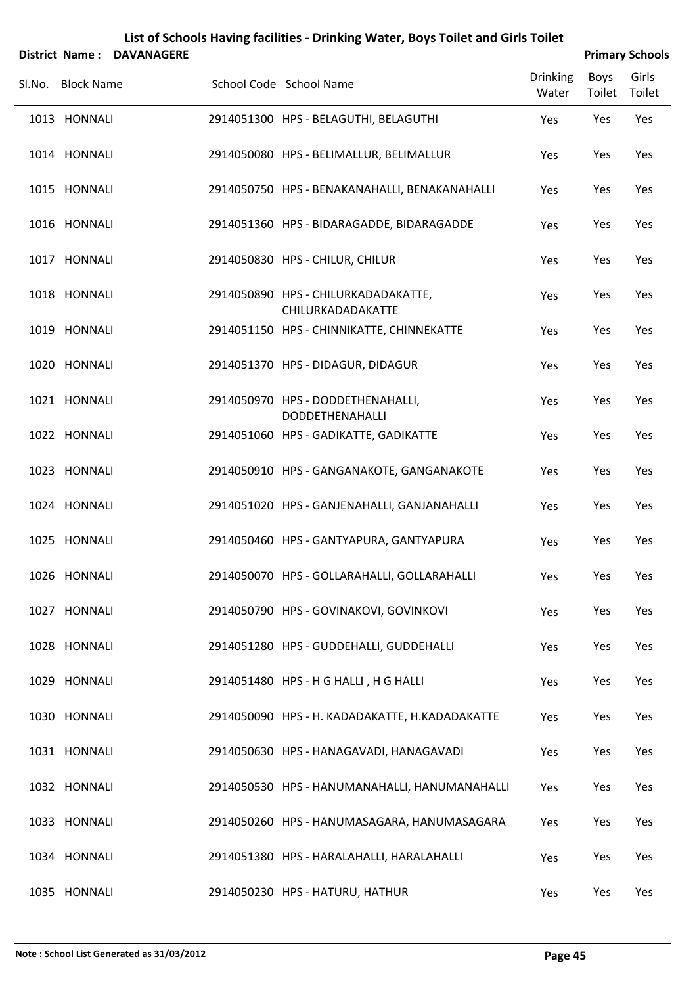|                   | <b>District Name: DAVANAGERE</b> |                                                          |                          |                | <b>Primary Schools</b> |
|-------------------|----------------------------------|----------------------------------------------------------|--------------------------|----------------|------------------------|
| Sl.No. Block Name |                                  | School Code School Name                                  | <b>Drinking</b><br>Water | Boys<br>Toilet | Girls<br>Toilet        |
| 1013 HONNALI      |                                  | 2914051300 HPS - BELAGUTHI, BELAGUTHI                    | Yes                      | Yes            | Yes                    |
| 1014 HONNALI      |                                  | 2914050080 HPS - BELIMALLUR, BELIMALLUR                  | Yes                      | Yes            | Yes                    |
| 1015 HONNALI      |                                  | 2914050750 HPS - BENAKANAHALLI, BENAKANAHALLI            | Yes                      | Yes            | Yes                    |
| 1016 HONNALI      |                                  | 2914051360 HPS - BIDARAGADDE, BIDARAGADDE                | Yes                      | Yes            | Yes                    |
| 1017 HONNALI      |                                  | 2914050830 HPS - CHILUR, CHILUR                          | Yes                      | Yes            | Yes                    |
| 1018 HONNALI      |                                  | 2914050890 HPS - CHILURKADADAKATTE,<br>CHILURKADADAKATTE | Yes                      | Yes            | Yes                    |
| 1019 HONNALI      |                                  | 2914051150 HPS - CHINNIKATTE, CHINNEKATTE                | Yes                      | Yes            | Yes                    |
| 1020 HONNALI      |                                  | 2914051370 HPS - DIDAGUR, DIDAGUR                        | Yes                      | Yes            | Yes                    |
| 1021 HONNALI      |                                  | 2914050970 HPS - DODDETHENAHALLI,<br>DODDETHENAHALLI     | Yes                      | Yes            | Yes                    |
| 1022 HONNALI      |                                  | 2914051060 HPS - GADIKATTE, GADIKATTE                    | Yes                      | Yes            | Yes                    |
| 1023 HONNALI      |                                  | 2914050910 HPS - GANGANAKOTE, GANGANAKOTE                | Yes                      | Yes            | Yes                    |
| 1024 HONNALI      |                                  | 2914051020 HPS - GANJENAHALLI, GANJANAHALLI              | Yes                      | Yes            | Yes                    |
| 1025 HONNALI      |                                  | 2914050460 HPS - GANTYAPURA, GANTYAPURA                  | Yes                      | Yes            | Yes                    |
| 1026 HONNALI      |                                  | 2914050070 HPS - GOLLARAHALLI, GOLLARAHALLI              | Yes                      | Yes            | Yes                    |
| 1027 HONNALI      |                                  | 2914050790 HPS - GOVINAKOVI, GOVINKOVI                   | Yes                      | Yes            | Yes                    |
| 1028 HONNALI      |                                  | 2914051280 HPS - GUDDEHALLI, GUDDEHALLI                  | Yes                      | Yes            | Yes                    |
| 1029 HONNALI      |                                  | 2914051480 HPS - H G HALLI, H G HALLI                    | Yes                      | Yes            | Yes                    |
| 1030 HONNALI      |                                  | 2914050090 HPS - H. KADADAKATTE, H.KADADAKATTE           | Yes                      | Yes            | Yes                    |
| 1031 HONNALI      |                                  | 2914050630 HPS - HANAGAVADI, HANAGAVADI                  | Yes                      | Yes            | Yes                    |
| 1032 HONNALI      |                                  | 2914050530 HPS - HANUMANAHALLI, HANUMANAHALLI            | Yes                      | Yes            | Yes                    |
| 1033 HONNALI      |                                  | 2914050260 HPS - HANUMASAGARA, HANUMASAGARA              | Yes                      | Yes            | Yes                    |
| 1034 HONNALI      |                                  | 2914051380 HPS - HARALAHALLI, HARALAHALLI                | Yes                      | Yes            | Yes                    |
| 1035 HONNALI      |                                  | 2914050230 HPS - HATURU, HATHUR                          | Yes                      | Yes            | Yes                    |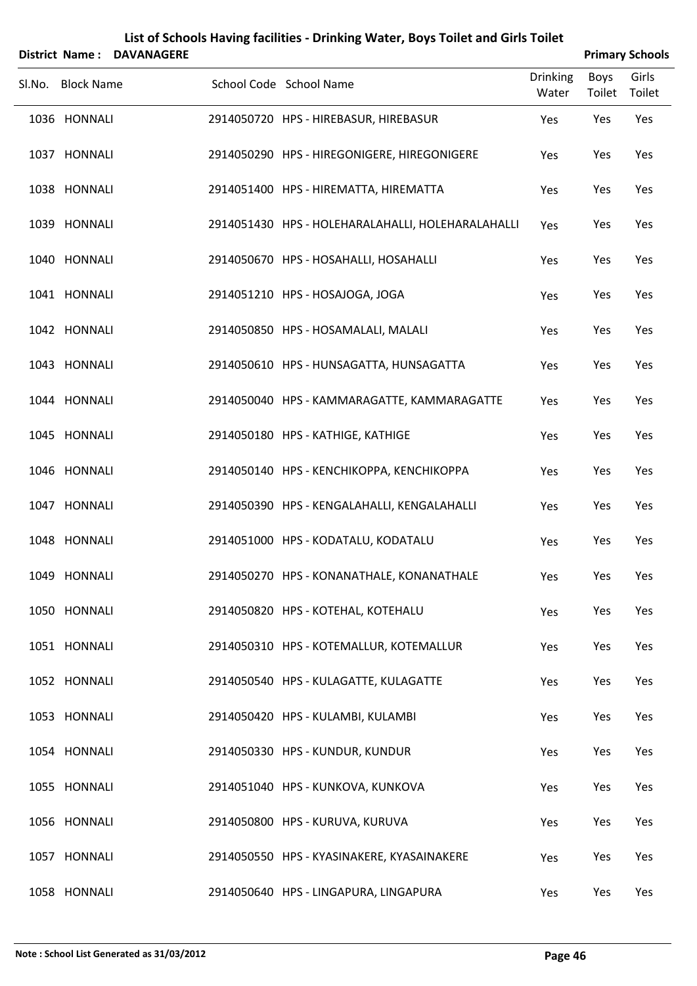|        |                   | District Name: DAVANAGERE |                                                   |                          |                | <b>Primary Schools</b> |
|--------|-------------------|---------------------------|---------------------------------------------------|--------------------------|----------------|------------------------|
| SI.No. | <b>Block Name</b> |                           | School Code School Name                           | <b>Drinking</b><br>Water | Boys<br>Toilet | Girls<br>Toilet        |
|        | 1036 HONNALI      |                           | 2914050720 HPS - HIREBASUR, HIREBASUR             | Yes                      | Yes            | Yes                    |
|        | 1037 HONNALI      |                           | 2914050290 HPS - HIREGONIGERE, HIREGONIGERE       | Yes                      | Yes            | Yes                    |
|        | 1038 HONNALI      |                           | 2914051400 HPS - HIREMATTA, HIREMATTA             | Yes                      | Yes            | Yes                    |
|        | 1039 HONNALI      |                           | 2914051430 HPS - HOLEHARALAHALLI, HOLEHARALAHALLI | Yes                      | Yes            | Yes                    |
|        | 1040 HONNALI      |                           | 2914050670 HPS - HOSAHALLI, HOSAHALLI             | Yes                      | Yes            | Yes                    |
|        | 1041 HONNALI      |                           | 2914051210 HPS - HOSAJOGA, JOGA                   | Yes                      | Yes            | Yes                    |
|        | 1042 HONNALI      |                           | 2914050850 HPS - HOSAMALALI, MALALI               | Yes                      | Yes            | Yes                    |
|        | 1043 HONNALI      |                           | 2914050610 HPS - HUNSAGATTA, HUNSAGATTA           | Yes                      | Yes            | Yes                    |
|        | 1044 HONNALI      |                           | 2914050040 HPS - KAMMARAGATTE, KAMMARAGATTE       | Yes                      | Yes            | Yes                    |
|        | 1045 HONNALI      |                           | 2914050180 HPS - KATHIGE, KATHIGE                 | Yes                      | Yes            | Yes                    |
|        | 1046 HONNALI      |                           | 2914050140 HPS - KENCHIKOPPA, KENCHIKOPPA         | Yes                      | Yes            | Yes                    |
|        | 1047 HONNALI      |                           | 2914050390 HPS - KENGALAHALLI, KENGALAHALLI       | Yes                      | Yes            | Yes                    |
|        | 1048 HONNALI      |                           | 2914051000 HPS - KODATALU, KODATALU               | Yes                      | Yes            | Yes                    |
|        | 1049 HONNALI      |                           | 2914050270 HPS - KONANATHALE, KONANATHALE         | Yes                      | Yes            | Yes                    |
|        | 1050 HONNALI      |                           | 2914050820 HPS - KOTEHAL, KOTEHALU                | Yes                      | Yes            | Yes                    |
|        | 1051 HONNALI      |                           | 2914050310 HPS - KOTEMALLUR, KOTEMALLUR           | Yes                      | Yes            | Yes                    |
|        | 1052 HONNALI      |                           | 2914050540 HPS - KULAGATTE, KULAGATTE             | Yes                      | Yes            | Yes                    |
|        | 1053 HONNALI      |                           | 2914050420 HPS - KULAMBI, KULAMBI                 | Yes                      | Yes            | Yes                    |
|        | 1054 HONNALI      |                           | 2914050330 HPS - KUNDUR, KUNDUR                   | Yes                      | Yes            | Yes                    |
|        | 1055 HONNALI      |                           | 2914051040 HPS - KUNKOVA, KUNKOVA                 | Yes                      | Yes            | Yes                    |
|        | 1056 HONNALI      |                           | 2914050800 HPS - KURUVA, KURUVA                   | Yes                      | Yes            | Yes                    |
|        | 1057 HONNALI      |                           | 2914050550 HPS - KYASINAKERE, KYASAINAKERE        | Yes                      | Yes            | Yes                    |
|        | 1058 HONNALI      |                           | 2914050640 HPS - LINGAPURA, LINGAPURA             | Yes                      | Yes            | Yes                    |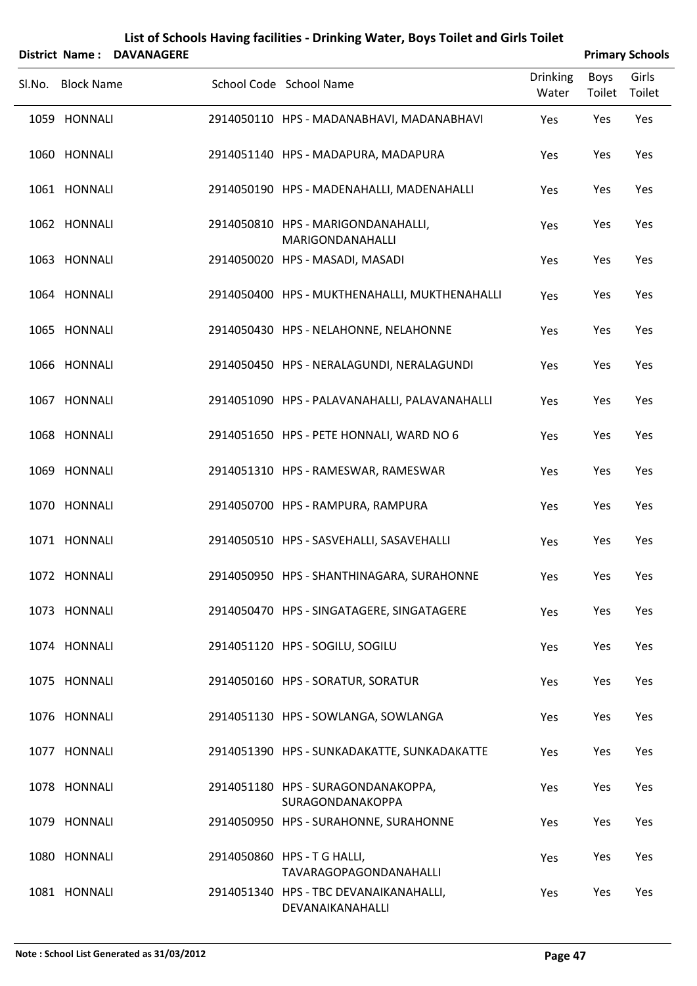|        | District Name:    | <b>DAVANAGERE</b> |                                                            |                          |                | <b>Primary Schools</b> |
|--------|-------------------|-------------------|------------------------------------------------------------|--------------------------|----------------|------------------------|
| SI.No. | <b>Block Name</b> |                   | School Code School Name                                    | <b>Drinking</b><br>Water | Boys<br>Toilet | Girls<br>Toilet        |
|        | 1059 HONNALI      |                   | 2914050110 HPS - MADANABHAVI, MADANABHAVI                  | Yes                      | Yes            | Yes                    |
|        | 1060 HONNALI      |                   | 2914051140 HPS - MADAPURA, MADAPURA                        | Yes                      | Yes            | Yes                    |
|        | 1061 HONNALI      |                   | 2914050190 HPS - MADENAHALLI, MADENAHALLI                  | Yes                      | Yes            | Yes                    |
|        | 1062 HONNALI      |                   | 2914050810 HPS - MARIGONDANAHALLI,<br>MARIGONDANAHALLI     | Yes                      | Yes            | Yes                    |
|        | 1063 HONNALI      |                   | 2914050020 HPS - MASADI, MASADI                            | Yes                      | Yes            | Yes                    |
|        | 1064 HONNALI      |                   | 2914050400 HPS - MUKTHENAHALLI, MUKTHENAHALLI              | Yes                      | Yes            | Yes                    |
|        | 1065 HONNALI      |                   | 2914050430 HPS - NELAHONNE, NELAHONNE                      | Yes                      | Yes            | Yes                    |
|        | 1066 HONNALI      |                   | 2914050450 HPS - NERALAGUNDI, NERALAGUNDI                  | Yes                      | Yes            | Yes                    |
|        | 1067 HONNALI      |                   | 2914051090 HPS - PALAVANAHALLI, PALAVANAHALLI              | Yes                      | Yes            | Yes                    |
|        | 1068 HONNALI      |                   | 2914051650 HPS - PETE HONNALI, WARD NO 6                   | Yes                      | Yes            | Yes                    |
|        | 1069 HONNALI      |                   | 2914051310 HPS - RAMESWAR, RAMESWAR                        | Yes                      | Yes            | Yes                    |
|        | 1070 HONNALI      |                   | 2914050700 HPS - RAMPURA, RAMPURA                          | Yes                      | Yes            | Yes                    |
|        | 1071 HONNALI      |                   | 2914050510 HPS - SASVEHALLI, SASAVEHALLI                   | Yes                      | Yes            | Yes                    |
|        | 1072 HONNALI      |                   | 2914050950 HPS - SHANTHINAGARA, SURAHONNE                  | Yes                      | Yes            | Yes                    |
|        | 1073 HONNALI      |                   | 2914050470 HPS - SINGATAGERE, SINGATAGERE                  | Yes                      | Yes            | Yes                    |
|        | 1074 HONNALI      |                   | 2914051120 HPS - SOGILU, SOGILU                            | Yes                      | Yes            | Yes                    |
|        | 1075 HONNALI      |                   | 2914050160 HPS - SORATUR, SORATUR                          | Yes                      | Yes            | Yes                    |
|        | 1076 HONNALI      |                   | 2914051130 HPS - SOWLANGA, SOWLANGA                        | Yes                      | Yes            | Yes                    |
|        | 1077 HONNALI      |                   | 2914051390 HPS - SUNKADAKATTE, SUNKADAKATTE                | Yes                      | Yes            | Yes                    |
|        | 1078 HONNALI      |                   | 2914051180 HPS - SURAGONDANAKOPPA,<br>SURAGONDANAKOPPA     | Yes                      | Yes            | Yes                    |
|        | 1079 HONNALI      |                   | 2914050950 HPS - SURAHONNE, SURAHONNE                      | Yes                      | Yes            | Yes                    |
|        | 1080 HONNALI      |                   | 2914050860 HPS - T G HALLI,<br>TAVARAGOPAGONDANAHALLI      | Yes                      | Yes            | Yes                    |
|        | 1081 HONNALI      |                   | 2914051340 HPS - TBC DEVANAIKANAHALLI,<br>DEVANAIKANAHALLI | Yes                      | Yes            | Yes                    |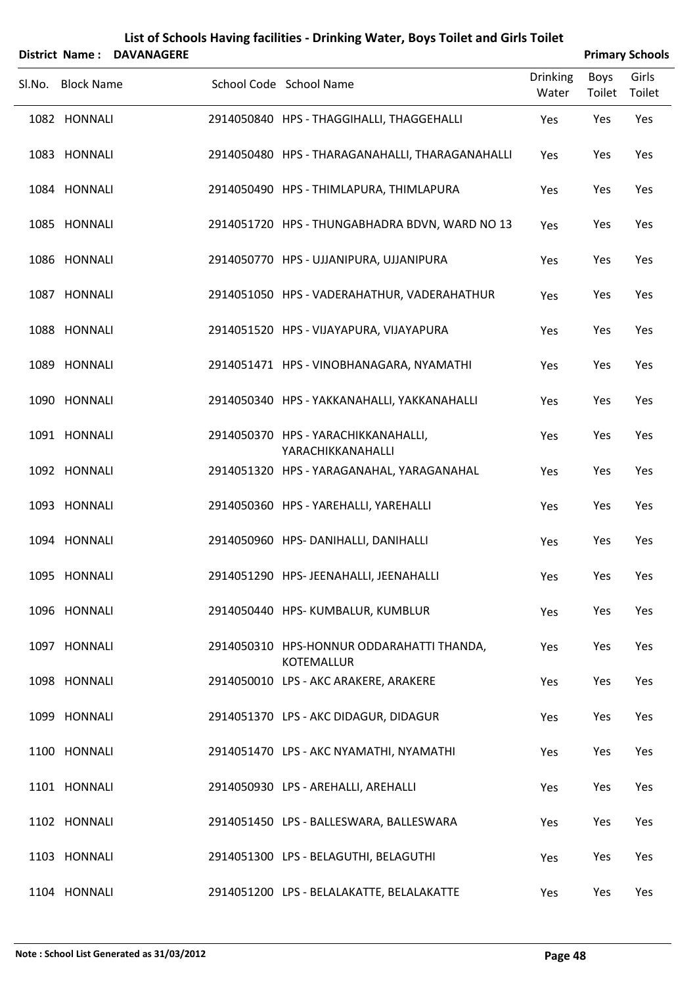| List of Schools Having facilities - Drinking Water, Boys Toilet and Girls Toilet<br><b>Primary Schools</b><br><b>District Name:</b><br><b>DAVANAGERE</b> |                   |  |                                                                |                          |                |                 |  |  |
|----------------------------------------------------------------------------------------------------------------------------------------------------------|-------------------|--|----------------------------------------------------------------|--------------------------|----------------|-----------------|--|--|
| Sl.No.                                                                                                                                                   | <b>Block Name</b> |  | School Code School Name                                        | <b>Drinking</b><br>Water | Boys<br>Toilet | Girls<br>Toilet |  |  |
|                                                                                                                                                          | 1082 HONNALI      |  | 2914050840 HPS - THAGGIHALLI, THAGGEHALLI                      | Yes                      | Yes            | Yes             |  |  |
|                                                                                                                                                          | 1083 HONNALI      |  | 2914050480 HPS - THARAGANAHALLI, THARAGANAHALLI                | Yes                      | Yes            | Yes             |  |  |
|                                                                                                                                                          | 1084 HONNALI      |  | 2914050490 HPS - THIMLAPURA, THIMLAPURA                        | Yes                      | Yes            | Yes             |  |  |
|                                                                                                                                                          | 1085 HONNALI      |  | 2914051720 HPS - THUNGABHADRA BDVN, WARD NO 13                 | Yes                      | Yes            | Yes             |  |  |
|                                                                                                                                                          | 1086 HONNALI      |  | 2914050770 HPS - UJJANIPURA, UJJANIPURA                        | Yes                      | Yes            | Yes             |  |  |
|                                                                                                                                                          | 1087 HONNALI      |  | 2914051050 HPS - VADERAHATHUR, VADERAHATHUR                    | Yes                      | Yes            | Yes             |  |  |
|                                                                                                                                                          | 1088 HONNALI      |  | 2914051520 HPS - VIJAYAPURA, VIJAYAPURA                        | Yes                      | Yes            | Yes             |  |  |
|                                                                                                                                                          | 1089 HONNALI      |  | 2914051471 HPS - VINOBHANAGARA, NYAMATHI                       | Yes                      | Yes            | Yes             |  |  |
|                                                                                                                                                          | 1090 HONNALI      |  | 2914050340 HPS - YAKKANAHALLI, YAKKANAHALLI                    | Yes                      | Yes            | Yes             |  |  |
|                                                                                                                                                          | 1091 HONNALI      |  | 2914050370 HPS - YARACHIKKANAHALLI,<br>YARACHIKKANAHALLI       | Yes                      | Yes            | Yes             |  |  |
|                                                                                                                                                          | 1092 HONNALI      |  | 2914051320 HPS - YARAGANAHAL, YARAGANAHAL                      | Yes                      | Yes            | Yes             |  |  |
|                                                                                                                                                          | 1093 HONNALI      |  | 2914050360 HPS - YAREHALLI, YAREHALLI                          | Yes                      | Yes            | Yes             |  |  |
|                                                                                                                                                          | 1094 HONNALI      |  | 2914050960 HPS-DANIHALLI, DANIHALLI                            | Yes                      | Yes            | Yes             |  |  |
|                                                                                                                                                          | 1095 HONNALI      |  | 2914051290 HPS- JEENAHALLI, JEENAHALLI                         | Yes                      | Yes            | Yes             |  |  |
|                                                                                                                                                          | 1096 HONNALI      |  | 2914050440 HPS-KUMBALUR, KUMBLUR                               | Yes                      | Yes            | Yes             |  |  |
|                                                                                                                                                          | 1097 HONNALI      |  | 2914050310 HPS-HONNUR ODDARAHATTI THANDA,<br><b>KOTEMALLUR</b> | Yes                      | Yes            | Yes             |  |  |
|                                                                                                                                                          | 1098 HONNALI      |  | 2914050010 LPS - AKC ARAKERE, ARAKERE                          | Yes                      | Yes            | Yes             |  |  |
|                                                                                                                                                          | 1099 HONNALI      |  | 2914051370 LPS - AKC DIDAGUR, DIDAGUR                          | Yes                      | Yes            | Yes             |  |  |
|                                                                                                                                                          | 1100 HONNALI      |  | 2914051470 LPS - AKC NYAMATHI, NYAMATHI                        | Yes                      | Yes            | Yes             |  |  |
|                                                                                                                                                          | 1101 HONNALI      |  | 2914050930 LPS - AREHALLI, AREHALLI                            | Yes                      | Yes            | Yes             |  |  |
|                                                                                                                                                          | 1102 HONNALI      |  | 2914051450 LPS - BALLESWARA, BALLESWARA                        | Yes                      | Yes            | Yes             |  |  |
|                                                                                                                                                          | 1103 HONNALI      |  | 2914051300 LPS - BELAGUTHI, BELAGUTHI                          | Yes                      | Yes            | Yes             |  |  |
|                                                                                                                                                          | 1104 HONNALI      |  | 2914051200 LPS - BELALAKATTE, BELALAKATTE                      | Yes                      | Yes            | Yes             |  |  |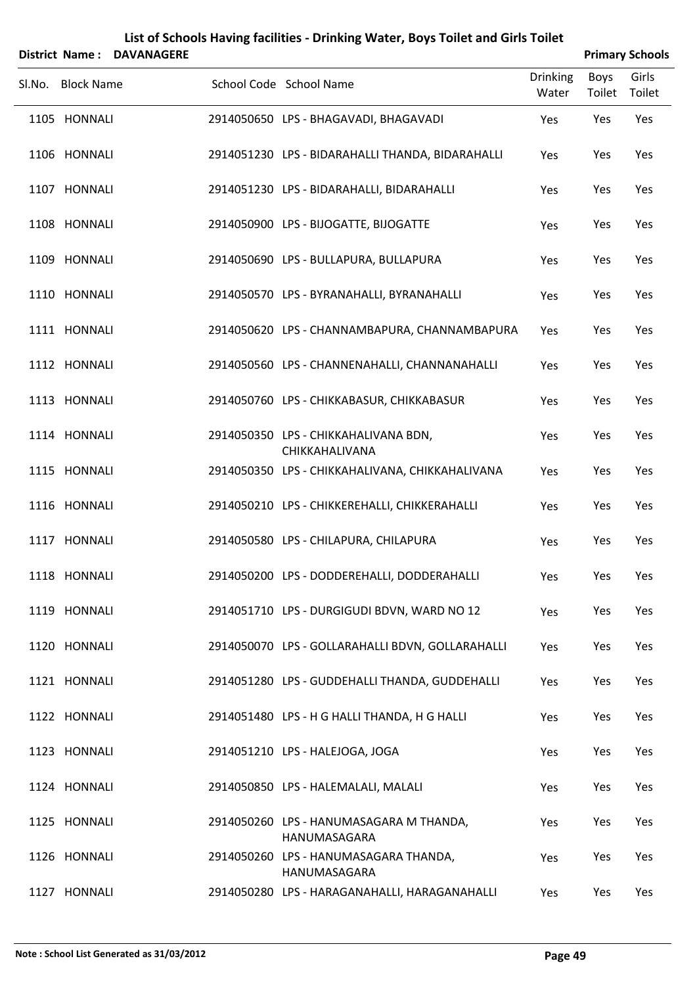|        | District Name:    | <b>DAVANAGERE</b> |                                                         |                          |                | <b>Primary Schools</b> |
|--------|-------------------|-------------------|---------------------------------------------------------|--------------------------|----------------|------------------------|
| Sl.No. | <b>Block Name</b> |                   | School Code School Name                                 | <b>Drinking</b><br>Water | Boys<br>Toilet | Girls<br>Toilet        |
|        | 1105 HONNALI      |                   | 2914050650 LPS - BHAGAVADI, BHAGAVADI                   | Yes                      | Yes            | Yes                    |
|        | 1106 HONNALI      |                   | 2914051230 LPS - BIDARAHALLI THANDA, BIDARAHALLI        | Yes                      | Yes            | Yes                    |
|        | 1107 HONNALI      |                   | 2914051230 LPS - BIDARAHALLI, BIDARAHALLI               | Yes                      | Yes            | Yes                    |
|        | 1108 HONNALI      |                   | 2914050900 LPS - BIJOGATTE, BIJOGATTE                   | Yes                      | Yes            | Yes                    |
|        | 1109 HONNALI      |                   | 2914050690 LPS - BULLAPURA, BULLAPURA                   | Yes                      | Yes            | Yes                    |
|        | 1110 HONNALI      |                   | 2914050570 LPS - BYRANAHALLI, BYRANAHALLI               | Yes                      | Yes            | Yes                    |
|        | 1111 HONNALI      |                   | 2914050620 LPS - CHANNAMBAPURA, CHANNAMBAPURA           | Yes                      | Yes            | Yes                    |
|        | 1112 HONNALI      |                   | 2914050560 LPS - CHANNENAHALLI, CHANNANAHALLI           | Yes                      | Yes            | Yes                    |
|        | 1113 HONNALI      |                   | 2914050760 LPS - CHIKKABASUR, CHIKKABASUR               | Yes                      | Yes            | Yes                    |
|        | 1114 HONNALI      |                   | 2914050350 LPS - CHIKKAHALIVANA BDN,<br>CHIKKAHALIVANA  | Yes                      | Yes            | Yes                    |
|        | 1115 HONNALI      |                   | 2914050350 LPS - CHIKKAHALIVANA, CHIKKAHALIVANA         | Yes                      | Yes            | Yes                    |
|        | 1116 HONNALI      |                   | 2914050210 LPS - CHIKKEREHALLI, CHIKKERAHALLI           | Yes                      | Yes            | Yes                    |
|        | 1117 HONNALI      |                   | 2914050580 LPS - CHILAPURA, CHILAPURA                   | Yes                      | Yes            | Yes                    |
|        | 1118 HONNALI      |                   | 2914050200 LPS - DODDEREHALLI, DODDERAHALLI             | Yes                      | Yes            | Yes                    |
|        | 1119 HONNALI      |                   | 2914051710 LPS - DURGIGUDI BDVN, WARD NO 12             | Yes                      | Yes            | Yes                    |
|        | 1120 HONNALI      |                   | 2914050070 LPS - GOLLARAHALLI BDVN, GOLLARAHALLI        | Yes                      | Yes            | Yes                    |
|        | 1121 HONNALI      |                   | 2914051280 LPS - GUDDEHALLI THANDA, GUDDEHALLI          | Yes                      | Yes            | Yes                    |
|        | 1122 HONNALI      |                   | 2914051480 LPS - H G HALLI THANDA, H G HALLI            | Yes                      | Yes            | Yes                    |
|        | 1123 HONNALI      |                   | 2914051210 LPS - HALEJOGA, JOGA                         | Yes                      | Yes            | Yes                    |
|        | 1124 HONNALI      |                   | 2914050850 LPS - HALEMALALI, MALALI                     | Yes                      | Yes            | Yes                    |
|        | 1125 HONNALI      |                   | 2914050260 LPS - HANUMASAGARA M THANDA,<br>HANUMASAGARA | Yes                      | Yes            | Yes                    |
|        | 1126 HONNALI      |                   | 2914050260 LPS - HANUMASAGARA THANDA,<br>HANUMASAGARA   | Yes                      | Yes            | Yes                    |
|        | 1127 HONNALI      |                   | 2914050280 LPS - HARAGANAHALLI, HARAGANAHALLI           | Yes                      | Yes            | Yes                    |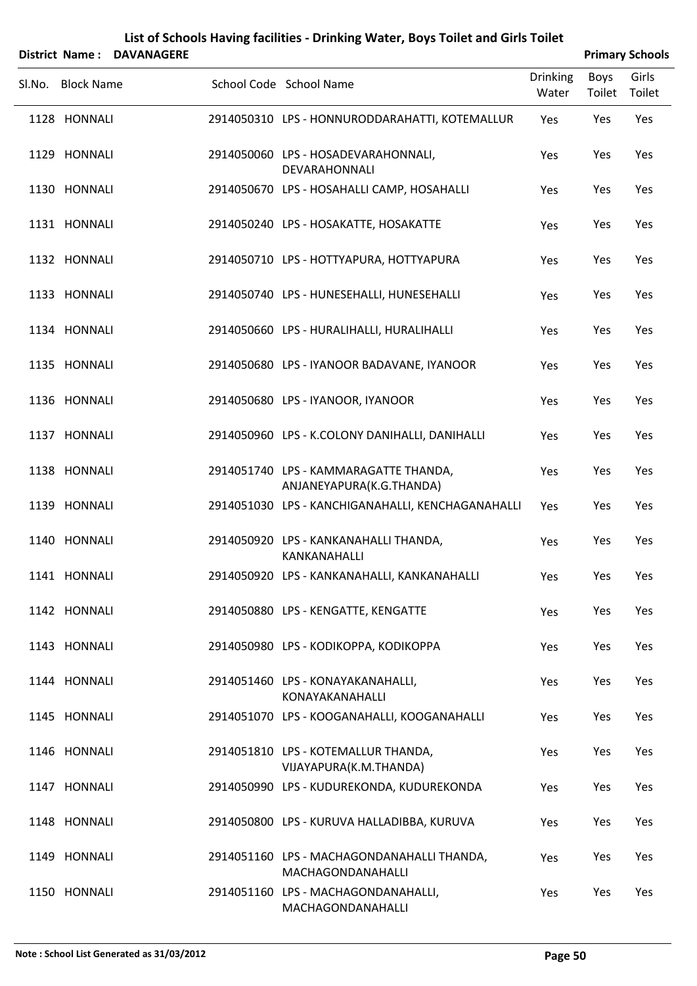| List of Schools Having facilities - Drinking Water, Boys Toilet and Girls Toilet<br><b>Primary Schools</b><br><b>District Name:</b><br><b>DAVANAGERE</b> |  |  |                                                                   |                          |                |                 |  |  |  |  |
|----------------------------------------------------------------------------------------------------------------------------------------------------------|--|--|-------------------------------------------------------------------|--------------------------|----------------|-----------------|--|--|--|--|
| Sl.No. Block Name                                                                                                                                        |  |  | School Code School Name                                           | <b>Drinking</b><br>Water | Boys<br>Toilet | Girls<br>Toilet |  |  |  |  |
| 1128 HONNALI                                                                                                                                             |  |  | 2914050310 LPS - HONNURODDARAHATTI, KOTEMALLUR                    | Yes                      | Yes            | Yes             |  |  |  |  |
| 1129 HONNALI                                                                                                                                             |  |  | 2914050060 LPS - HOSADEVARAHONNALI,<br>DEVARAHONNALI              | Yes                      | Yes            | Yes             |  |  |  |  |
| 1130 HONNALI                                                                                                                                             |  |  | 2914050670 LPS - HOSAHALLI CAMP, HOSAHALLI                        | Yes                      | Yes            | Yes             |  |  |  |  |
| 1131 HONNALI                                                                                                                                             |  |  | 2914050240 LPS - HOSAKATTE, HOSAKATTE                             | Yes                      | Yes            | Yes             |  |  |  |  |
| 1132 HONNALI                                                                                                                                             |  |  | 2914050710 LPS - HOTTYAPURA, HOTTYAPURA                           | Yes                      | Yes            | Yes             |  |  |  |  |
| 1133 HONNALI                                                                                                                                             |  |  | 2914050740 LPS - HUNESEHALLI, HUNESEHALLI                         | Yes                      | Yes            | Yes             |  |  |  |  |
| 1134 HONNALI                                                                                                                                             |  |  | 2914050660 LPS - HURALIHALLI, HURALIHALLI                         | Yes                      | Yes            | Yes             |  |  |  |  |
| 1135 HONNALI                                                                                                                                             |  |  | 2914050680 LPS - IYANOOR BADAVANE, IYANOOR                        | Yes                      | Yes            | Yes             |  |  |  |  |
| 1136 HONNALI                                                                                                                                             |  |  | 2914050680 LPS - IYANOOR, IYANOOR                                 | Yes                      | Yes            | Yes             |  |  |  |  |
| 1137 HONNALI                                                                                                                                             |  |  | 2914050960 LPS - K.COLONY DANIHALLI, DANIHALLI                    | Yes                      | Yes            | Yes             |  |  |  |  |
| 1138 HONNALI                                                                                                                                             |  |  | 2914051740 LPS - KAMMARAGATTE THANDA,<br>ANJANEYAPURA(K.G.THANDA) | Yes                      | Yes            | Yes             |  |  |  |  |
| 1139 HONNALI                                                                                                                                             |  |  | 2914051030 LPS - KANCHIGANAHALLI, KENCHAGANAHALLI                 | Yes                      | Yes            | Yes             |  |  |  |  |
| 1140 HONNALI                                                                                                                                             |  |  | 2914050920 LPS - KANKANAHALLI THANDA,<br>KANKANAHALLI             | Yes                      | Yes            | Yes             |  |  |  |  |
| 1141 HONNALI                                                                                                                                             |  |  | 2914050920 LPS - KANKANAHALLI, KANKANAHALLI                       | Yes                      | Yes            | Yes             |  |  |  |  |
| 1142 HONNALI                                                                                                                                             |  |  | 2914050880 LPS - KENGATTE, KENGATTE                               | Yes                      | Yes            | Yes             |  |  |  |  |
| 1143 HONNALI                                                                                                                                             |  |  | 2914050980 LPS - KODIKOPPA, KODIKOPPA                             | Yes                      | Yes            | Yes             |  |  |  |  |
| 1144 HONNALI                                                                                                                                             |  |  | 2914051460 LPS - KONAYAKANAHALLI,<br>KONAYAKANAHALLI              | Yes                      | Yes            | Yes             |  |  |  |  |
| 1145 HONNALI                                                                                                                                             |  |  | 2914051070 LPS - KOOGANAHALLI, KOOGANAHALLI                       | Yes                      | Yes            | Yes             |  |  |  |  |
| 1146 HONNALI                                                                                                                                             |  |  | 2914051810 LPS - KOTEMALLUR THANDA,<br>VIJAYAPURA(K.M.THANDA)     | Yes                      | Yes            | Yes             |  |  |  |  |
| 1147 HONNALI                                                                                                                                             |  |  | 2914050990 LPS - KUDUREKONDA, KUDUREKONDA                         | Yes                      | Yes            | Yes             |  |  |  |  |
| 1148 HONNALI                                                                                                                                             |  |  | 2914050800 LPS - KURUVA HALLADIBBA, KURUVA                        | Yes                      | Yes            | Yes             |  |  |  |  |
| 1149 HONNALI                                                                                                                                             |  |  | 2914051160 LPS - MACHAGONDANAHALLI THANDA,<br>MACHAGONDANAHALLI   | Yes                      | Yes            | Yes             |  |  |  |  |
| 1150 HONNALI                                                                                                                                             |  |  | 2914051160 LPS - MACHAGONDANAHALLI,<br>MACHAGONDANAHALLI          | Yes                      | Yes            | Yes             |  |  |  |  |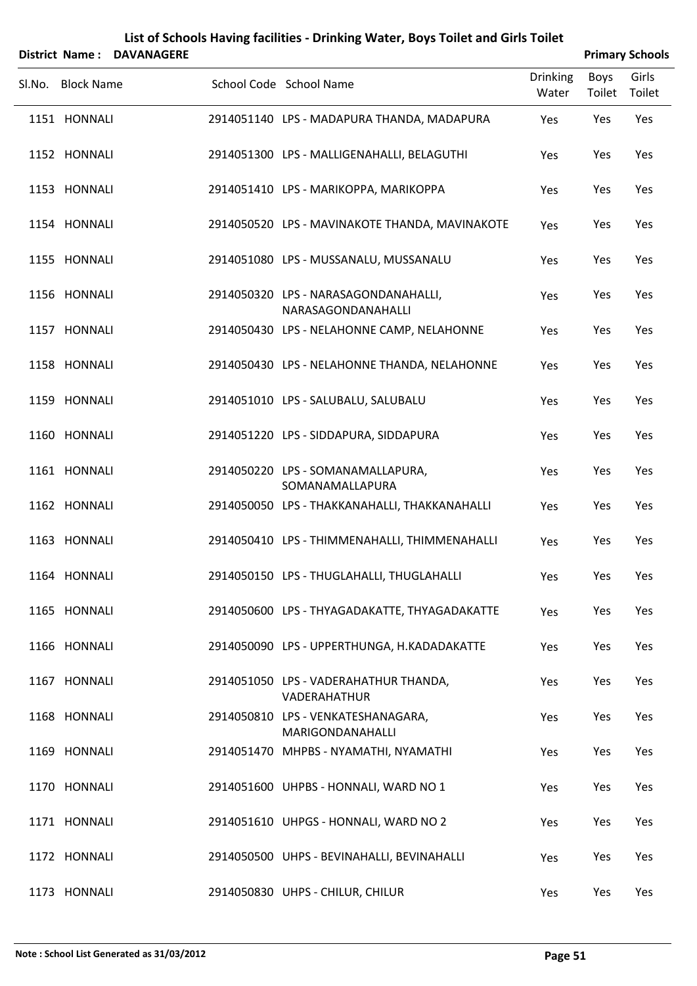| District Name: DAVANAGERE |                                                            |                          |                | <b>Primary Schools</b> |
|---------------------------|------------------------------------------------------------|--------------------------|----------------|------------------------|
| Sl.No. Block Name         | School Code School Name                                    | <b>Drinking</b><br>Water | Boys<br>Toilet | Girls<br>Toilet        |
| 1151 HONNALI              | 2914051140 LPS - MADAPURA THANDA, MADAPURA                 | Yes                      | Yes            | Yes                    |
| 1152 HONNALI              | 2914051300 LPS - MALLIGENAHALLI, BELAGUTHI                 | Yes                      | Yes            | Yes                    |
| 1153 HONNALI              | 2914051410 LPS - MARIKOPPA, MARIKOPPA                      | Yes                      | Yes            | Yes                    |
| 1154 HONNALI              | 2914050520 LPS - MAVINAKOTE THANDA, MAVINAKOTE             | Yes                      | Yes            | Yes                    |
| 1155 HONNALI              | 2914051080 LPS - MUSSANALU, MUSSANALU                      | Yes                      | Yes            | Yes                    |
| 1156 HONNALI              | 2914050320 LPS - NARASAGONDANAHALLI,<br>NARASAGONDANAHALLI | Yes                      | Yes            | Yes                    |
| 1157 HONNALI              | 2914050430 LPS - NELAHONNE CAMP, NELAHONNE                 | Yes                      | Yes            | Yes                    |
| 1158 HONNALI              | 2914050430 LPS - NELAHONNE THANDA, NELAHONNE               | Yes                      | Yes            | Yes                    |
| 1159 HONNALI              | 2914051010 LPS - SALUBALU, SALUBALU                        | Yes                      | Yes            | Yes                    |
| 1160 HONNALI              | 2914051220 LPS - SIDDAPURA, SIDDAPURA                      | Yes                      | Yes            | Yes                    |
| 1161 HONNALI              | 2914050220 LPS - SOMANAMALLAPURA,<br>SOMANAMALLAPURA       | Yes                      | Yes            | Yes                    |
| 1162 HONNALI              | 2914050050 LPS - THAKKANAHALLI, THAKKANAHALLI              | Yes                      | Yes            | Yes                    |
| 1163 HONNALI              | 2914050410 LPS - THIMMENAHALLI, THIMMENAHALLI              | Yes                      | Yes            | Yes                    |
| 1164 HONNALI              | 2914050150 LPS - THUGLAHALLI, THUGLAHALLI                  | Yes                      | Yes            | Yes                    |
| 1165 HONNALI              | 2914050600 LPS - THYAGADAKATTE, THYAGADAKATTE              | Yes                      | Yes            | Yes                    |
| 1166 HONNALI              | 2914050090 LPS - UPPERTHUNGA, H.KADADAKATTE                | Yes                      | Yes            | Yes                    |
| 1167 HONNALI              | 2914051050 LPS - VADERAHATHUR THANDA,<br>VADERAHATHUR      | Yes                      | Yes            | Yes                    |
| 1168 HONNALI              | 2914050810 LPS - VENKATESHANAGARA,<br>MARIGONDANAHALLI     | Yes                      | Yes            | Yes                    |
| 1169 HONNALI              | 2914051470 MHPBS - NYAMATHI, NYAMATHI                      | Yes                      | Yes            | Yes                    |
| 1170 HONNALI              | 2914051600 UHPBS - HONNALI, WARD NO 1                      | Yes                      | Yes            | Yes                    |
| 1171 HONNALI              | 2914051610 UHPGS - HONNALI, WARD NO 2                      | Yes                      | Yes            | Yes                    |
| 1172 HONNALI              | 2914050500 UHPS - BEVINAHALLI, BEVINAHALLI                 | Yes                      | Yes            | Yes                    |
| 1173 HONNALI              | 2914050830 UHPS - CHILUR, CHILUR                           | Yes                      | Yes            | Yes                    |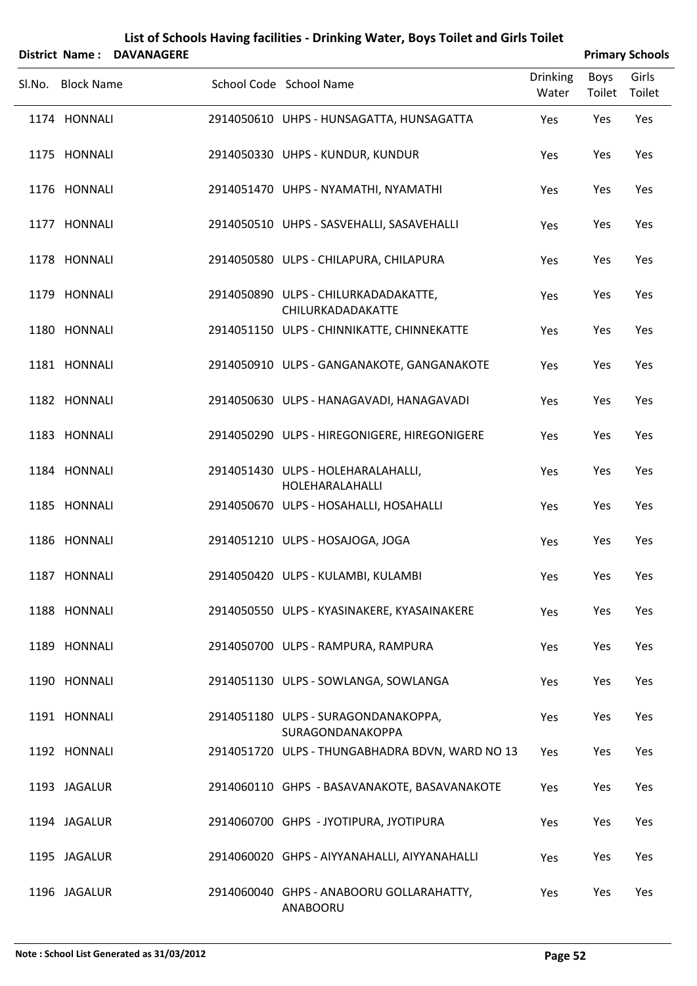|                   | District Name: DAVANAGERE |                                                           |                          |                | <b>Primary Schools</b> |
|-------------------|---------------------------|-----------------------------------------------------------|--------------------------|----------------|------------------------|
| Sl.No. Block Name |                           | School Code School Name                                   | <b>Drinking</b><br>Water | Boys<br>Toilet | Girls<br>Toilet        |
| 1174 HONNALI      |                           | 2914050610 UHPS - HUNSAGATTA, HUNSAGATTA                  | Yes                      | Yes            | Yes                    |
| 1175 HONNALI      |                           | 2914050330 UHPS - KUNDUR, KUNDUR                          | Yes                      | Yes            | Yes                    |
| 1176 HONNALI      |                           | 2914051470 UHPS - NYAMATHI, NYAMATHI                      | Yes                      | Yes            | Yes                    |
| 1177 HONNALI      |                           | 2914050510 UHPS - SASVEHALLI, SASAVEHALLI                 | Yes                      | Yes            | Yes                    |
| 1178 HONNALI      |                           | 2914050580 ULPS - CHILAPURA, CHILAPURA                    | Yes                      | Yes            | Yes                    |
| 1179 HONNALI      |                           | 2914050890 ULPS - CHILURKADADAKATTE,<br>CHILURKADADAKATTE | Yes                      | Yes            | Yes                    |
| 1180 HONNALI      |                           | 2914051150 ULPS - CHINNIKATTE, CHINNEKATTE                | Yes                      | Yes            | Yes                    |
| 1181 HONNALI      |                           | 2914050910 ULPS - GANGANAKOTE, GANGANAKOTE                | Yes                      | Yes            | Yes                    |
| 1182 HONNALI      |                           | 2914050630 ULPS - HANAGAVADI, HANAGAVADI                  | Yes                      | Yes            | Yes                    |
| 1183 HONNALI      |                           | 2914050290 ULPS - HIREGONIGERE, HIREGONIGERE              | Yes                      | Yes            | Yes                    |
| 1184 HONNALI      |                           | 2914051430 ULPS - HOLEHARALAHALLI,<br>HOLEHARALAHALLI     | Yes                      | Yes            | Yes                    |
| 1185 HONNALI      |                           | 2914050670 ULPS - HOSAHALLI, HOSAHALLI                    | Yes                      | Yes            | Yes                    |
| 1186 HONNALI      |                           | 2914051210 ULPS - HOSAJOGA, JOGA                          | Yes                      | Yes            | Yes                    |
| 1187 HONNALI      |                           | 2914050420 ULPS - KULAMBI, KULAMBI                        | Yes                      | Yes            | Yes                    |
| 1188 HONNALI      |                           | 2914050550 ULPS - KYASINAKERE, KYASAINAKERE               | Yes                      | Yes            | Yes                    |
| 1189 HONNALI      |                           | 2914050700 ULPS - RAMPURA, RAMPURA                        | Yes                      | Yes            | Yes                    |
| 1190 HONNALI      |                           | 2914051130 ULPS - SOWLANGA, SOWLANGA                      | Yes                      | Yes            | Yes                    |
| 1191 HONNALI      |                           | 2914051180 ULPS - SURAGONDANAKOPPA,<br>SURAGONDANAKOPPA   | Yes                      | Yes            | Yes                    |
| 1192 HONNALI      |                           | 2914051720 ULPS - THUNGABHADRA BDVN, WARD NO 13           | Yes                      | Yes            | Yes                    |
| 1193 JAGALUR      |                           | 2914060110 GHPS - BASAVANAKOTE, BASAVANAKOTE              | Yes                      | Yes            | Yes                    |
| 1194 JAGALUR      |                           | 2914060700 GHPS - JYOTIPURA, JYOTIPURA                    | Yes                      | Yes            | Yes                    |
| 1195 JAGALUR      |                           | 2914060020 GHPS - AIYYANAHALLI, AIYYANAHALLI              | Yes                      | Yes            | Yes                    |
| 1196 JAGALUR      |                           | 2914060040 GHPS - ANABOORU GOLLARAHATTY,                  | Yes                      | Yes            | Yes                    |

ANABOORU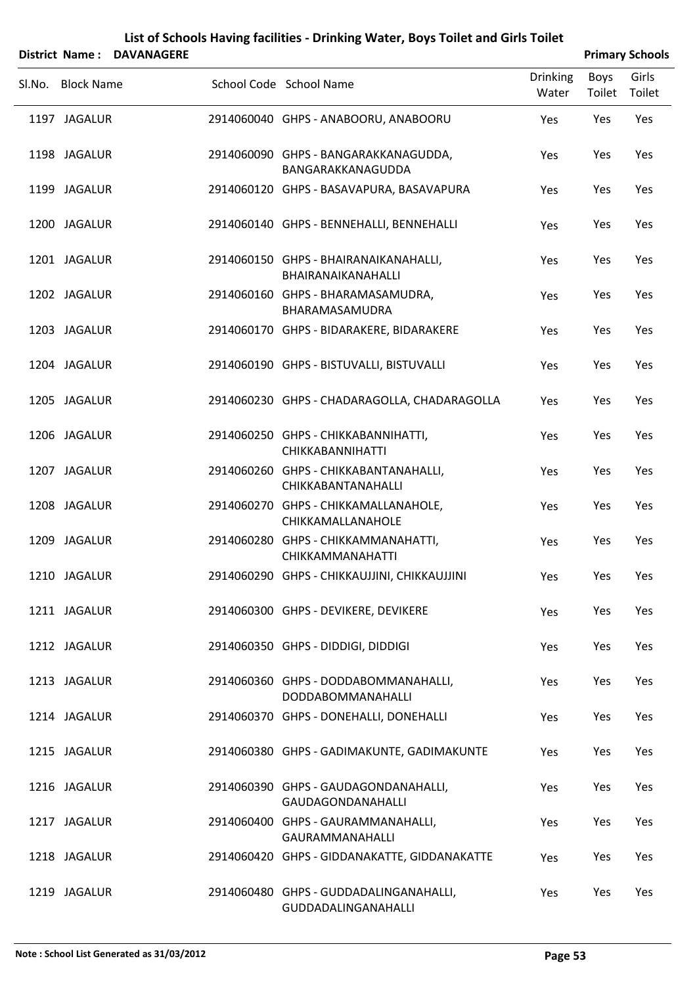|        | District Name: DAVANAGERE |                                                                  |                          |                | <b>Primary Schools</b> |
|--------|---------------------------|------------------------------------------------------------------|--------------------------|----------------|------------------------|
| Sl.No. | <b>Block Name</b>         | School Code School Name                                          | <b>Drinking</b><br>Water | Boys<br>Toilet | Girls<br>Toilet        |
|        | 1197 JAGALUR              | 2914060040 GHPS - ANABOORU, ANABOORU                             | Yes                      | Yes            | Yes                    |
|        | 1198 JAGALUR              | 2914060090 GHPS - BANGARAKKANAGUDDA,<br>BANGARAKKANAGUDDA        | Yes                      | Yes            | Yes                    |
|        | 1199 JAGALUR              | 2914060120 GHPS - BASAVAPURA, BASAVAPURA                         | Yes                      | Yes            | Yes                    |
|        | 1200 JAGALUR              | 2914060140 GHPS - BENNEHALLI, BENNEHALLI                         | Yes                      | Yes            | Yes                    |
|        | 1201 JAGALUR              | 2914060150 GHPS - BHAIRANAIKANAHALLI,<br>BHAIRANAIKANAHALLI      | Yes                      | Yes            | Yes                    |
|        | 1202 JAGALUR              | 2914060160 GHPS - BHARAMASAMUDRA,<br>BHARAMASAMUDRA              | Yes                      | Yes            | Yes                    |
|        | 1203 JAGALUR              | 2914060170 GHPS - BIDARAKERE, BIDARAKERE                         | Yes                      | Yes            | Yes                    |
|        | 1204 JAGALUR              | 2914060190 GHPS - BISTUVALLI, BISTUVALLI                         | Yes                      | Yes            | Yes                    |
|        | 1205 JAGALUR              | 2914060230 GHPS - CHADARAGOLLA, CHADARAGOLLA                     | Yes                      | Yes            | Yes                    |
|        | 1206 JAGALUR              | 2914060250 GHPS - CHIKKABANNIHATTI,<br><b>CHIKKABANNIHATTI</b>   | Yes                      | Yes            | Yes                    |
|        | 1207 JAGALUR              | 2914060260 GHPS - CHIKKABANTANAHALLI,<br>CHIKKABANTANAHALLI      | Yes                      | Yes            | Yes                    |
|        | 1208 JAGALUR              | 2914060270 GHPS - CHIKKAMALLANAHOLE,<br>CHIKKAMALLANAHOLE        | Yes                      | Yes            | Yes                    |
|        | 1209 JAGALUR              | 2914060280 GHPS - CHIKKAMMANAHATTI,<br>CHIKKAMMANAHATTI          | Yes                      | Yes            | Yes                    |
|        | 1210 JAGALUR              | 2914060290 GHPS - CHIKKAUJJINI, CHIKKAUJJINI                     | Yes                      | Yes            | Yes                    |
|        | 1211 JAGALUR              | 2914060300 GHPS - DEVIKERE, DEVIKERE                             | Yes                      | Yes            | Yes                    |
|        | 1212 JAGALUR              | 2914060350 GHPS - DIDDIGI, DIDDIGI                               | Yes                      | Yes            | Yes                    |
|        | 1213 JAGALUR              | 2914060360 GHPS - DODDABOMMANAHALLI,<br><b>DODDABOMMANAHALLI</b> | Yes                      | Yes            | Yes                    |
|        | 1214 JAGALUR              | 2914060370 GHPS - DONEHALLI, DONEHALLI                           | Yes                      | Yes            | Yes                    |
|        | 1215 JAGALUR              | 2914060380 GHPS - GADIMAKUNTE, GADIMAKUNTE                       | Yes                      | Yes            | Yes                    |
|        | 1216 JAGALUR              | 2914060390 GHPS - GAUDAGONDANAHALLI,<br>GAUDAGONDANAHALLI        | Yes                      | Yes            | Yes                    |
|        | 1217 JAGALUR              | 2914060400 GHPS - GAURAMMANAHALLI,<br><b>GAURAMMANAHALLI</b>     | Yes                      | Yes            | Yes                    |
|        | 1218 JAGALUR              | 2914060420 GHPS - GIDDANAKATTE, GIDDANAKATTE                     | Yes                      | Yes            | Yes                    |
|        | 1219 JAGALUR              | 2914060480 GHPS - GUDDADALINGANAHALLI,<br>GUDDADALINGANAHALLI    | Yes                      | Yes            | Yes                    |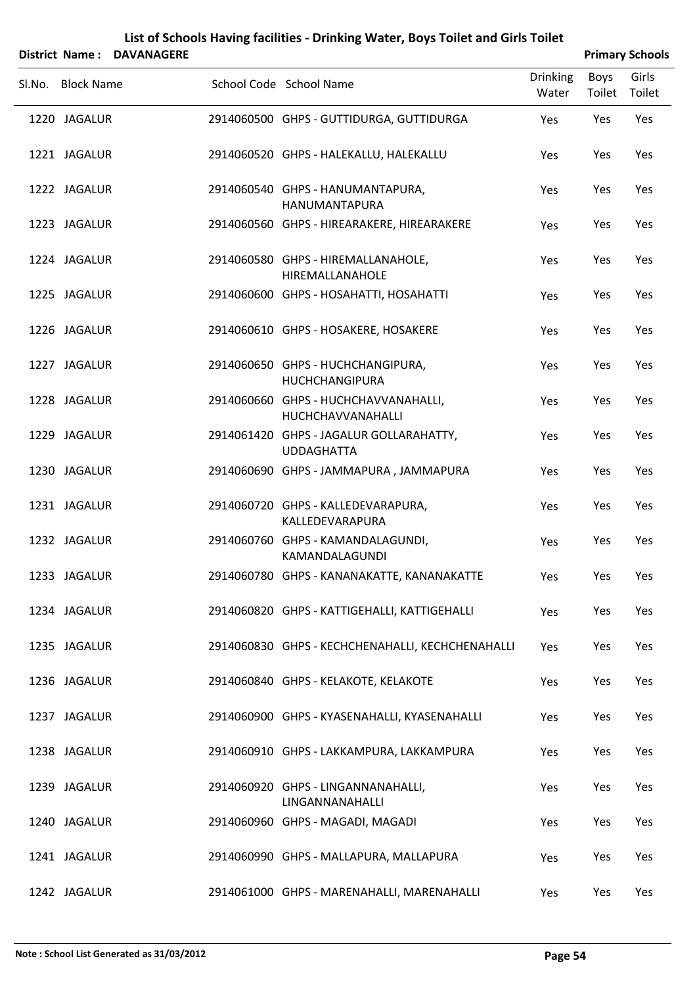|                   | District Name: DAVANAGERE |                                                              |                          |                | <b>Primary Schools</b> |
|-------------------|---------------------------|--------------------------------------------------------------|--------------------------|----------------|------------------------|
| SI.No. Block Name |                           | School Code School Name                                      | <b>Drinking</b><br>Water | Boys<br>Toilet | Girls<br>Toilet        |
| 1220 JAGALUR      |                           | 2914060500 GHPS - GUTTIDURGA, GUTTIDURGA                     | Yes                      | Yes            | Yes                    |
| 1221 JAGALUR      |                           | 2914060520 GHPS - HALEKALLU, HALEKALLU                       | Yes                      | Yes            | Yes                    |
| 1222 JAGALUR      |                           | 2914060540 GHPS - HANUMANTAPURA,<br>HANUMANTAPURA            | Yes                      | Yes            | Yes                    |
| 1223 JAGALUR      |                           | 2914060560 GHPS - HIREARAKERE, HIREARAKERE                   | Yes                      | Yes            | Yes                    |
| 1224 JAGALUR      |                           | 2914060580 GHPS - HIREMALLANAHOLE,<br>HIREMALLANAHOLE        | Yes                      | Yes            | Yes                    |
| 1225 JAGALUR      |                           | 2914060600 GHPS - HOSAHATTI, HOSAHATTI                       | Yes                      | Yes            | Yes                    |
| 1226 JAGALUR      |                           | 2914060610 GHPS - HOSAKERE, HOSAKERE                         | Yes                      | Yes            | Yes                    |
| 1227 JAGALUR      |                           | 2914060650 GHPS - HUCHCHANGIPURA,<br><b>HUCHCHANGIPURA</b>   | Yes                      | Yes            | Yes                    |
| 1228 JAGALUR      |                           | 2914060660 GHPS - HUCHCHAVVANAHALLI,<br>HUCHCHAVVANAHALLI    | Yes                      | Yes            | Yes                    |
| 1229 JAGALUR      |                           | 2914061420 GHPS - JAGALUR GOLLARAHATTY,<br><b>UDDAGHATTA</b> | Yes                      | Yes            | Yes                    |
| 1230 JAGALUR      |                           | 2914060690 GHPS - JAMMAPURA, JAMMAPURA                       | Yes                      | Yes            | Yes                    |
| 1231 JAGALUR      |                           | 2914060720 GHPS - KALLEDEVARAPURA,<br>KALLEDEVARAPURA        | Yes                      | Yes            | Yes                    |
| 1232 JAGALUR      |                           | 2914060760 GHPS - KAMANDALAGUNDI,<br>KAMANDALAGUNDI          | Yes                      | Yes            | Yes                    |
| 1233 JAGALUR      |                           | 2914060780 GHPS - KANANAKATTE, KANANAKATTE                   | Yes                      | Yes            | Yes                    |
| 1234 JAGALUR      |                           | 2914060820 GHPS - KATTIGEHALLI, KATTIGEHALLI                 | Yes                      | Yes            | Yes                    |
| 1235 JAGALUR      |                           | 2914060830 GHPS - KECHCHENAHALLI, KECHCHENAHALLI             | Yes                      | Yes            | Yes                    |
| 1236 JAGALUR      |                           | 2914060840 GHPS - KELAKOTE, KELAKOTE                         | Yes                      | Yes            | Yes                    |
| 1237 JAGALUR      |                           | 2914060900 GHPS - KYASENAHALLI, KYASENAHALLI                 | Yes                      | Yes            | Yes                    |
| 1238 JAGALUR      |                           | 2914060910 GHPS - LAKKAMPURA, LAKKAMPURA                     | Yes                      | Yes            | Yes                    |
| 1239 JAGALUR      |                           | 2914060920 GHPS - LINGANNANAHALLI,<br>LINGANNANAHALLI        | Yes                      | Yes            | Yes                    |
| 1240 JAGALUR      |                           | 2914060960 GHPS - MAGADI, MAGADI                             | Yes                      | Yes            | Yes                    |
| 1241 JAGALUR      |                           | 2914060990 GHPS - MALLAPURA, MALLAPURA                       | Yes                      | Yes            | Yes                    |
| 1242 JAGALUR      |                           | 2914061000 GHPS - MARENAHALLI, MARENAHALLI                   | Yes                      | Yes            | Yes                    |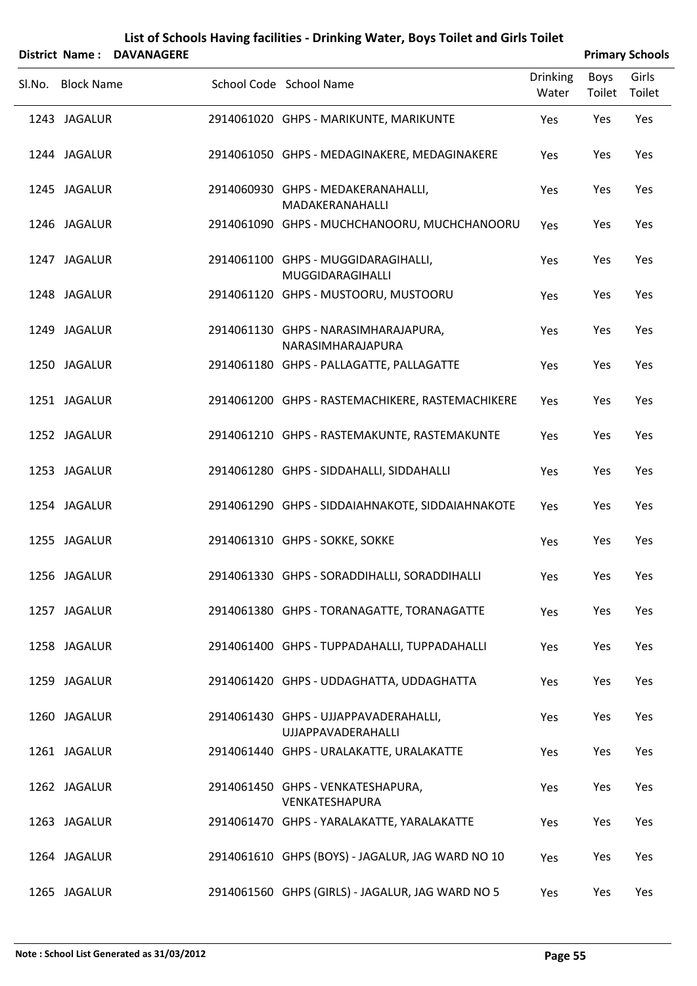|        |                   | District Name: DAVANAGERE |                                                                    |                          |                | <b>Primary Schools</b> |
|--------|-------------------|---------------------------|--------------------------------------------------------------------|--------------------------|----------------|------------------------|
| Sl.No. | <b>Block Name</b> |                           | School Code School Name                                            | <b>Drinking</b><br>Water | Boys<br>Toilet | Girls<br>Toilet        |
|        | 1243 JAGALUR      |                           | 2914061020 GHPS - MARIKUNTE, MARIKUNTE                             | Yes                      | Yes            | Yes                    |
|        | 1244 JAGALUR      |                           | 2914061050 GHPS - MEDAGINAKERE, MEDAGINAKERE                       | Yes                      | Yes            | Yes                    |
|        | 1245 JAGALUR      |                           | 2914060930 GHPS - MEDAKERANAHALLI,<br>MADAKERANAHALLI              | Yes                      | Yes            | Yes                    |
|        | 1246 JAGALUR      |                           | 2914061090 GHPS - MUCHCHANOORU, MUCHCHANOORU                       | Yes                      | Yes            | Yes                    |
|        | 1247 JAGALUR      |                           | 2914061100 GHPS - MUGGIDARAGIHALLI,<br>MUGGIDARAGIHALLI            | Yes                      | Yes            | Yes                    |
|        | 1248 JAGALUR      |                           | 2914061120 GHPS - MUSTOORU, MUSTOORU                               | Yes                      | Yes            | Yes                    |
|        | 1249 JAGALUR      |                           | 2914061130 GHPS - NARASIMHARAJAPURA,<br>NARASIMHARAJAPURA          | Yes                      | Yes            | Yes                    |
|        | 1250 JAGALUR      |                           | 2914061180 GHPS - PALLAGATTE, PALLAGATTE                           | Yes                      | Yes            | Yes                    |
|        | 1251 JAGALUR      |                           | 2914061200 GHPS - RASTEMACHIKERE, RASTEMACHIKERE                   | Yes                      | Yes            | Yes                    |
|        | 1252 JAGALUR      |                           | 2914061210 GHPS - RASTEMAKUNTE, RASTEMAKUNTE                       | Yes                      | Yes            | Yes                    |
|        | 1253 JAGALUR      |                           | 2914061280 GHPS - SIDDAHALLI, SIDDAHALLI                           | Yes                      | Yes            | Yes                    |
|        | 1254 JAGALUR      |                           | 2914061290 GHPS - SIDDAIAHNAKOTE, SIDDAIAHNAKOTE                   | Yes                      | Yes            | Yes                    |
|        | 1255 JAGALUR      |                           | 2914061310 GHPS - SOKKE, SOKKE                                     | Yes                      | Yes            | Yes                    |
|        | 1256 JAGALUR      |                           | 2914061330 GHPS - SORADDIHALLI, SORADDIHALLI                       | Yes                      | Yes            | Yes                    |
|        | 1257 JAGALUR      |                           | 2914061380 GHPS - TORANAGATTE, TORANAGATTE                         | Yes                      | Yes            | Yes                    |
|        | 1258 JAGALUR      |                           | 2914061400 GHPS - TUPPADAHALLI, TUPPADAHALLI                       | Yes                      | Yes            | Yes                    |
|        | 1259 JAGALUR      |                           | 2914061420 GHPS - UDDAGHATTA, UDDAGHATTA                           | Yes                      | Yes            | Yes                    |
|        | 1260 JAGALUR      |                           | 2914061430 GHPS - UJJAPPAVADERAHALLI,<br><b>UJJAPPAVADERAHALLI</b> | Yes                      | Yes            | Yes                    |
|        | 1261 JAGALUR      |                           | 2914061440 GHPS - URALAKATTE, URALAKATTE                           | Yes                      | Yes            | Yes                    |
|        | 1262 JAGALUR      |                           | 2914061450 GHPS - VENKATESHAPURA,<br>VENKATESHAPURA                | Yes                      | Yes            | Yes                    |
|        | 1263 JAGALUR      |                           | 2914061470 GHPS - YARALAKATTE, YARALAKATTE                         | Yes                      | Yes            | Yes                    |
|        | 1264 JAGALUR      |                           | 2914061610 GHPS (BOYS) - JAGALUR, JAG WARD NO 10                   | Yes                      | Yes            | Yes                    |
|        | 1265 JAGALUR      |                           | 2914061560 GHPS (GIRLS) - JAGALUR, JAG WARD NO 5                   | Yes                      | Yes            | Yes                    |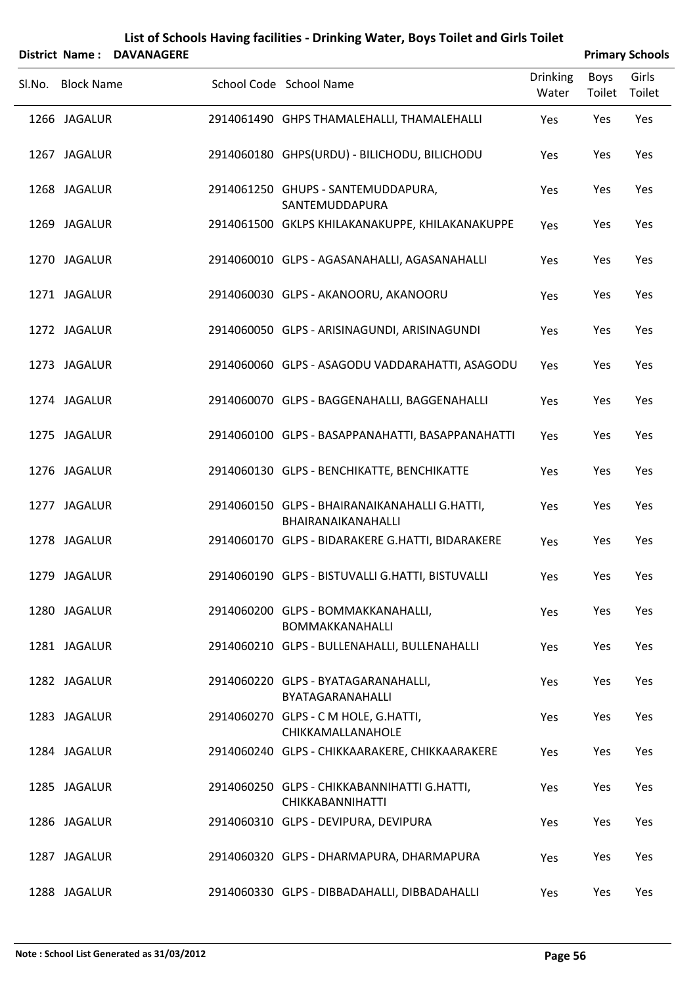|                   | District Name: DAVANAGERE |                                                                        |                          |                       | <b>Primary Schools</b> |
|-------------------|---------------------------|------------------------------------------------------------------------|--------------------------|-----------------------|------------------------|
| Sl.No. Block Name |                           | School Code School Name                                                | <b>Drinking</b><br>Water | <b>Boys</b><br>Toilet | Girls<br>Toilet        |
| 1266 JAGALUR      |                           | 2914061490 GHPS THAMALEHALLI, THAMALEHALLI                             | Yes                      | Yes                   | Yes                    |
| 1267 JAGALUR      |                           | 2914060180 GHPS(URDU) - BILICHODU, BILICHODU                           | Yes                      | Yes                   | Yes                    |
| 1268 JAGALUR      |                           | 2914061250 GHUPS - SANTEMUDDAPURA,<br>SANTEMUDDAPURA                   | Yes                      | Yes                   | Yes                    |
| 1269 JAGALUR      |                           | 2914061500 GKLPS KHILAKANAKUPPE, KHILAKANAKUPPE                        | Yes                      | Yes                   | Yes                    |
| 1270 JAGALUR      |                           | 2914060010 GLPS - AGASANAHALLI, AGASANAHALLI                           | Yes                      | Yes                   | Yes                    |
| 1271 JAGALUR      |                           | 2914060030 GLPS - AKANOORU, AKANOORU                                   | Yes                      | Yes                   | Yes                    |
| 1272 JAGALUR      |                           | 2914060050 GLPS - ARISINAGUNDI, ARISINAGUNDI                           | Yes                      | Yes                   | Yes                    |
| 1273 JAGALUR      |                           | 2914060060 GLPS - ASAGODU VADDARAHATTI, ASAGODU                        | Yes                      | Yes                   | Yes                    |
| 1274 JAGALUR      |                           | 2914060070 GLPS - BAGGENAHALLI, BAGGENAHALLI                           | Yes                      | Yes                   | Yes                    |
| 1275 JAGALUR      |                           | 2914060100 GLPS - BASAPPANAHATTI, BASAPPANAHATTI                       | Yes                      | Yes                   | Yes                    |
| 1276 JAGALUR      |                           | 2914060130 GLPS - BENCHIKATTE, BENCHIKATTE                             | Yes                      | Yes                   | Yes                    |
| 1277 JAGALUR      |                           | 2914060150 GLPS - BHAIRANAIKANAHALLI G.HATTI,<br>BHAIRANAIKANAHALLI    | Yes                      | Yes                   | Yes                    |
| 1278 JAGALUR      |                           | 2914060170 GLPS - BIDARAKERE G.HATTI, BIDARAKERE                       | Yes                      | Yes                   | Yes                    |
| 1279 JAGALUR      |                           | 2914060190 GLPS - BISTUVALLI G.HATTI, BISTUVALLI                       | Yes                      | Yes                   | Yes                    |
| 1280 JAGALUR      |                           | 2914060200 GLPS - BOMMAKKANAHALLI,<br>BOMMAKKANAHALLI                  | Yes                      | Yes                   | Yes                    |
| 1281 JAGALUR      |                           | 2914060210 GLPS - BULLENAHALLI, BULLENAHALLI                           | Yes                      | Yes                   | Yes                    |
| 1282 JAGALUR      |                           | 2914060220 GLPS - BYATAGARANAHALLI,<br>BYATAGARANAHALLI                | Yes                      | Yes                   | Yes                    |
| 1283 JAGALUR      |                           | 2914060270 GLPS - C M HOLE, G.HATTI,<br>CHIKKAMALLANAHOLE              | Yes                      | Yes                   | Yes                    |
| 1284 JAGALUR      |                           | 2914060240 GLPS - CHIKKAARAKERE, CHIKKAARAKERE                         | Yes                      | Yes                   | Yes                    |
| 1285 JAGALUR      |                           | 2914060250 GLPS - CHIKKABANNIHATTI G.HATTI,<br><b>CHIKKABANNIHATTI</b> | Yes                      | Yes                   | Yes                    |
| 1286 JAGALUR      |                           | 2914060310 GLPS - DEVIPURA, DEVIPURA                                   | Yes                      | Yes                   | Yes                    |
| 1287 JAGALUR      |                           | 2914060320 GLPS - DHARMAPURA, DHARMAPURA                               | Yes                      | Yes                   | Yes                    |
| 1288 JAGALUR      |                           | 2914060330 GLPS - DIBBADAHALLI, DIBBADAHALLI                           | Yes                      | Yes                   | Yes                    |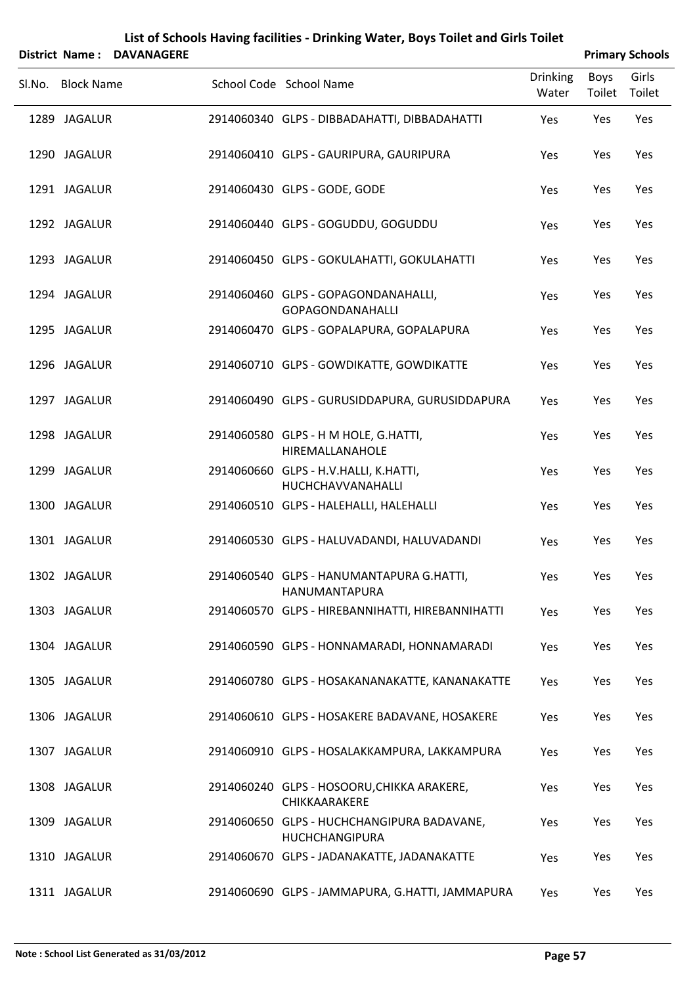|                   | District Name: DAVANAGERE |                                                                     |                          |                | <b>Primary Schools</b> |
|-------------------|---------------------------|---------------------------------------------------------------------|--------------------------|----------------|------------------------|
| Sl.No. Block Name |                           | School Code School Name                                             | <b>Drinking</b><br>Water | Boys<br>Toilet | Girls<br>Toilet        |
| 1289 JAGALUR      |                           | 2914060340 GLPS - DIBBADAHATTI, DIBBADAHATTI                        | Yes                      | Yes            | Yes                    |
| 1290 JAGALUR      |                           | 2914060410 GLPS - GAURIPURA, GAURIPURA                              | Yes                      | Yes            | Yes                    |
| 1291 JAGALUR      |                           | 2914060430 GLPS - GODE, GODE                                        | Yes                      | Yes            | Yes                    |
| 1292 JAGALUR      |                           | 2914060440 GLPS - GOGUDDU, GOGUDDU                                  | Yes                      | Yes            | Yes                    |
| 1293 JAGALUR      |                           | 2914060450 GLPS - GOKULAHATTI, GOKULAHATTI                          | Yes                      | Yes            | Yes                    |
| 1294 JAGALUR      |                           | 2914060460 GLPS - GOPAGONDANAHALLI,<br><b>GOPAGONDANAHALLI</b>      | Yes                      | Yes            | Yes                    |
| 1295 JAGALUR      |                           | 2914060470 GLPS - GOPALAPURA, GOPALAPURA                            | Yes                      | Yes            | Yes                    |
| 1296 JAGALUR      |                           | 2914060710 GLPS - GOWDIKATTE, GOWDIKATTE                            | Yes                      | Yes            | Yes                    |
| 1297 JAGALUR      |                           | 2914060490 GLPS - GURUSIDDAPURA, GURUSIDDAPURA                      | Yes                      | Yes            | Yes                    |
| 1298 JAGALUR      |                           | 2914060580 GLPS - H M HOLE, G.HATTI,<br>HIREMALLANAHOLE             | Yes                      | Yes            | Yes                    |
| 1299 JAGALUR      |                           | 2914060660 GLPS - H.V.HALLI, K.HATTI,<br>HUCHCHAVVANAHALLI          | Yes                      | Yes            | Yes                    |
| 1300 JAGALUR      |                           | 2914060510 GLPS - HALEHALLI, HALEHALLI                              | Yes                      | Yes            | Yes                    |
| 1301 JAGALUR      |                           | 2914060530 GLPS - HALUVADANDI, HALUVADANDI                          | Yes                      | Yes            | Yes                    |
| 1302 JAGALUR      |                           | 2914060540 GLPS - HANUMANTAPURA G.HATTI,<br><b>HANUMANTAPURA</b>    | Yes                      | Yes            | Yes                    |
| 1303 JAGALUR      |                           | 2914060570 GLPS - HIREBANNIHATTI, HIREBANNIHATTI                    | Yes                      | Yes            | Yes                    |
| 1304 JAGALUR      |                           | 2914060590 GLPS - HONNAMARADI, HONNAMARADI                          | Yes                      | Yes            | Yes                    |
| 1305 JAGALUR      |                           | 2914060780 GLPS - HOSAKANANAKATTE, KANANAKATTE                      | Yes                      | Yes            | Yes                    |
| 1306 JAGALUR      |                           | 2914060610 GLPS - HOSAKERE BADAVANE, HOSAKERE                       | Yes                      | Yes            | Yes                    |
| 1307 JAGALUR      |                           | 2914060910 GLPS - HOSALAKKAMPURA, LAKKAMPURA                        | Yes                      | Yes            | Yes                    |
| 1308 JAGALUR      |                           | 2914060240 GLPS - HOSOORU, CHIKKA ARAKERE,<br>CHIKKAARAKERE         | Yes                      | Yes            | Yes                    |
| 1309 JAGALUR      |                           | 2914060650 GLPS - HUCHCHANGIPURA BADAVANE,<br><b>HUCHCHANGIPURA</b> | Yes                      | Yes            | Yes                    |
| 1310 JAGALUR      |                           | 2914060670 GLPS - JADANAKATTE, JADANAKATTE                          | Yes                      | Yes            | Yes                    |
| 1311 JAGALUR      |                           | 2914060690 GLPS - JAMMAPURA, G.HATTI, JAMMAPURA                     | Yes                      | Yes            | Yes                    |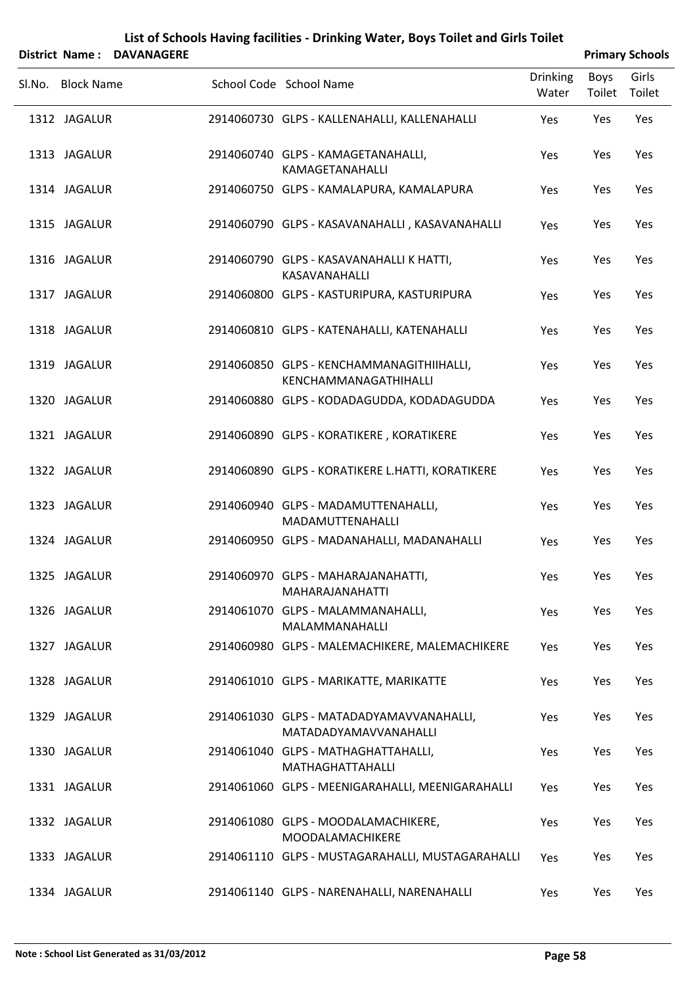|        |                   | District Name: DAVANAGERE |                                                                    |                          |                | <b>Primary Schools</b> |
|--------|-------------------|---------------------------|--------------------------------------------------------------------|--------------------------|----------------|------------------------|
| Sl.No. | <b>Block Name</b> |                           | School Code School Name                                            | <b>Drinking</b><br>Water | Boys<br>Toilet | Girls<br>Toilet        |
|        | 1312 JAGALUR      |                           | 2914060730 GLPS - KALLENAHALLI, KALLENAHALLI                       | Yes                      | Yes            | Yes                    |
|        | 1313 JAGALUR      |                           | 2914060740 GLPS - KAMAGETANAHALLI,<br><b>KAMAGETANAHALLI</b>       | Yes                      | Yes            | Yes                    |
|        | 1314 JAGALUR      |                           | 2914060750 GLPS - KAMALAPURA, KAMALAPURA                           | Yes                      | Yes            | Yes                    |
|        | 1315 JAGALUR      |                           | 2914060790 GLPS - KASAVANAHALLI, KASAVANAHALLI                     | Yes                      | Yes            | Yes                    |
|        | 1316 JAGALUR      |                           | 2914060790 GLPS - KASAVANAHALLI K HATTI,<br>KASAVANAHALLI          | Yes                      | Yes            | Yes                    |
|        | 1317 JAGALUR      |                           | 2914060800 GLPS - KASTURIPURA, KASTURIPURA                         | Yes                      | Yes            | Yes                    |
|        | 1318 JAGALUR      |                           | 2914060810 GLPS - KATENAHALLI, KATENAHALLI                         | Yes                      | Yes            | Yes                    |
|        | 1319 JAGALUR      |                           | 2914060850 GLPS - KENCHAMMANAGITHIIHALLI,<br>KENCHAMMANAGATHIHALLI | Yes                      | Yes            | Yes                    |
|        | 1320 JAGALUR      |                           | 2914060880 GLPS - KODADAGUDDA, KODADAGUDDA                         | Yes                      | Yes            | Yes                    |
|        | 1321 JAGALUR      |                           | 2914060890 GLPS - KORATIKERE, KORATIKERE                           | Yes                      | Yes            | Yes                    |
|        | 1322 JAGALUR      |                           | 2914060890 GLPS - KORATIKERE L.HATTI, KORATIKERE                   | Yes                      | Yes            | Yes                    |
|        | 1323 JAGALUR      |                           | 2914060940 GLPS - MADAMUTTENAHALLI,<br>MADAMUTTENAHALLI            | Yes                      | Yes            | Yes                    |
|        | 1324 JAGALUR      |                           | 2914060950 GLPS - MADANAHALLI, MADANAHALLI                         | Yes                      | Yes            | Yes                    |
|        | 1325 JAGALUR      |                           | 2914060970 GLPS - MAHARAJANAHATTI,<br><b>MAHARAJANAHATTI</b>       | Yes                      | Yes            | Yes                    |
|        | 1326 JAGALUR      |                           | 2914061070 GLPS - MALAMMANAHALLI,<br>MALAMMANAHALLI                | Yes                      | Yes            | Yes                    |
|        | 1327 JAGALUR      |                           | 2914060980 GLPS - MALEMACHIKERE, MALEMACHIKERE                     | Yes                      | Yes            | Yes                    |
|        | 1328 JAGALUR      |                           | 2914061010 GLPS - MARIKATTE, MARIKATTE                             | Yes                      | Yes            | Yes                    |
|        | 1329 JAGALUR      |                           | 2914061030 GLPS - MATADADYAMAVVANAHALLI,<br>MATADADYAMAVVANAHALLI  | Yes                      | Yes            | Yes                    |
|        | 1330 JAGALUR      |                           | 2914061040 GLPS - MATHAGHATTAHALLI,<br>MATHAGHATTAHALLI            | Yes                      | Yes            | Yes                    |
|        | 1331 JAGALUR      |                           | 2914061060 GLPS - MEENIGARAHALLI, MEENIGARAHALLI                   | Yes                      | Yes            | Yes                    |
|        | 1332 JAGALUR      |                           | 2914061080 GLPS - MOODALAMACHIKERE,<br>MOODALAMACHIKERE            | Yes                      | Yes            | Yes                    |
|        | 1333 JAGALUR      |                           | 2914061110 GLPS - MUSTAGARAHALLI, MUSTAGARAHALLI                   | Yes                      | Yes            | Yes                    |
|        | 1334 JAGALUR      |                           | 2914061140 GLPS - NARENAHALLI, NARENAHALLI                         | Yes                      | Yes            | Yes                    |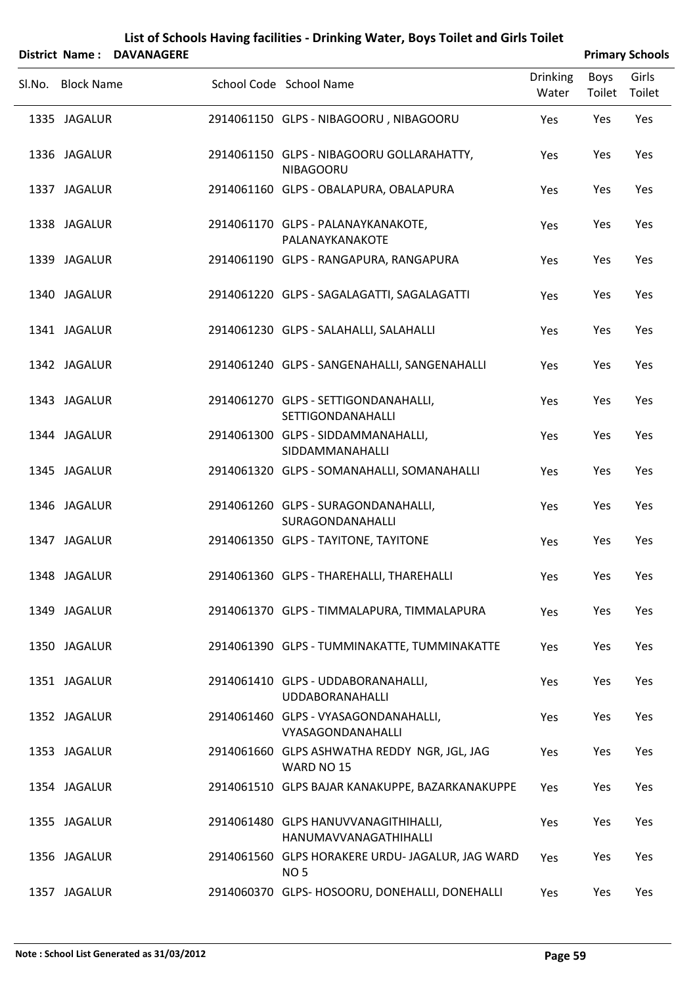| District Name: DAVANAGERE | List of Schools Having facilities - Drinking Water, Boys Toilet and Girls Toilet | <b>Primary Schools</b> |                                                                 |                          |                       |                 |
|---------------------------|----------------------------------------------------------------------------------|------------------------|-----------------------------------------------------------------|--------------------------|-----------------------|-----------------|
|                           | Sl.No. Block Name                                                                |                        | School Code School Name                                         | <b>Drinking</b><br>Water | <b>Boys</b><br>Toilet | Girls<br>Toilet |
|                           | 1335 JAGALUR                                                                     |                        | 2914061150 GLPS - NIBAGOORU, NIBAGOORU                          | Yes                      | Yes                   | Yes             |
|                           | 1336 JAGALUR                                                                     |                        | 2914061150 GLPS - NIBAGOORU GOLLARAHATTY,<br><b>NIBAGOORU</b>   | Yes                      | Yes                   | Yes             |
|                           | 1337 JAGALUR                                                                     |                        | 2914061160 GLPS - OBALAPURA, OBALAPURA                          | Yes                      | Yes                   | Yes             |
|                           | 1338 JAGALUR                                                                     |                        | 2914061170 GLPS - PALANAYKANAKOTE,<br>PALANAYKANAKOTE           | Yes                      | Yes                   | Yes             |
|                           | 1339 JAGALUR                                                                     |                        | 2914061190 GLPS - RANGAPURA, RANGAPURA                          | Yes                      | Yes                   | Yes             |
|                           | 1340 JAGALUR                                                                     |                        | 2914061220 GLPS - SAGALAGATTI, SAGALAGATTI                      | Yes                      | Yes                   | Yes             |
|                           | 1341 JAGALUR                                                                     |                        | 2914061230 GLPS - SALAHALLI, SALAHALLI                          | Yes                      | Yes                   | Yes             |
|                           | 1342 JAGALUR                                                                     |                        | 2914061240 GLPS - SANGENAHALLI, SANGENAHALLI                    | Yes                      | Yes                   | Yes             |
|                           | 1343 JAGALUR                                                                     |                        | 2914061270 GLPS - SETTIGONDANAHALLI,<br>SETTIGONDANAHALLI       | Yes                      | Yes                   | Yes             |
|                           | 1344 JAGALUR                                                                     |                        | 2914061300 GLPS - SIDDAMMANAHALLI,<br>SIDDAMMANAHALLI           | Yes                      | Yes                   | Yes             |
|                           | 1345 JAGALUR                                                                     |                        | 2914061320 GLPS - SOMANAHALLI, SOMANAHALLI                      | Yes                      | Yes                   | Yes             |
|                           | 1346 JAGALUR                                                                     |                        | 2914061260 GLPS - SURAGONDANAHALLI,<br>SURAGONDANAHALLI         | Yes                      | Yes                   | Yes             |
|                           | 1347 JAGALUR                                                                     |                        | 2914061350 GLPS - TAYITONE, TAYITONE                            | Yes                      | Yes                   | Yes             |
|                           | 1348 JAGALUR                                                                     |                        | 2914061360 GLPS - THAREHALLI, THAREHALLI                        | Yes                      | Yes                   | Yes             |
|                           | 1349 JAGALUR                                                                     |                        | 2914061370 GLPS - TIMMALAPURA, TIMMALAPURA                      | <b>Yes</b>               | Yes                   | Yes             |
|                           | 1350 JAGALUR                                                                     |                        | 2914061390 GLPS - TUMMINAKATTE, TUMMINAKATTE                    | Yes                      | Yes                   | Yes             |
|                           | 1351 JAGALUR                                                                     |                        | 2914061410 GLPS - UDDABORANAHALLI,<br><b>UDDABORANAHALLI</b>    | Yes                      | Yes                   | Yes             |
|                           | 1352 JAGALUR                                                                     |                        | 2914061460 GLPS - VYASAGONDANAHALLI,<br>VYASAGONDANAHALLI       | Yes                      | Yes                   | Yes             |
|                           | 1353 JAGALUR                                                                     |                        | 2914061660 GLPS ASHWATHA REDDY NGR, JGL, JAG<br>WARD NO 15      | Yes                      | Yes                   | Yes             |
|                           | 1354 JAGALUR                                                                     |                        | 2914061510 GLPS BAJAR KANAKUPPE, BAZARKANAKUPPE                 | Yes                      | Yes                   | Yes             |
|                           | 1355 JAGALUR                                                                     |                        | 2914061480 GLPS HANUVVANAGITHIHALLI,<br>HANUMAVVANAGATHIHALLI   | Yes                      | Yes                   | Yes             |
|                           | 1356 JAGALUR                                                                     |                        | 2914061560 GLPS HORAKERE URDU- JAGALUR, JAG WARD<br><b>NO 5</b> | Yes                      | Yes                   | Yes             |
|                           | 1357 JAGALUR                                                                     |                        | 2914060370 GLPS- HOSOORU, DONEHALLI, DONEHALLI                  | Yes                      | Yes                   | Yes             |